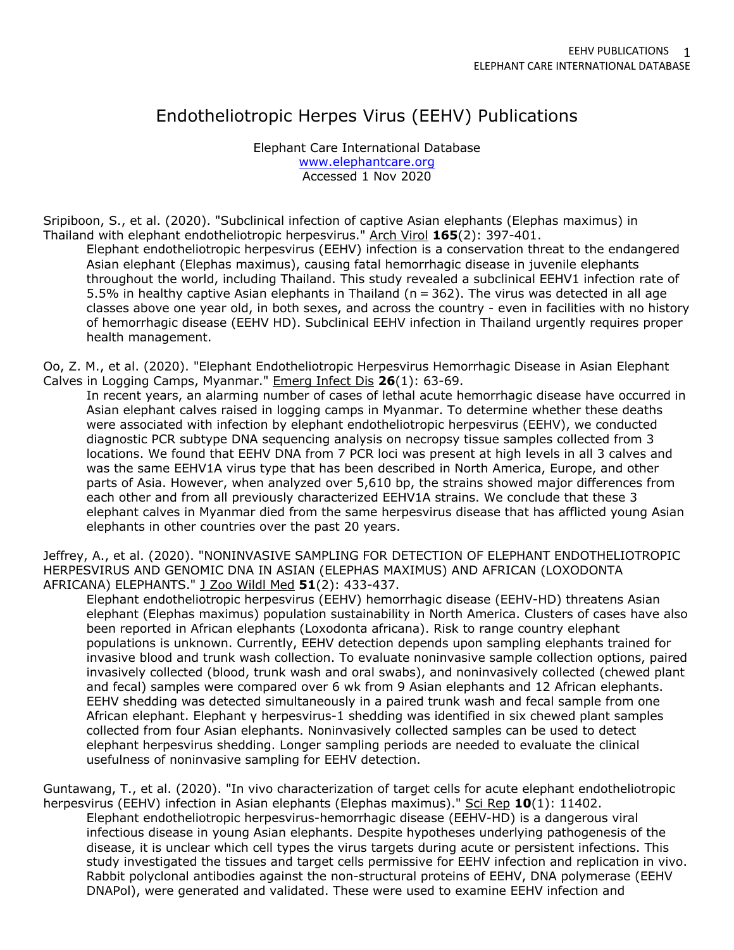# Endotheliotropic Herpes Virus (EEHV) Publications

Elephant Care International Database www.elephantcare.org Accessed 1 Nov 2020

Sripiboon, S., et al. (2020). "Subclinical infection of captive Asian elephants (Elephas maximus) in Thailand with elephant endotheliotropic herpesvirus." Arch Virol **165**(2): 397-401.

Elephant endotheliotropic herpesvirus (EEHV) infection is a conservation threat to the endangered Asian elephant (Elephas maximus), causing fatal hemorrhagic disease in juvenile elephants throughout the world, including Thailand. This study revealed a subclinical EEHV1 infection rate of 5.5% in healthy captive Asian elephants in Thailand (n = 362). The virus was detected in all age classes above one year old, in both sexes, and across the country - even in facilities with no history of hemorrhagic disease (EEHV HD). Subclinical EEHV infection in Thailand urgently requires proper health management.

Oo, Z. M., et al. (2020). "Elephant Endotheliotropic Herpesvirus Hemorrhagic Disease in Asian Elephant Calves in Logging Camps, Myanmar." Emerg Infect Dis **26**(1): 63-69.

In recent years, an alarming number of cases of lethal acute hemorrhagic disease have occurred in Asian elephant calves raised in logging camps in Myanmar. To determine whether these deaths were associated with infection by elephant endotheliotropic herpesvirus (EEHV), we conducted diagnostic PCR subtype DNA sequencing analysis on necropsy tissue samples collected from 3 locations. We found that EEHV DNA from 7 PCR loci was present at high levels in all 3 calves and was the same EEHV1A virus type that has been described in North America, Europe, and other parts of Asia. However, when analyzed over 5,610 bp, the strains showed major differences from each other and from all previously characterized EEHV1A strains. We conclude that these 3 elephant calves in Myanmar died from the same herpesvirus disease that has afflicted young Asian elephants in other countries over the past 20 years.

Jeffrey, A., et al. (2020). "NONINVASIVE SAMPLING FOR DETECTION OF ELEPHANT ENDOTHELIOTROPIC HERPESVIRUS AND GENOMIC DNA IN ASIAN (ELEPHAS MAXIMUS) AND AFRICAN (LOXODONTA AFRICANA) ELEPHANTS." J Zoo Wildl Med **51**(2): 433-437.

Elephant endotheliotropic herpesvirus (EEHV) hemorrhagic disease (EEHV-HD) threatens Asian elephant (Elephas maximus) population sustainability in North America. Clusters of cases have also been reported in African elephants (Loxodonta africana). Risk to range country elephant populations is unknown. Currently, EEHV detection depends upon sampling elephants trained for invasive blood and trunk wash collection. To evaluate noninvasive sample collection options, paired invasively collected (blood, trunk wash and oral swabs), and noninvasively collected (chewed plant and fecal) samples were compared over 6 wk from 9 Asian elephants and 12 African elephants. EEHV shedding was detected simultaneously in a paired trunk wash and fecal sample from one African elephant. Elephant γ herpesvirus-1 shedding was identified in six chewed plant samples collected from four Asian elephants. Noninvasively collected samples can be used to detect elephant herpesvirus shedding. Longer sampling periods are needed to evaluate the clinical usefulness of noninvasive sampling for EEHV detection.

Guntawang, T., et al. (2020). "In vivo characterization of target cells for acute elephant endotheliotropic herpesvirus (EEHV) infection in Asian elephants (Elephas maximus)." Sci Rep 10(1): 11402.

Elephant endotheliotropic herpesvirus-hemorrhagic disease (EEHV-HD) is a dangerous viral infectious disease in young Asian elephants. Despite hypotheses underlying pathogenesis of the disease, it is unclear which cell types the virus targets during acute or persistent infections. This study investigated the tissues and target cells permissive for EEHV infection and replication in vivo. Rabbit polyclonal antibodies against the non-structural proteins of EEHV, DNA polymerase (EEHV DNAPol), were generated and validated. These were used to examine EEHV infection and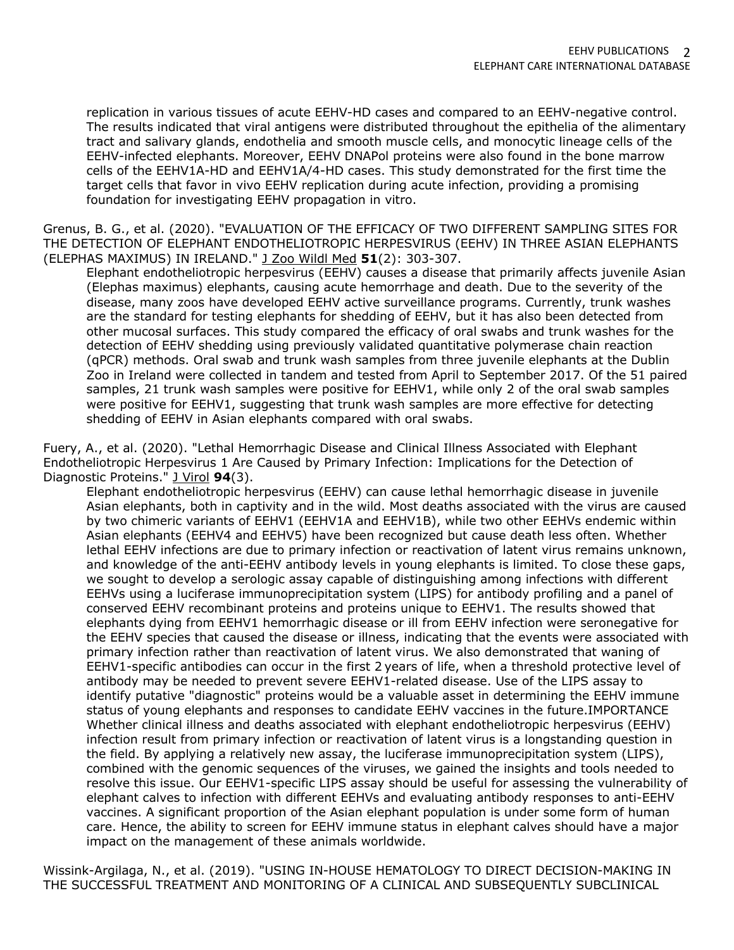replication in various tissues of acute EEHV-HD cases and compared to an EEHV-negative control. The results indicated that viral antigens were distributed throughout the epithelia of the alimentary tract and salivary glands, endothelia and smooth muscle cells, and monocytic lineage cells of the EEHV-infected elephants. Moreover, EEHV DNAPol proteins were also found in the bone marrow cells of the EEHV1A-HD and EEHV1A/4-HD cases. This study demonstrated for the first time the target cells that favor in vivo EEHV replication during acute infection, providing a promising foundation for investigating EEHV propagation in vitro.

Grenus, B. G., et al. (2020). "EVALUATION OF THE EFFICACY OF TWO DIFFERENT SAMPLING SITES FOR THE DETECTION OF ELEPHANT ENDOTHELIOTROPIC HERPESVIRUS (EEHV) IN THREE ASIAN ELEPHANTS (ELEPHAS MAXIMUS) IN IRELAND." J Zoo Wildl Med **51**(2): 303-307.

Elephant endotheliotropic herpesvirus (EEHV) causes a disease that primarily affects juvenile Asian (Elephas maximus) elephants, causing acute hemorrhage and death. Due to the severity of the disease, many zoos have developed EEHV active surveillance programs. Currently, trunk washes are the standard for testing elephants for shedding of EEHV, but it has also been detected from other mucosal surfaces. This study compared the efficacy of oral swabs and trunk washes for the detection of EEHV shedding using previously validated quantitative polymerase chain reaction (qPCR) methods. Oral swab and trunk wash samples from three juvenile elephants at the Dublin Zoo in Ireland were collected in tandem and tested from April to September 2017. Of the 51 paired samples, 21 trunk wash samples were positive for EEHV1, while only 2 of the oral swab samples were positive for EEHV1, suggesting that trunk wash samples are more effective for detecting shedding of EEHV in Asian elephants compared with oral swabs.

Fuery, A., et al. (2020). "Lethal Hemorrhagic Disease and Clinical Illness Associated with Elephant Endotheliotropic Herpesvirus 1 Are Caused by Primary Infection: Implications for the Detection of Diagnostic Proteins." J Virol **94**(3).

Elephant endotheliotropic herpesvirus (EEHV) can cause lethal hemorrhagic disease in juvenile Asian elephants, both in captivity and in the wild. Most deaths associated with the virus are caused by two chimeric variants of EEHV1 (EEHV1A and EEHV1B), while two other EEHVs endemic within Asian elephants (EEHV4 and EEHV5) have been recognized but cause death less often. Whether lethal EEHV infections are due to primary infection or reactivation of latent virus remains unknown, and knowledge of the anti-EEHV antibody levels in young elephants is limited. To close these gaps, we sought to develop a serologic assay capable of distinguishing among infections with different EEHVs using a luciferase immunoprecipitation system (LIPS) for antibody profiling and a panel of conserved EEHV recombinant proteins and proteins unique to EEHV1. The results showed that elephants dying from EEHV1 hemorrhagic disease or ill from EEHV infection were seronegative for the EEHV species that caused the disease or illness, indicating that the events were associated with primary infection rather than reactivation of latent virus. We also demonstrated that waning of EEHV1-specific antibodies can occur in the first 2 years of life, when a threshold protective level of antibody may be needed to prevent severe EEHV1-related disease. Use of the LIPS assay to identify putative "diagnostic" proteins would be a valuable asset in determining the EEHV immune status of young elephants and responses to candidate EEHV vaccines in the future.IMPORTANCE Whether clinical illness and deaths associated with elephant endotheliotropic herpesvirus (EEHV) infection result from primary infection or reactivation of latent virus is a longstanding question in the field. By applying a relatively new assay, the luciferase immunoprecipitation system (LIPS), combined with the genomic sequences of the viruses, we gained the insights and tools needed to resolve this issue. Our EEHV1-specific LIPS assay should be useful for assessing the vulnerability of elephant calves to infection with different EEHVs and evaluating antibody responses to anti-EEHV vaccines. A significant proportion of the Asian elephant population is under some form of human care. Hence, the ability to screen for EEHV immune status in elephant calves should have a major impact on the management of these animals worldwide.

Wissink-Argilaga, N., et al. (2019). "USING IN-HOUSE HEMATOLOGY TO DIRECT DECISION-MAKING IN THE SUCCESSFUL TREATMENT AND MONITORING OF A CLINICAL AND SUBSEQUENTLY SUBCLINICAL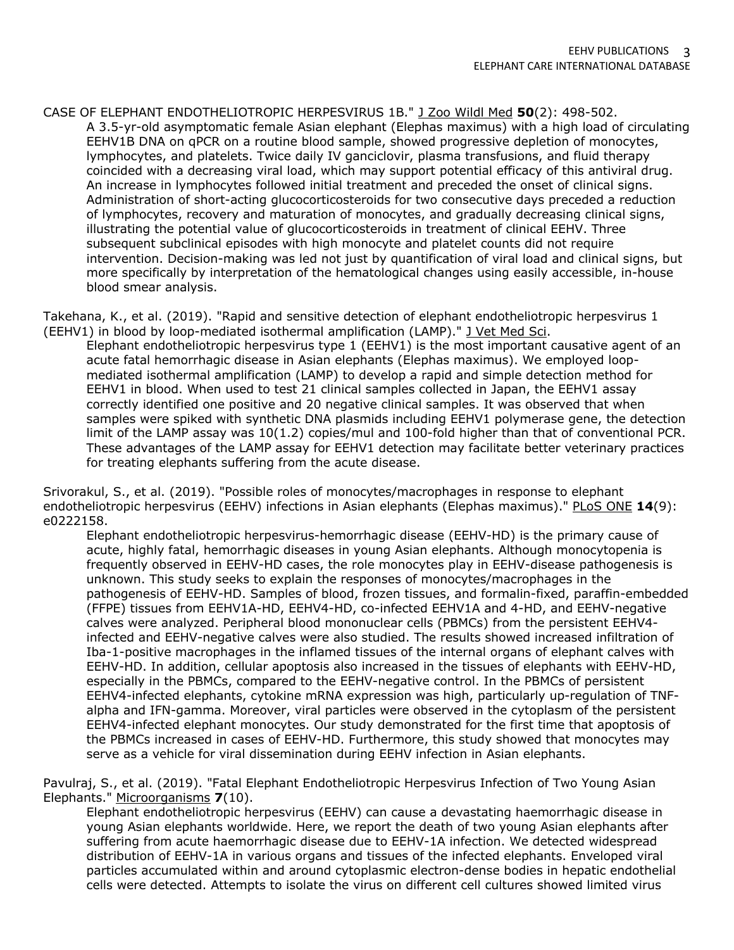CASE OF ELEPHANT ENDOTHELIOTROPIC HERPESVIRUS 1B." J Zoo Wildl Med **50**(2): 498-502. A 3.5-yr-old asymptomatic female Asian elephant (Elephas maximus) with a high load of circulating EEHV1B DNA on qPCR on a routine blood sample, showed progressive depletion of monocytes, lymphocytes, and platelets. Twice daily IV ganciclovir, plasma transfusions, and fluid therapy coincided with a decreasing viral load, which may support potential efficacy of this antiviral drug. An increase in lymphocytes followed initial treatment and preceded the onset of clinical signs. Administration of short-acting glucocorticosteroids for two consecutive days preceded a reduction of lymphocytes, recovery and maturation of monocytes, and gradually decreasing clinical signs, illustrating the potential value of glucocorticosteroids in treatment of clinical EEHV. Three subsequent subclinical episodes with high monocyte and platelet counts did not require intervention. Decision-making was led not just by quantification of viral load and clinical signs, but more specifically by interpretation of the hematological changes using easily accessible, in-house blood smear analysis.

Takehana, K., et al. (2019). "Rapid and sensitive detection of elephant endotheliotropic herpesvirus 1 (EEHV1) in blood by loop-mediated isothermal amplification (LAMP)." J Vet Med Sci.

Elephant endotheliotropic herpesvirus type 1 (EEHV1) is the most important causative agent of an acute fatal hemorrhagic disease in Asian elephants (Elephas maximus). We employed loopmediated isothermal amplification (LAMP) to develop a rapid and simple detection method for EEHV1 in blood. When used to test 21 clinical samples collected in Japan, the EEHV1 assay correctly identified one positive and 20 negative clinical samples. It was observed that when samples were spiked with synthetic DNA plasmids including EEHV1 polymerase gene, the detection limit of the LAMP assay was 10(1.2) copies/mul and 100-fold higher than that of conventional PCR. These advantages of the LAMP assay for EEHV1 detection may facilitate better veterinary practices for treating elephants suffering from the acute disease.

Srivorakul, S., et al. (2019). "Possible roles of monocytes/macrophages in response to elephant endotheliotropic herpesvirus (EEHV) infections in Asian elephants (Elephas maximus)." PLoS ONE **14**(9): e0222158.

Elephant endotheliotropic herpesvirus-hemorrhagic disease (EEHV-HD) is the primary cause of acute, highly fatal, hemorrhagic diseases in young Asian elephants. Although monocytopenia is frequently observed in EEHV-HD cases, the role monocytes play in EEHV-disease pathogenesis is unknown. This study seeks to explain the responses of monocytes/macrophages in the pathogenesis of EEHV-HD. Samples of blood, frozen tissues, and formalin-fixed, paraffin-embedded (FFPE) tissues from EEHV1A-HD, EEHV4-HD, co-infected EEHV1A and 4-HD, and EEHV-negative calves were analyzed. Peripheral blood mononuclear cells (PBMCs) from the persistent EEHV4 infected and EEHV-negative calves were also studied. The results showed increased infiltration of Iba-1-positive macrophages in the inflamed tissues of the internal organs of elephant calves with EEHV-HD. In addition, cellular apoptosis also increased in the tissues of elephants with EEHV-HD, especially in the PBMCs, compared to the EEHV-negative control. In the PBMCs of persistent EEHV4-infected elephants, cytokine mRNA expression was high, particularly up-regulation of TNFalpha and IFN-gamma. Moreover, viral particles were observed in the cytoplasm of the persistent EEHV4-infected elephant monocytes. Our study demonstrated for the first time that apoptosis of the PBMCs increased in cases of EEHV-HD. Furthermore, this study showed that monocytes may serve as a vehicle for viral dissemination during EEHV infection in Asian elephants.

Pavulraj, S., et al. (2019). "Fatal Elephant Endotheliotropic Herpesvirus Infection of Two Young Asian Elephants." Microorganisms **7**(10).

Elephant endotheliotropic herpesvirus (EEHV) can cause a devastating haemorrhagic disease in young Asian elephants worldwide. Here, we report the death of two young Asian elephants after suffering from acute haemorrhagic disease due to EEHV-1A infection. We detected widespread distribution of EEHV-1A in various organs and tissues of the infected elephants. Enveloped viral particles accumulated within and around cytoplasmic electron-dense bodies in hepatic endothelial cells were detected. Attempts to isolate the virus on different cell cultures showed limited virus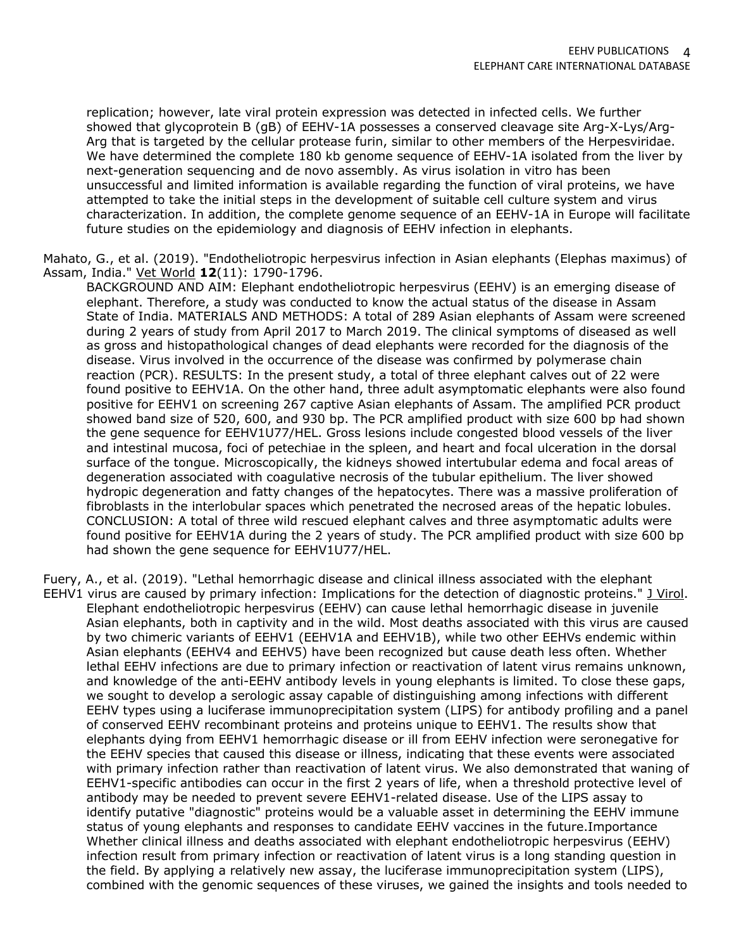replication; however, late viral protein expression was detected in infected cells. We further showed that glycoprotein B (gB) of EEHV-1A possesses a conserved cleavage site Arg-X-Lys/Arg-Arg that is targeted by the cellular protease furin, similar to other members of the Herpesviridae. We have determined the complete 180 kb genome sequence of EEHV-1A isolated from the liver by next-generation sequencing and de novo assembly. As virus isolation in vitro has been unsuccessful and limited information is available regarding the function of viral proteins, we have attempted to take the initial steps in the development of suitable cell culture system and virus characterization. In addition, the complete genome sequence of an EEHV-1A in Europe will facilitate future studies on the epidemiology and diagnosis of EEHV infection in elephants.

Mahato, G., et al. (2019). "Endotheliotropic herpesvirus infection in Asian elephants (Elephas maximus) of Assam, India." Vet World **12**(11): 1790-1796.

BACKGROUND AND AIM: Elephant endotheliotropic herpesvirus (EEHV) is an emerging disease of elephant. Therefore, a study was conducted to know the actual status of the disease in Assam State of India. MATERIALS AND METHODS: A total of 289 Asian elephants of Assam were screened during 2 years of study from April 2017 to March 2019. The clinical symptoms of diseased as well as gross and histopathological changes of dead elephants were recorded for the diagnosis of the disease. Virus involved in the occurrence of the disease was confirmed by polymerase chain reaction (PCR). RESULTS: In the present study, a total of three elephant calves out of 22 were found positive to EEHV1A. On the other hand, three adult asymptomatic elephants were also found positive for EEHV1 on screening 267 captive Asian elephants of Assam. The amplified PCR product showed band size of 520, 600, and 930 bp. The PCR amplified product with size 600 bp had shown the gene sequence for EEHV1U77/HEL. Gross lesions include congested blood vessels of the liver and intestinal mucosa, foci of petechiae in the spleen, and heart and focal ulceration in the dorsal surface of the tongue. Microscopically, the kidneys showed intertubular edema and focal areas of degeneration associated with coagulative necrosis of the tubular epithelium. The liver showed hydropic degeneration and fatty changes of the hepatocytes. There was a massive proliferation of fibroblasts in the interlobular spaces which penetrated the necrosed areas of the hepatic lobules. CONCLUSION: A total of three wild rescued elephant calves and three asymptomatic adults were found positive for EEHV1A during the 2 years of study. The PCR amplified product with size 600 bp had shown the gene sequence for EEHV1U77/HEL.

Fuery, A., et al. (2019). "Lethal hemorrhagic disease and clinical illness associated with the elephant EEHV1 virus are caused by primary infection: Implications for the detection of diagnostic proteins." J Virol. Elephant endotheliotropic herpesvirus (EEHV) can cause lethal hemorrhagic disease in juvenile Asian elephants, both in captivity and in the wild. Most deaths associated with this virus are caused by two chimeric variants of EEHV1 (EEHV1A and EEHV1B), while two other EEHVs endemic within Asian elephants (EEHV4 and EEHV5) have been recognized but cause death less often. Whether lethal EEHV infections are due to primary infection or reactivation of latent virus remains unknown, and knowledge of the anti-EEHV antibody levels in young elephants is limited. To close these gaps, we sought to develop a serologic assay capable of distinguishing among infections with different EEHV types using a luciferase immunoprecipitation system (LIPS) for antibody profiling and a panel of conserved EEHV recombinant proteins and proteins unique to EEHV1. The results show that elephants dying from EEHV1 hemorrhagic disease or ill from EEHV infection were seronegative for the EEHV species that caused this disease or illness, indicating that these events were associated with primary infection rather than reactivation of latent virus. We also demonstrated that waning of EEHV1-specific antibodies can occur in the first 2 years of life, when a threshold protective level of antibody may be needed to prevent severe EEHV1-related disease. Use of the LIPS assay to identify putative "diagnostic" proteins would be a valuable asset in determining the EEHV immune status of young elephants and responses to candidate EEHV vaccines in the future.Importance Whether clinical illness and deaths associated with elephant endotheliotropic herpesvirus (EEHV) infection result from primary infection or reactivation of latent virus is a long standing question in the field. By applying a relatively new assay, the luciferase immunoprecipitation system (LIPS), combined with the genomic sequences of these viruses, we gained the insights and tools needed to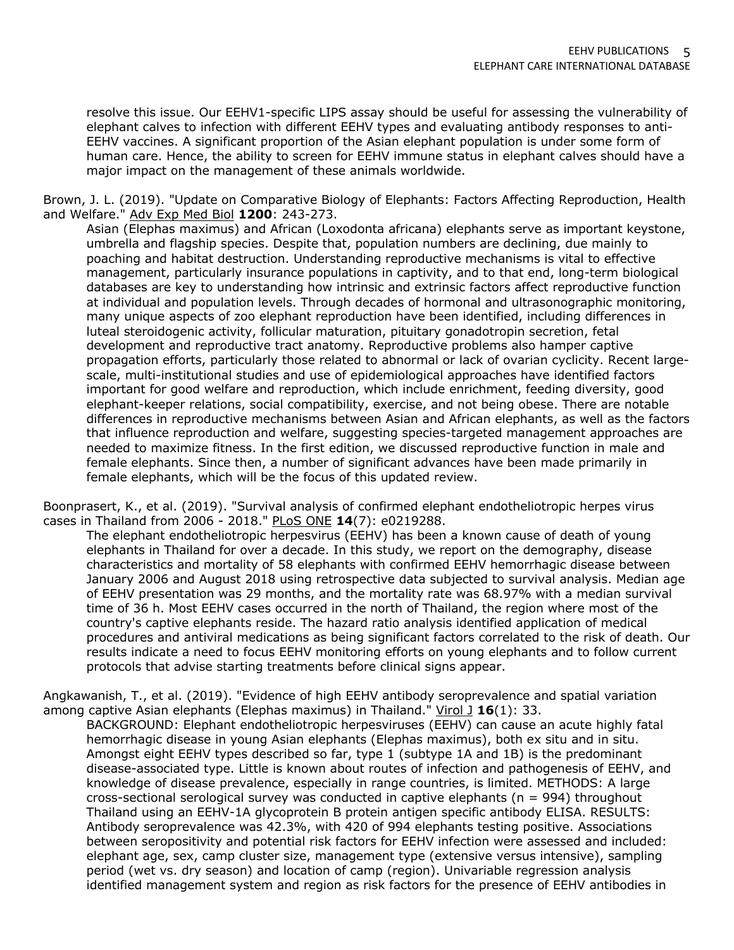resolve this issue. Our EEHV1-specific LIPS assay should be useful for assessing the vulnerability of elephant calves to infection with different EEHV types and evaluating antibody responses to anti-EEHV vaccines. A significant proportion of the Asian elephant population is under some form of human care. Hence, the ability to screen for EEHV immune status in elephant calves should have a major impact on the management of these animals worldwide.

Brown, J. L. (2019). "Update on Comparative Biology of Elephants: Factors Affecting Reproduction, Health and Welfare." Adv Exp Med Biol **1200**: 243-273.

Asian (Elephas maximus) and African (Loxodonta africana) elephants serve as important keystone, umbrella and flagship species. Despite that, population numbers are declining, due mainly to poaching and habitat destruction. Understanding reproductive mechanisms is vital to effective management, particularly insurance populations in captivity, and to that end, long-term biological databases are key to understanding how intrinsic and extrinsic factors affect reproductive function at individual and population levels. Through decades of hormonal and ultrasonographic monitoring, many unique aspects of zoo elephant reproduction have been identified, including differences in luteal steroidogenic activity, follicular maturation, pituitary gonadotropin secretion, fetal development and reproductive tract anatomy. Reproductive problems also hamper captive propagation efforts, particularly those related to abnormal or lack of ovarian cyclicity. Recent largescale, multi-institutional studies and use of epidemiological approaches have identified factors important for good welfare and reproduction, which include enrichment, feeding diversity, good elephant-keeper relations, social compatibility, exercise, and not being obese. There are notable differences in reproductive mechanisms between Asian and African elephants, as well as the factors that influence reproduction and welfare, suggesting species-targeted management approaches are needed to maximize fitness. In the first edition, we discussed reproductive function in male and female elephants. Since then, a number of significant advances have been made primarily in female elephants, which will be the focus of this updated review.

Boonprasert, K., et al. (2019). "Survival analysis of confirmed elephant endotheliotropic herpes virus cases in Thailand from 2006 - 2018." PLoS ONE **14**(7): e0219288.

The elephant endotheliotropic herpesvirus (EEHV) has been a known cause of death of young elephants in Thailand for over a decade. In this study, we report on the demography, disease characteristics and mortality of 58 elephants with confirmed EEHV hemorrhagic disease between January 2006 and August 2018 using retrospective data subjected to survival analysis. Median age of EEHV presentation was 29 months, and the mortality rate was 68.97% with a median survival time of 36 h. Most EEHV cases occurred in the north of Thailand, the region where most of the country's captive elephants reside. The hazard ratio analysis identified application of medical procedures and antiviral medications as being significant factors correlated to the risk of death. Our results indicate a need to focus EEHV monitoring efforts on young elephants and to follow current protocols that advise starting treatments before clinical signs appear.

Angkawanish, T., et al. (2019). "Evidence of high EEHV antibody seroprevalence and spatial variation among captive Asian elephants (Elephas maximus) in Thailand." Virol 1 **16**(1): 33.

BACKGROUND: Elephant endotheliotropic herpesviruses (EEHV) can cause an acute highly fatal hemorrhagic disease in young Asian elephants (Elephas maximus), both ex situ and in situ. Amongst eight EEHV types described so far, type 1 (subtype 1A and 1B) is the predominant disease-associated type. Little is known about routes of infection and pathogenesis of EEHV, and knowledge of disease prevalence, especially in range countries, is limited. METHODS: A large cross-sectional serological survey was conducted in captive elephants ( $n = 994$ ) throughout Thailand using an EEHV-1A glycoprotein B protein antigen specific antibody ELISA. RESULTS: Antibody seroprevalence was 42.3%, with 420 of 994 elephants testing positive. Associations between seropositivity and potential risk factors for EEHV infection were assessed and included: elephant age, sex, camp cluster size, management type (extensive versus intensive), sampling period (wet vs. dry season) and location of camp (region). Univariable regression analysis identified management system and region as risk factors for the presence of EEHV antibodies in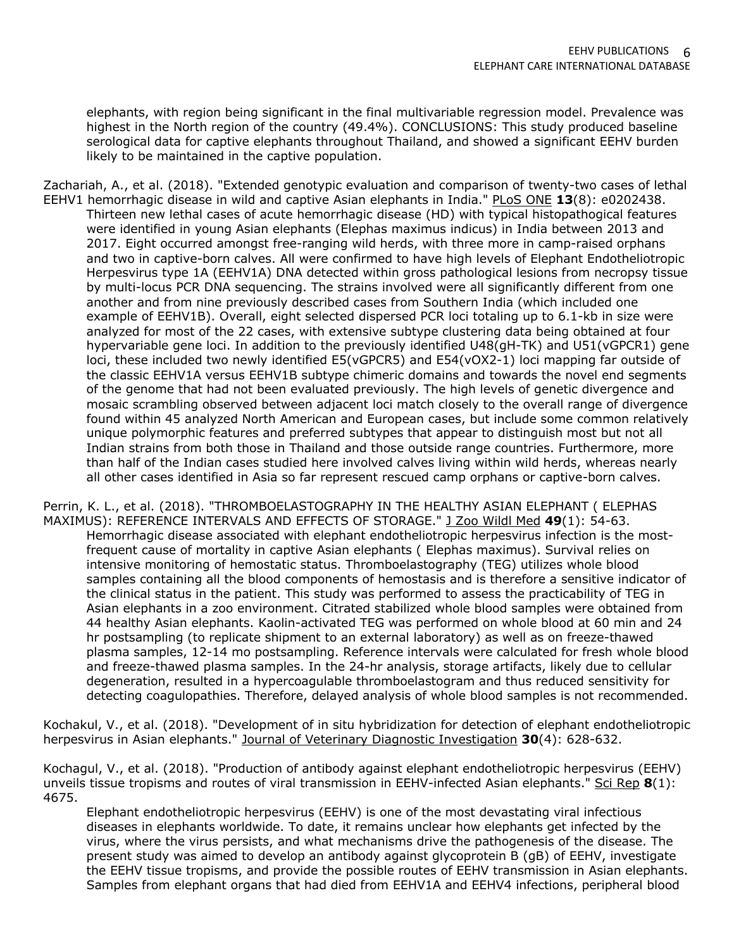elephants, with region being significant in the final multivariable regression model. Prevalence was highest in the North region of the country (49.4%). CONCLUSIONS: This study produced baseline serological data for captive elephants throughout Thailand, and showed a significant EEHV burden likely to be maintained in the captive population.

Zachariah, A., et al. (2018). "Extended genotypic evaluation and comparison of twenty-two cases of lethal EEHV1 hemorrhagic disease in wild and captive Asian elephants in India." PLoS ONE **13**(8): e0202438. Thirteen new lethal cases of acute hemorrhagic disease (HD) with typical histopathogical features were identified in young Asian elephants (Elephas maximus indicus) in India between 2013 and 2017. Eight occurred amongst free-ranging wild herds, with three more in camp-raised orphans and two in captive-born calves. All were confirmed to have high levels of Elephant Endotheliotropic Herpesvirus type 1A (EEHV1A) DNA detected within gross pathological lesions from necropsy tissue by multi-locus PCR DNA sequencing. The strains involved were all significantly different from one another and from nine previously described cases from Southern India (which included one example of EEHV1B). Overall, eight selected dispersed PCR loci totaling up to 6.1-kb in size were analyzed for most of the 22 cases, with extensive subtype clustering data being obtained at four hypervariable gene loci. In addition to the previously identified U48(gH-TK) and U51(vGPCR1) gene loci, these included two newly identified E5(vGPCR5) and E54(vOX2-1) loci mapping far outside of the classic EEHV1A versus EEHV1B subtype chimeric domains and towards the novel end segments of the genome that had not been evaluated previously. The high levels of genetic divergence and mosaic scrambling observed between adjacent loci match closely to the overall range of divergence found within 45 analyzed North American and European cases, but include some common relatively unique polymorphic features and preferred subtypes that appear to distinguish most but not all Indian strains from both those in Thailand and those outside range countries. Furthermore, more than half of the Indian cases studied here involved calves living within wild herds, whereas nearly all other cases identified in Asia so far represent rescued camp orphans or captive-born calves.

Perrin, K. L., et al. (2018). "THROMBOELASTOGRAPHY IN THE HEALTHY ASIAN ELEPHANT ( ELEPHAS MAXIMUS): REFERENCE INTERVALS AND EFFECTS OF STORAGE." J Zoo Wildl Med **49**(1): 54-63. Hemorrhagic disease associated with elephant endotheliotropic herpesvirus infection is the mostfrequent cause of mortality in captive Asian elephants ( Elephas maximus). Survival relies on intensive monitoring of hemostatic status. Thromboelastography (TEG) utilizes whole blood samples containing all the blood components of hemostasis and is therefore a sensitive indicator of the clinical status in the patient. This study was performed to assess the practicability of TEG in Asian elephants in a zoo environment. Citrated stabilized whole blood samples were obtained from 44 healthy Asian elephants. Kaolin-activated TEG was performed on whole blood at 60 min and 24 hr postsampling (to replicate shipment to an external laboratory) as well as on freeze-thawed plasma samples, 12-14 mo postsampling. Reference intervals were calculated for fresh whole blood and freeze-thawed plasma samples. In the 24-hr analysis, storage artifacts, likely due to cellular degeneration, resulted in a hypercoagulable thromboelastogram and thus reduced sensitivity for detecting coagulopathies. Therefore, delayed analysis of whole blood samples is not recommended.

Kochakul, V., et al. (2018). "Development of in situ hybridization for detection of elephant endotheliotropic herpesvirus in Asian elephants." Journal of Veterinary Diagnostic Investigation **30**(4): 628-632.

Kochagul, V., et al. (2018). "Production of antibody against elephant endotheliotropic herpesvirus (EEHV) unveils tissue tropisms and routes of viral transmission in EEHV-infected Asian elephants." Sci Rep **8**(1): 4675.

Elephant endotheliotropic herpesvirus (EEHV) is one of the most devastating viral infectious diseases in elephants worldwide. To date, it remains unclear how elephants get infected by the virus, where the virus persists, and what mechanisms drive the pathogenesis of the disease. The present study was aimed to develop an antibody against glycoprotein B (gB) of EEHV, investigate the EEHV tissue tropisms, and provide the possible routes of EEHV transmission in Asian elephants. Samples from elephant organs that had died from EEHV1A and EEHV4 infections, peripheral blood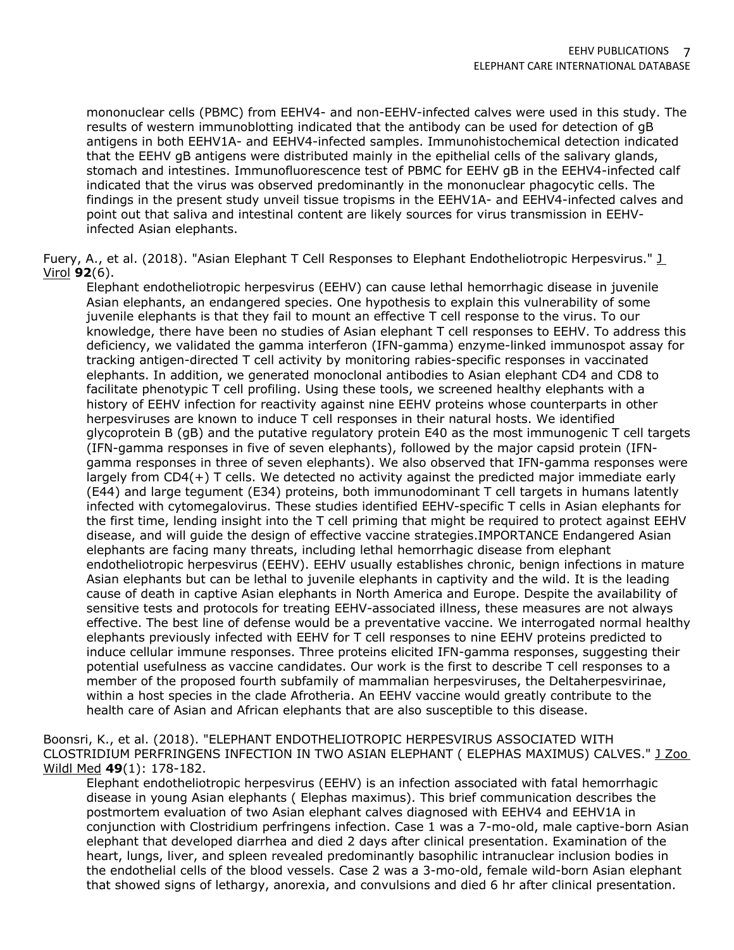mononuclear cells (PBMC) from EEHV4- and non-EEHV-infected calves were used in this study. The results of western immunoblotting indicated that the antibody can be used for detection of gB antigens in both EEHV1A- and EEHV4-infected samples. Immunohistochemical detection indicated that the EEHV gB antigens were distributed mainly in the epithelial cells of the salivary glands, stomach and intestines. Immunofluorescence test of PBMC for EEHV gB in the EEHV4-infected calf indicated that the virus was observed predominantly in the mononuclear phagocytic cells. The findings in the present study unveil tissue tropisms in the EEHV1A- and EEHV4-infected calves and point out that saliva and intestinal content are likely sources for virus transmission in EEHVinfected Asian elephants.

Fuery, A., et al. (2018). "Asian Elephant T Cell Responses to Elephant Endotheliotropic Herpesvirus." J Virol **92**(6).

Elephant endotheliotropic herpesvirus (EEHV) can cause lethal hemorrhagic disease in juvenile Asian elephants, an endangered species. One hypothesis to explain this vulnerability of some juvenile elephants is that they fail to mount an effective T cell response to the virus. To our knowledge, there have been no studies of Asian elephant T cell responses to EEHV. To address this deficiency, we validated the gamma interferon (IFN-gamma) enzyme-linked immunospot assay for tracking antigen-directed T cell activity by monitoring rabies-specific responses in vaccinated elephants. In addition, we generated monoclonal antibodies to Asian elephant CD4 and CD8 to facilitate phenotypic T cell profiling. Using these tools, we screened healthy elephants with a history of EEHV infection for reactivity against nine EEHV proteins whose counterparts in other herpesviruses are known to induce T cell responses in their natural hosts. We identified glycoprotein B (gB) and the putative regulatory protein E40 as the most immunogenic T cell targets (IFN-gamma responses in five of seven elephants), followed by the major capsid protein (IFNgamma responses in three of seven elephants). We also observed that IFN-gamma responses were largely from CD4(+) T cells. We detected no activity against the predicted major immediate early (E44) and large tegument (E34) proteins, both immunodominant T cell targets in humans latently infected with cytomegalovirus. These studies identified EEHV-specific T cells in Asian elephants for the first time, lending insight into the T cell priming that might be required to protect against EEHV disease, and will guide the design of effective vaccine strategies.IMPORTANCE Endangered Asian elephants are facing many threats, including lethal hemorrhagic disease from elephant endotheliotropic herpesvirus (EEHV). EEHV usually establishes chronic, benign infections in mature Asian elephants but can be lethal to juvenile elephants in captivity and the wild. It is the leading cause of death in captive Asian elephants in North America and Europe. Despite the availability of sensitive tests and protocols for treating EEHV-associated illness, these measures are not always effective. The best line of defense would be a preventative vaccine. We interrogated normal healthy elephants previously infected with EEHV for T cell responses to nine EEHV proteins predicted to induce cellular immune responses. Three proteins elicited IFN-gamma responses, suggesting their potential usefulness as vaccine candidates. Our work is the first to describe T cell responses to a member of the proposed fourth subfamily of mammalian herpesviruses, the Deltaherpesvirinae, within a host species in the clade Afrotheria. An EEHV vaccine would greatly contribute to the health care of Asian and African elephants that are also susceptible to this disease.

Boonsri, K., et al. (2018). "ELEPHANT ENDOTHELIOTROPIC HERPESVIRUS ASSOCIATED WITH CLOSTRIDIUM PERFRINGENS INFECTION IN TWO ASIAN ELEPHANT ( ELEPHAS MAXIMUS) CALVES." J Zoo Wildl Med **49**(1): 178-182.

Elephant endotheliotropic herpesvirus (EEHV) is an infection associated with fatal hemorrhagic disease in young Asian elephants ( Elephas maximus). This brief communication describes the postmortem evaluation of two Asian elephant calves diagnosed with EEHV4 and EEHV1A in conjunction with Clostridium perfringens infection. Case 1 was a 7-mo-old, male captive-born Asian elephant that developed diarrhea and died 2 days after clinical presentation. Examination of the heart, lungs, liver, and spleen revealed predominantly basophilic intranuclear inclusion bodies in the endothelial cells of the blood vessels. Case 2 was a 3-mo-old, female wild-born Asian elephant that showed signs of lethargy, anorexia, and convulsions and died 6 hr after clinical presentation.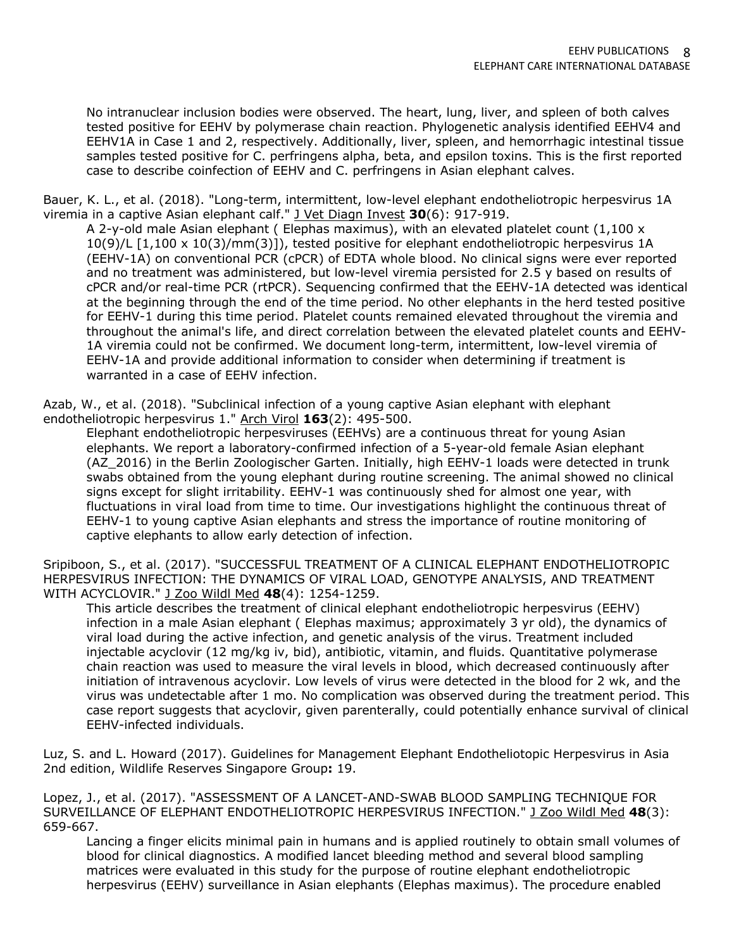No intranuclear inclusion bodies were observed. The heart, lung, liver, and spleen of both calves tested positive for EEHV by polymerase chain reaction. Phylogenetic analysis identified EEHV4 and EEHV1A in Case 1 and 2, respectively. Additionally, liver, spleen, and hemorrhagic intestinal tissue samples tested positive for C. perfringens alpha, beta, and epsilon toxins. This is the first reported case to describe coinfection of EEHV and C. perfringens in Asian elephant calves.

Bauer, K. L., et al. (2018). "Long-term, intermittent, low-level elephant endotheliotropic herpesvirus 1A viremia in a captive Asian elephant calf." J Vet Diagn Invest **30**(6): 917-919.

A 2-y-old male Asian elephant ( Elephas maximus), with an elevated platelet count (1,100 x 10(9)/L [1,100 x 10(3)/mm(3)]), tested positive for elephant endotheliotropic herpesvirus 1A (EEHV-1A) on conventional PCR (cPCR) of EDTA whole blood. No clinical signs were ever reported and no treatment was administered, but low-level viremia persisted for 2.5 y based on results of cPCR and/or real-time PCR (rtPCR). Sequencing confirmed that the EEHV-1A detected was identical at the beginning through the end of the time period. No other elephants in the herd tested positive for EEHV-1 during this time period. Platelet counts remained elevated throughout the viremia and throughout the animal's life, and direct correlation between the elevated platelet counts and EEHV-1A viremia could not be confirmed. We document long-term, intermittent, low-level viremia of EEHV-1A and provide additional information to consider when determining if treatment is warranted in a case of EEHV infection.

Azab, W., et al. (2018). "Subclinical infection of a young captive Asian elephant with elephant endotheliotropic herpesvirus 1." Arch Virol **163**(2): 495-500.

Elephant endotheliotropic herpesviruses (EEHVs) are a continuous threat for young Asian elephants. We report a laboratory-confirmed infection of a 5-year-old female Asian elephant (AZ\_2016) in the Berlin Zoologischer Garten. Initially, high EEHV-1 loads were detected in trunk swabs obtained from the young elephant during routine screening. The animal showed no clinical signs except for slight irritability. EEHV-1 was continuously shed for almost one year, with fluctuations in viral load from time to time. Our investigations highlight the continuous threat of EEHV-1 to young captive Asian elephants and stress the importance of routine monitoring of captive elephants to allow early detection of infection.

Sripiboon, S., et al. (2017). "SUCCESSFUL TREATMENT OF A CLINICAL ELEPHANT ENDOTHELIOTROPIC HERPESVIRUS INFECTION: THE DYNAMICS OF VIRAL LOAD, GENOTYPE ANALYSIS, AND TREATMENT WITH ACYCLOVIR." J Zoo Wildl Med **48**(4): 1254-1259.

This article describes the treatment of clinical elephant endotheliotropic herpesvirus (EEHV) infection in a male Asian elephant ( Elephas maximus; approximately 3 yr old), the dynamics of viral load during the active infection, and genetic analysis of the virus. Treatment included injectable acyclovir (12 mg/kg iv, bid), antibiotic, vitamin, and fluids. Quantitative polymerase chain reaction was used to measure the viral levels in blood, which decreased continuously after initiation of intravenous acyclovir. Low levels of virus were detected in the blood for 2 wk, and the virus was undetectable after 1 mo. No complication was observed during the treatment period. This case report suggests that acyclovir, given parenterally, could potentially enhance survival of clinical EEHV-infected individuals.

Luz, S. and L. Howard (2017). Guidelines for Management Elephant Endotheliotopic Herpesvirus in Asia 2nd edition, Wildlife Reserves Singapore Group**:** 19.

Lopez, J., et al. (2017). "ASSESSMENT OF A LANCET-AND-SWAB BLOOD SAMPLING TECHNIQUE FOR SURVEILLANCE OF ELEPHANT ENDOTHELIOTROPIC HERPESVIRUS INFECTION." J Zoo Wildl Med **48**(3): 659-667.

Lancing a finger elicits minimal pain in humans and is applied routinely to obtain small volumes of blood for clinical diagnostics. A modified lancet bleeding method and several blood sampling matrices were evaluated in this study for the purpose of routine elephant endotheliotropic herpesvirus (EEHV) surveillance in Asian elephants (Elephas maximus). The procedure enabled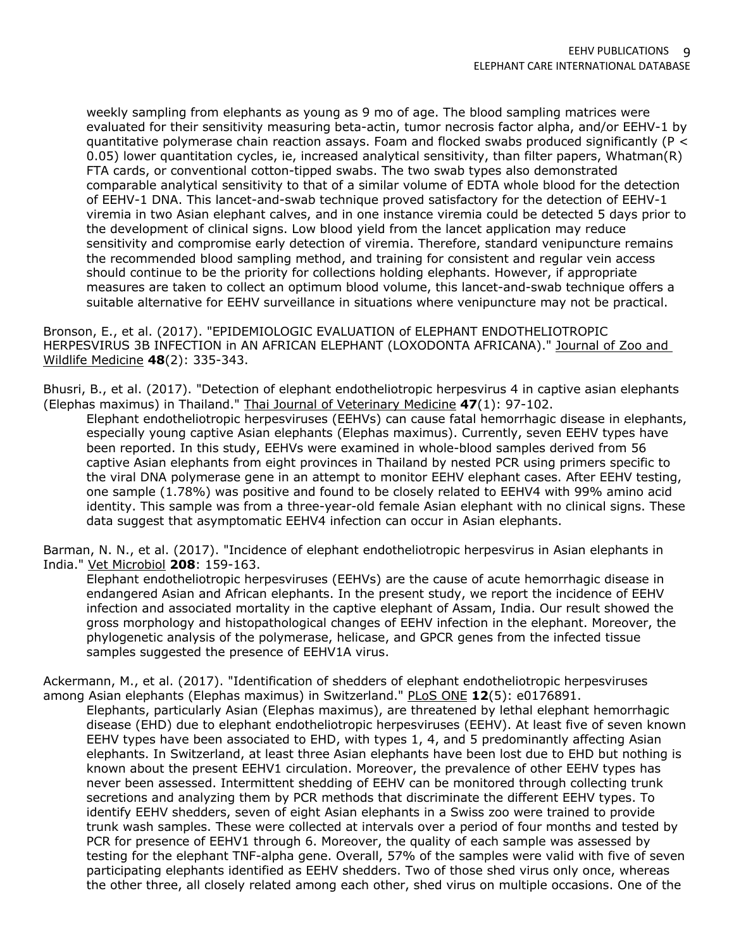weekly sampling from elephants as young as 9 mo of age. The blood sampling matrices were evaluated for their sensitivity measuring beta-actin, tumor necrosis factor alpha, and/or EEHV-1 by quantitative polymerase chain reaction assays. Foam and flocked swabs produced significantly (P < 0.05) lower quantitation cycles, ie, increased analytical sensitivity, than filter papers, Whatman(R) FTA cards, or conventional cotton-tipped swabs. The two swab types also demonstrated comparable analytical sensitivity to that of a similar volume of EDTA whole blood for the detection of EEHV-1 DNA. This lancet-and-swab technique proved satisfactory for the detection of EEHV-1 viremia in two Asian elephant calves, and in one instance viremia could be detected 5 days prior to the development of clinical signs. Low blood yield from the lancet application may reduce sensitivity and compromise early detection of viremia. Therefore, standard venipuncture remains the recommended blood sampling method, and training for consistent and regular vein access should continue to be the priority for collections holding elephants. However, if appropriate measures are taken to collect an optimum blood volume, this lancet-and-swab technique offers a suitable alternative for EEHV surveillance in situations where venipuncture may not be practical.

Bronson, E., et al. (2017). "EPIDEMIOLOGIC EVALUATION of ELEPHANT ENDOTHELIOTROPIC HERPESVIRUS 3B INFECTION in AN AFRICAN ELEPHANT (LOXODONTA AFRICANA)." Journal of Zoo and Wildlife Medicine **48**(2): 335-343.

Bhusri, B., et al. (2017). "Detection of elephant endotheliotropic herpesvirus 4 in captive asian elephants (Elephas maximus) in Thailand." Thai Journal of Veterinary Medicine **47**(1): 97-102.

Elephant endotheliotropic herpesviruses (EEHVs) can cause fatal hemorrhagic disease in elephants, especially young captive Asian elephants (Elephas maximus). Currently, seven EEHV types have been reported. In this study, EEHVs were examined in whole-blood samples derived from 56 captive Asian elephants from eight provinces in Thailand by nested PCR using primers specific to the viral DNA polymerase gene in an attempt to monitor EEHV elephant cases. After EEHV testing, one sample (1.78%) was positive and found to be closely related to EEHV4 with 99% amino acid identity. This sample was from a three-year-old female Asian elephant with no clinical signs. These data suggest that asymptomatic EEHV4 infection can occur in Asian elephants.

Barman, N. N., et al. (2017). "Incidence of elephant endotheliotropic herpesvirus in Asian elephants in India." Vet Microbiol **208**: 159-163.

Elephant endotheliotropic herpesviruses (EEHVs) are the cause of acute hemorrhagic disease in endangered Asian and African elephants. In the present study, we report the incidence of EEHV infection and associated mortality in the captive elephant of Assam, India. Our result showed the gross morphology and histopathological changes of EEHV infection in the elephant. Moreover, the phylogenetic analysis of the polymerase, helicase, and GPCR genes from the infected tissue samples suggested the presence of EEHV1A virus.

Ackermann, M., et al. (2017). "Identification of shedders of elephant endotheliotropic herpesviruses among Asian elephants (Elephas maximus) in Switzerland." PLoS ONE **12**(5): e0176891.

Elephants, particularly Asian (Elephas maximus), are threatened by lethal elephant hemorrhagic disease (EHD) due to elephant endotheliotropic herpesviruses (EEHV). At least five of seven known EEHV types have been associated to EHD, with types 1, 4, and 5 predominantly affecting Asian elephants. In Switzerland, at least three Asian elephants have been lost due to EHD but nothing is known about the present EEHV1 circulation. Moreover, the prevalence of other EEHV types has never been assessed. Intermittent shedding of EEHV can be monitored through collecting trunk secretions and analyzing them by PCR methods that discriminate the different EEHV types. To identify EEHV shedders, seven of eight Asian elephants in a Swiss zoo were trained to provide trunk wash samples. These were collected at intervals over a period of four months and tested by PCR for presence of EEHV1 through 6. Moreover, the quality of each sample was assessed by testing for the elephant TNF-alpha gene. Overall, 57% of the samples were valid with five of seven participating elephants identified as EEHV shedders. Two of those shed virus only once, whereas the other three, all closely related among each other, shed virus on multiple occasions. One of the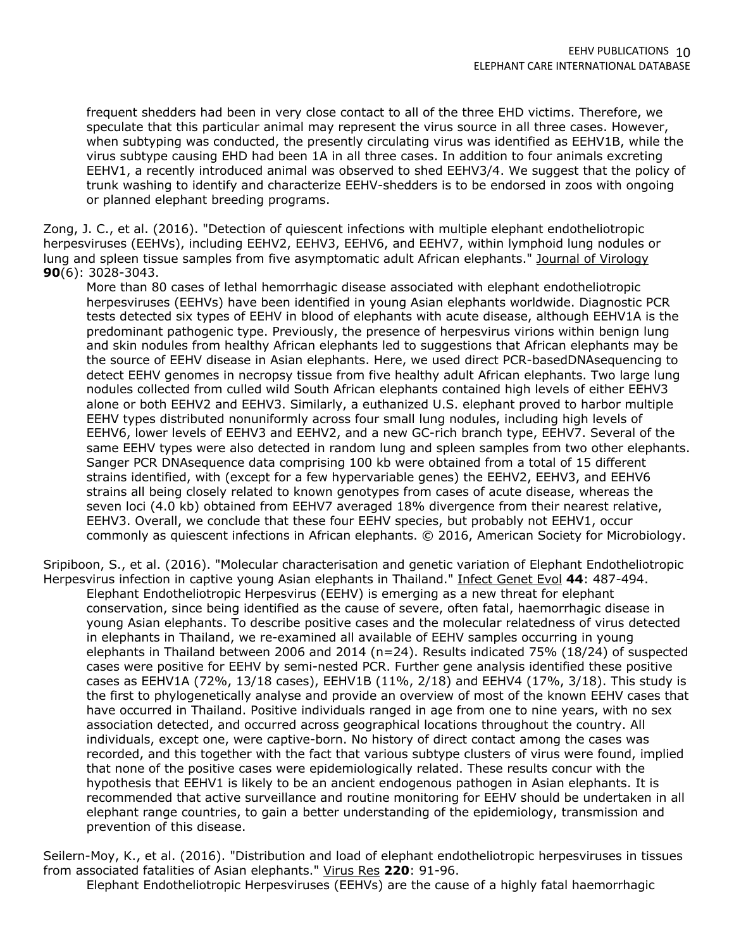frequent shedders had been in very close contact to all of the three EHD victims. Therefore, we speculate that this particular animal may represent the virus source in all three cases. However, when subtyping was conducted, the presently circulating virus was identified as EEHV1B, while the virus subtype causing EHD had been 1A in all three cases. In addition to four animals excreting EEHV1, a recently introduced animal was observed to shed EEHV3/4. We suggest that the policy of trunk washing to identify and characterize EEHV-shedders is to be endorsed in zoos with ongoing or planned elephant breeding programs.

Zong, J. C., et al. (2016). "Detection of quiescent infections with multiple elephant endotheliotropic herpesviruses (EEHVs), including EEHV2, EEHV3, EEHV6, and EEHV7, within lymphoid lung nodules or lung and spleen tissue samples from five asymptomatic adult African elephants." Journal of Virology **90**(6): 3028-3043.

More than 80 cases of lethal hemorrhagic disease associated with elephant endotheliotropic herpesviruses (EEHVs) have been identified in young Asian elephants worldwide. Diagnostic PCR tests detected six types of EEHV in blood of elephants with acute disease, although EEHV1A is the predominant pathogenic type. Previously, the presence of herpesvirus virions within benign lung and skin nodules from healthy African elephants led to suggestions that African elephants may be the source of EEHV disease in Asian elephants. Here, we used direct PCR-basedDNAsequencing to detect EEHV genomes in necropsy tissue from five healthy adult African elephants. Two large lung nodules collected from culled wild South African elephants contained high levels of either EEHV3 alone or both EEHV2 and EEHV3. Similarly, a euthanized U.S. elephant proved to harbor multiple EEHV types distributed nonuniformly across four small lung nodules, including high levels of EEHV6, lower levels of EEHV3 and EEHV2, and a new GC-rich branch type, EEHV7. Several of the same EEHV types were also detected in random lung and spleen samples from two other elephants. Sanger PCR DNAsequence data comprising 100 kb were obtained from a total of 15 different strains identified, with (except for a few hypervariable genes) the EEHV2, EEHV3, and EEHV6 strains all being closely related to known genotypes from cases of acute disease, whereas the seven loci (4.0 kb) obtained from EEHV7 averaged 18% divergence from their nearest relative, EEHV3. Overall, we conclude that these four EEHV species, but probably not EEHV1, occur commonly as quiescent infections in African elephants. © 2016, American Society for Microbiology.

Sripiboon, S., et al. (2016). "Molecular characterisation and genetic variation of Elephant Endotheliotropic Herpesvirus infection in captive young Asian elephants in Thailand." Infect Genet Evol **44**: 487-494. Elephant Endotheliotropic Herpesvirus (EEHV) is emerging as a new threat for elephant conservation, since being identified as the cause of severe, often fatal, haemorrhagic disease in young Asian elephants. To describe positive cases and the molecular relatedness of virus detected in elephants in Thailand, we re-examined all available of EEHV samples occurring in young elephants in Thailand between 2006 and 2014 (n=24). Results indicated 75% (18/24) of suspected cases were positive for EEHV by semi-nested PCR. Further gene analysis identified these positive cases as EEHV1A (72%, 13/18 cases), EEHV1B (11%, 2/18) and EEHV4 (17%, 3/18). This study is the first to phylogenetically analyse and provide an overview of most of the known EEHV cases that have occurred in Thailand. Positive individuals ranged in age from one to nine years, with no sex association detected, and occurred across geographical locations throughout the country. All individuals, except one, were captive-born. No history of direct contact among the cases was recorded, and this together with the fact that various subtype clusters of virus were found, implied that none of the positive cases were epidemiologically related. These results concur with the hypothesis that EEHV1 is likely to be an ancient endogenous pathogen in Asian elephants. It is recommended that active surveillance and routine monitoring for EEHV should be undertaken in all elephant range countries, to gain a better understanding of the epidemiology, transmission and prevention of this disease.

Seilern-Moy, K., et al. (2016). "Distribution and load of elephant endotheliotropic herpesviruses in tissues from associated fatalities of Asian elephants." Virus Res **220**: 91-96.

Elephant Endotheliotropic Herpesviruses (EEHVs) are the cause of a highly fatal haemorrhagic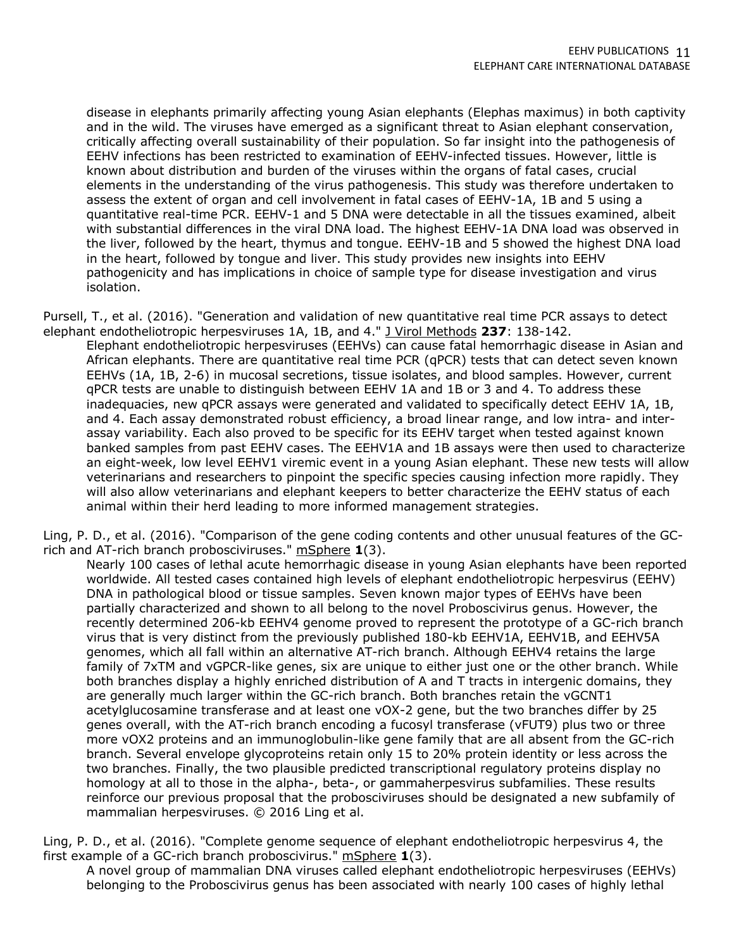disease in elephants primarily affecting young Asian elephants (Elephas maximus) in both captivity and in the wild. The viruses have emerged as a significant threat to Asian elephant conservation, critically affecting overall sustainability of their population. So far insight into the pathogenesis of EEHV infections has been restricted to examination of EEHV-infected tissues. However, little is known about distribution and burden of the viruses within the organs of fatal cases, crucial elements in the understanding of the virus pathogenesis. This study was therefore undertaken to assess the extent of organ and cell involvement in fatal cases of EEHV-1A, 1B and 5 using a quantitative real-time PCR. EEHV-1 and 5 DNA were detectable in all the tissues examined, albeit with substantial differences in the viral DNA load. The highest EEHV-1A DNA load was observed in the liver, followed by the heart, thymus and tongue. EEHV-1B and 5 showed the highest DNA load in the heart, followed by tongue and liver. This study provides new insights into EEHV pathogenicity and has implications in choice of sample type for disease investigation and virus isolation.

Pursell, T., et al. (2016). "Generation and validation of new quantitative real time PCR assays to detect elephant endotheliotropic herpesviruses 1A, 1B, and 4." J Virol Methods **237**: 138-142.

Elephant endotheliotropic herpesviruses (EEHVs) can cause fatal hemorrhagic disease in Asian and African elephants. There are quantitative real time PCR (qPCR) tests that can detect seven known EEHVs (1A, 1B, 2-6) in mucosal secretions, tissue isolates, and blood samples. However, current qPCR tests are unable to distinguish between EEHV 1A and 1B or 3 and 4. To address these inadequacies, new qPCR assays were generated and validated to specifically detect EEHV 1A, 1B, and 4. Each assay demonstrated robust efficiency, a broad linear range, and low intra- and interassay variability. Each also proved to be specific for its EEHV target when tested against known banked samples from past EEHV cases. The EEHV1A and 1B assays were then used to characterize an eight-week, low level EEHV1 viremic event in a young Asian elephant. These new tests will allow veterinarians and researchers to pinpoint the specific species causing infection more rapidly. They will also allow veterinarians and elephant keepers to better characterize the EEHV status of each animal within their herd leading to more informed management strategies.

Ling, P. D., et al. (2016). "Comparison of the gene coding contents and other unusual features of the GCrich and AT-rich branch probosciviruses." mSphere **1**(3).

Nearly 100 cases of lethal acute hemorrhagic disease in young Asian elephants have been reported worldwide. All tested cases contained high levels of elephant endotheliotropic herpesvirus (EEHV) DNA in pathological blood or tissue samples. Seven known major types of EEHVs have been partially characterized and shown to all belong to the novel Proboscivirus genus. However, the recently determined 206-kb EEHV4 genome proved to represent the prototype of a GC-rich branch virus that is very distinct from the previously published 180-kb EEHV1A, EEHV1B, and EEHV5A genomes, which all fall within an alternative AT-rich branch. Although EEHV4 retains the large family of 7xTM and vGPCR-like genes, six are unique to either just one or the other branch. While both branches display a highly enriched distribution of A and T tracts in intergenic domains, they are generally much larger within the GC-rich branch. Both branches retain the vGCNT1 acetylglucosamine transferase and at least one vOX-2 gene, but the two branches differ by 25 genes overall, with the AT-rich branch encoding a fucosyl transferase (vFUT9) plus two or three more vOX2 proteins and an immunoglobulin-like gene family that are all absent from the GC-rich branch. Several envelope glycoproteins retain only 15 to 20% protein identity or less across the two branches. Finally, the two plausible predicted transcriptional regulatory proteins display no homology at all to those in the alpha-, beta-, or gammaherpesvirus subfamilies. These results reinforce our previous proposal that the probosciviruses should be designated a new subfamily of mammalian herpesviruses. © 2016 Ling et al.

Ling, P. D., et al. (2016). "Complete genome sequence of elephant endotheliotropic herpesvirus 4, the first example of a GC-rich branch proboscivirus." mSphere **1**(3).

A novel group of mammalian DNA viruses called elephant endotheliotropic herpesviruses (EEHVs) belonging to the Proboscivirus genus has been associated with nearly 100 cases of highly lethal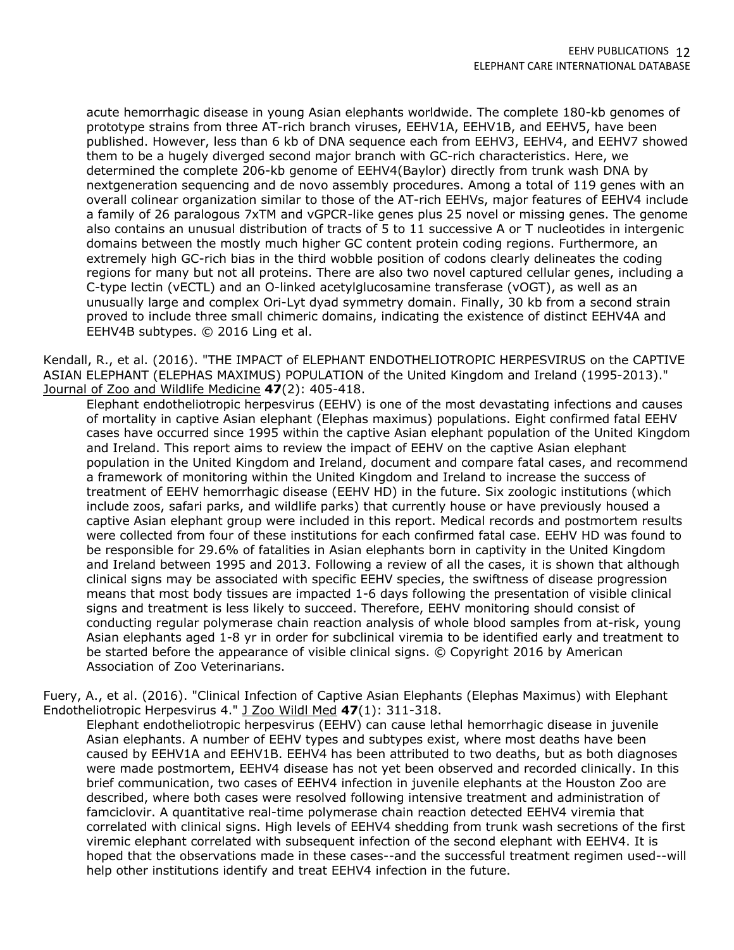acute hemorrhagic disease in young Asian elephants worldwide. The complete 180-kb genomes of prototype strains from three AT-rich branch viruses, EEHV1A, EEHV1B, and EEHV5, have been published. However, less than 6 kb of DNA sequence each from EEHV3, EEHV4, and EEHV7 showed them to be a hugely diverged second major branch with GC-rich characteristics. Here, we determined the complete 206-kb genome of EEHV4(Baylor) directly from trunk wash DNA by nextgeneration sequencing and de novo assembly procedures. Among a total of 119 genes with an overall colinear organization similar to those of the AT-rich EEHVs, major features of EEHV4 include a family of 26 paralogous 7xTM and vGPCR-like genes plus 25 novel or missing genes. The genome also contains an unusual distribution of tracts of 5 to 11 successive A or T nucleotides in intergenic domains between the mostly much higher GC content protein coding regions. Furthermore, an extremely high GC-rich bias in the third wobble position of codons clearly delineates the coding regions for many but not all proteins. There are also two novel captured cellular genes, including a C-type lectin (vECTL) and an O-linked acetylglucosamine transferase (vOGT), as well as an unusually large and complex Ori-Lyt dyad symmetry domain. Finally, 30 kb from a second strain proved to include three small chimeric domains, indicating the existence of distinct EEHV4A and EEHV4B subtypes. © 2016 Ling et al.

Kendall, R., et al. (2016). "THE IMPACT of ELEPHANT ENDOTHELIOTROPIC HERPESVIRUS on the CAPTIVE ASIAN ELEPHANT (ELEPHAS MAXIMUS) POPULATION of the United Kingdom and Ireland (1995-2013)." Journal of Zoo and Wildlife Medicine **47**(2): 405-418.

Elephant endotheliotropic herpesvirus (EEHV) is one of the most devastating infections and causes of mortality in captive Asian elephant (Elephas maximus) populations. Eight confirmed fatal EEHV cases have occurred since 1995 within the captive Asian elephant population of the United Kingdom and Ireland. This report aims to review the impact of EEHV on the captive Asian elephant population in the United Kingdom and Ireland, document and compare fatal cases, and recommend a framework of monitoring within the United Kingdom and Ireland to increase the success of treatment of EEHV hemorrhagic disease (EEHV HD) in the future. Six zoologic institutions (which include zoos, safari parks, and wildlife parks) that currently house or have previously housed a captive Asian elephant group were included in this report. Medical records and postmortem results were collected from four of these institutions for each confirmed fatal case. EEHV HD was found to be responsible for 29.6% of fatalities in Asian elephants born in captivity in the United Kingdom and Ireland between 1995 and 2013. Following a review of all the cases, it is shown that although clinical signs may be associated with specific EEHV species, the swiftness of disease progression means that most body tissues are impacted 1-6 days following the presentation of visible clinical signs and treatment is less likely to succeed. Therefore, EEHV monitoring should consist of conducting regular polymerase chain reaction analysis of whole blood samples from at-risk, young Asian elephants aged 1-8 yr in order for subclinical viremia to be identified early and treatment to be started before the appearance of visible clinical signs. © Copyright 2016 by American Association of Zoo Veterinarians.

Fuery, A., et al. (2016). "Clinical Infection of Captive Asian Elephants (Elephas Maximus) with Elephant Endotheliotropic Herpesvirus 4." J Zoo Wildl Med **47**(1): 311-318.

Elephant endotheliotropic herpesvirus (EEHV) can cause lethal hemorrhagic disease in juvenile Asian elephants. A number of EEHV types and subtypes exist, where most deaths have been caused by EEHV1A and EEHV1B. EEHV4 has been attributed to two deaths, but as both diagnoses were made postmortem, EEHV4 disease has not yet been observed and recorded clinically. In this brief communication, two cases of EEHV4 infection in juvenile elephants at the Houston Zoo are described, where both cases were resolved following intensive treatment and administration of famciclovir. A quantitative real-time polymerase chain reaction detected EEHV4 viremia that correlated with clinical signs. High levels of EEHV4 shedding from trunk wash secretions of the first viremic elephant correlated with subsequent infection of the second elephant with EEHV4. It is hoped that the observations made in these cases--and the successful treatment regimen used--will help other institutions identify and treat EEHV4 infection in the future.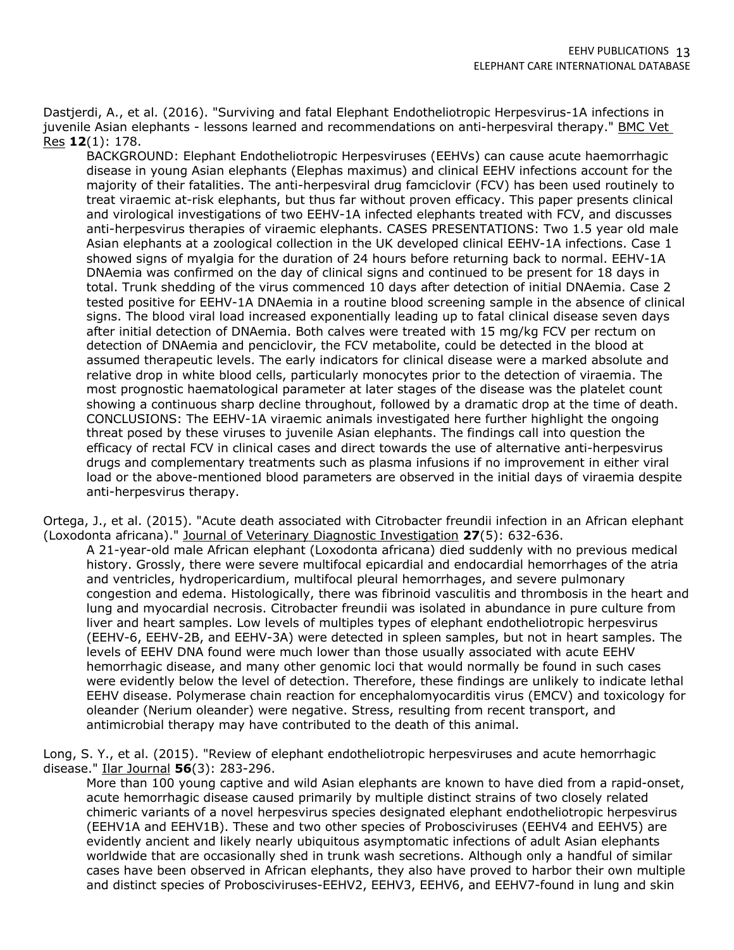Dastjerdi, A., et al. (2016). "Surviving and fatal Elephant Endotheliotropic Herpesvirus-1A infections in juvenile Asian elephants - lessons learned and recommendations on anti-herpesviral therapy." BMC Vet Res **12**(1): 178.

BACKGROUND: Elephant Endotheliotropic Herpesviruses (EEHVs) can cause acute haemorrhagic disease in young Asian elephants (Elephas maximus) and clinical EEHV infections account for the majority of their fatalities. The anti-herpesviral drug famciclovir (FCV) has been used routinely to treat viraemic at-risk elephants, but thus far without proven efficacy. This paper presents clinical and virological investigations of two EEHV-1A infected elephants treated with FCV, and discusses anti-herpesvirus therapies of viraemic elephants. CASES PRESENTATIONS: Two 1.5 year old male Asian elephants at a zoological collection in the UK developed clinical EEHV-1A infections. Case 1 showed signs of myalgia for the duration of 24 hours before returning back to normal. EEHV-1A DNAemia was confirmed on the day of clinical signs and continued to be present for 18 days in total. Trunk shedding of the virus commenced 10 days after detection of initial DNAemia. Case 2 tested positive for EEHV-1A DNAemia in a routine blood screening sample in the absence of clinical signs. The blood viral load increased exponentially leading up to fatal clinical disease seven days after initial detection of DNAemia. Both calves were treated with 15 mg/kg FCV per rectum on detection of DNAemia and penciclovir, the FCV metabolite, could be detected in the blood at assumed therapeutic levels. The early indicators for clinical disease were a marked absolute and relative drop in white blood cells, particularly monocytes prior to the detection of viraemia. The most prognostic haematological parameter at later stages of the disease was the platelet count showing a continuous sharp decline throughout, followed by a dramatic drop at the time of death. CONCLUSIONS: The EEHV-1A viraemic animals investigated here further highlight the ongoing threat posed by these viruses to juvenile Asian elephants. The findings call into question the efficacy of rectal FCV in clinical cases and direct towards the use of alternative anti-herpesvirus drugs and complementary treatments such as plasma infusions if no improvement in either viral load or the above-mentioned blood parameters are observed in the initial days of viraemia despite anti-herpesvirus therapy.

Ortega, J., et al. (2015). "Acute death associated with Citrobacter freundii infection in an African elephant (Loxodonta africana)." Journal of Veterinary Diagnostic Investigation **27**(5): 632-636.

A 21-year-old male African elephant (Loxodonta africana) died suddenly with no previous medical history. Grossly, there were severe multifocal epicardial and endocardial hemorrhages of the atria and ventricles, hydropericardium, multifocal pleural hemorrhages, and severe pulmonary congestion and edema. Histologically, there was fibrinoid vasculitis and thrombosis in the heart and lung and myocardial necrosis. Citrobacter freundii was isolated in abundance in pure culture from liver and heart samples. Low levels of multiples types of elephant endotheliotropic herpesvirus (EEHV-6, EEHV-2B, and EEHV-3A) were detected in spleen samples, but not in heart samples. The levels of EEHV DNA found were much lower than those usually associated with acute EEHV hemorrhagic disease, and many other genomic loci that would normally be found in such cases were evidently below the level of detection. Therefore, these findings are unlikely to indicate lethal EEHV disease. Polymerase chain reaction for encephalomyocarditis virus (EMCV) and toxicology for oleander (Nerium oleander) were negative. Stress, resulting from recent transport, and antimicrobial therapy may have contributed to the death of this animal.

Long, S. Y., et al. (2015). "Review of elephant endotheliotropic herpesviruses and acute hemorrhagic disease." Ilar Journal **56**(3): 283-296.

More than 100 young captive and wild Asian elephants are known to have died from a rapid-onset, acute hemorrhagic disease caused primarily by multiple distinct strains of two closely related chimeric variants of a novel herpesvirus species designated elephant endotheliotropic herpesvirus (EEHV1A and EEHV1B). These and two other species of Probosciviruses (EEHV4 and EEHV5) are evidently ancient and likely nearly ubiquitous asymptomatic infections of adult Asian elephants worldwide that are occasionally shed in trunk wash secretions. Although only a handful of similar cases have been observed in African elephants, they also have proved to harbor their own multiple and distinct species of Probosciviruses-EEHV2, EEHV3, EEHV6, and EEHV7-found in lung and skin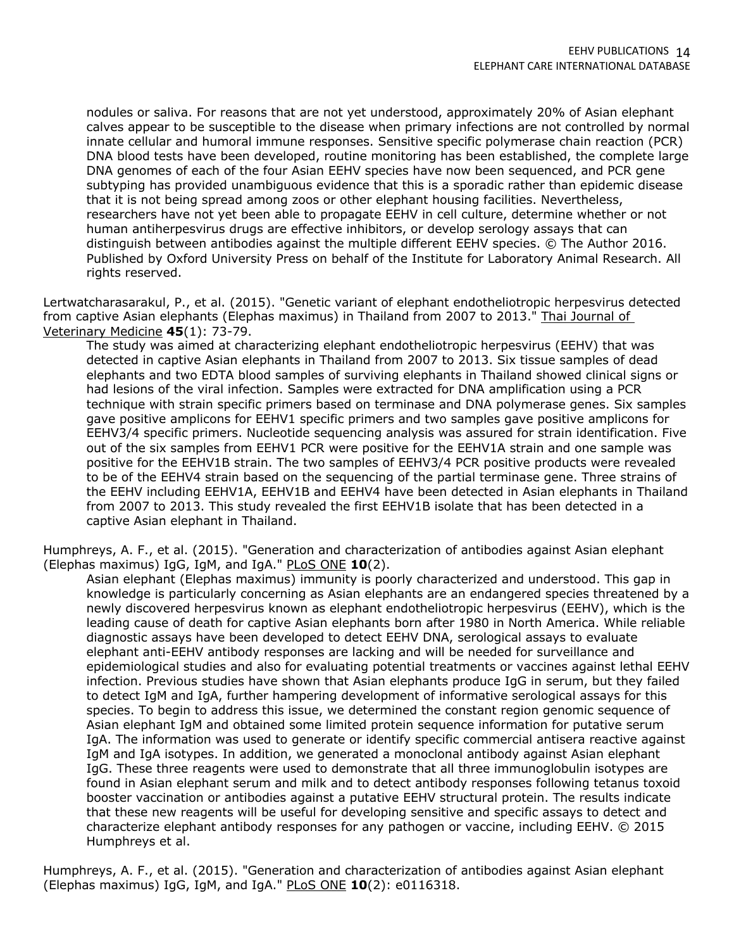nodules or saliva. For reasons that are not yet understood, approximately 20% of Asian elephant calves appear to be susceptible to the disease when primary infections are not controlled by normal innate cellular and humoral immune responses. Sensitive specific polymerase chain reaction (PCR) DNA blood tests have been developed, routine monitoring has been established, the complete large DNA genomes of each of the four Asian EEHV species have now been sequenced, and PCR gene subtyping has provided unambiguous evidence that this is a sporadic rather than epidemic disease that it is not being spread among zoos or other elephant housing facilities. Nevertheless, researchers have not yet been able to propagate EEHV in cell culture, determine whether or not human antiherpesvirus drugs are effective inhibitors, or develop serology assays that can distinguish between antibodies against the multiple different EEHV species. © The Author 2016. Published by Oxford University Press on behalf of the Institute for Laboratory Animal Research. All rights reserved.

Lertwatcharasarakul, P., et al. (2015). "Genetic variant of elephant endotheliotropic herpesvirus detected from captive Asian elephants (Elephas maximus) in Thailand from 2007 to 2013." Thai Journal of Veterinary Medicine **45**(1): 73-79.

The study was aimed at characterizing elephant endotheliotropic herpesvirus (EEHV) that was detected in captive Asian elephants in Thailand from 2007 to 2013. Six tissue samples of dead elephants and two EDTA blood samples of surviving elephants in Thailand showed clinical signs or had lesions of the viral infection. Samples were extracted for DNA amplification using a PCR technique with strain specific primers based on terminase and DNA polymerase genes. Six samples gave positive amplicons for EEHV1 specific primers and two samples gave positive amplicons for EEHV3/4 specific primers. Nucleotide sequencing analysis was assured for strain identification. Five out of the six samples from EEHV1 PCR were positive for the EEHV1A strain and one sample was positive for the EEHV1B strain. The two samples of EEHV3/4 PCR positive products were revealed to be of the EEHV4 strain based on the sequencing of the partial terminase gene. Three strains of the EEHV including EEHV1A, EEHV1B and EEHV4 have been detected in Asian elephants in Thailand from 2007 to 2013. This study revealed the first EEHV1B isolate that has been detected in a captive Asian elephant in Thailand.

Humphreys, A. F., et al. (2015). "Generation and characterization of antibodies against Asian elephant (Elephas maximus) IgG, IgM, and IgA." PLoS ONE **10**(2).

Asian elephant (Elephas maximus) immunity is poorly characterized and understood. This gap in knowledge is particularly concerning as Asian elephants are an endangered species threatened by a newly discovered herpesvirus known as elephant endotheliotropic herpesvirus (EEHV), which is the leading cause of death for captive Asian elephants born after 1980 in North America. While reliable diagnostic assays have been developed to detect EEHV DNA, serological assays to evaluate elephant anti-EEHV antibody responses are lacking and will be needed for surveillance and epidemiological studies and also for evaluating potential treatments or vaccines against lethal EEHV infection. Previous studies have shown that Asian elephants produce IgG in serum, but they failed to detect IgM and IgA, further hampering development of informative serological assays for this species. To begin to address this issue, we determined the constant region genomic sequence of Asian elephant IgM and obtained some limited protein sequence information for putative serum IgA. The information was used to generate or identify specific commercial antisera reactive against IgM and IgA isotypes. In addition, we generated a monoclonal antibody against Asian elephant IgG. These three reagents were used to demonstrate that all three immunoglobulin isotypes are found in Asian elephant serum and milk and to detect antibody responses following tetanus toxoid booster vaccination or antibodies against a putative EEHV structural protein. The results indicate that these new reagents will be useful for developing sensitive and specific assays to detect and characterize elephant antibody responses for any pathogen or vaccine, including EEHV. © 2015 Humphreys et al.

Humphreys, A. F., et al. (2015). "Generation and characterization of antibodies against Asian elephant (Elephas maximus) IgG, IgM, and IgA." PLoS ONE **10**(2): e0116318.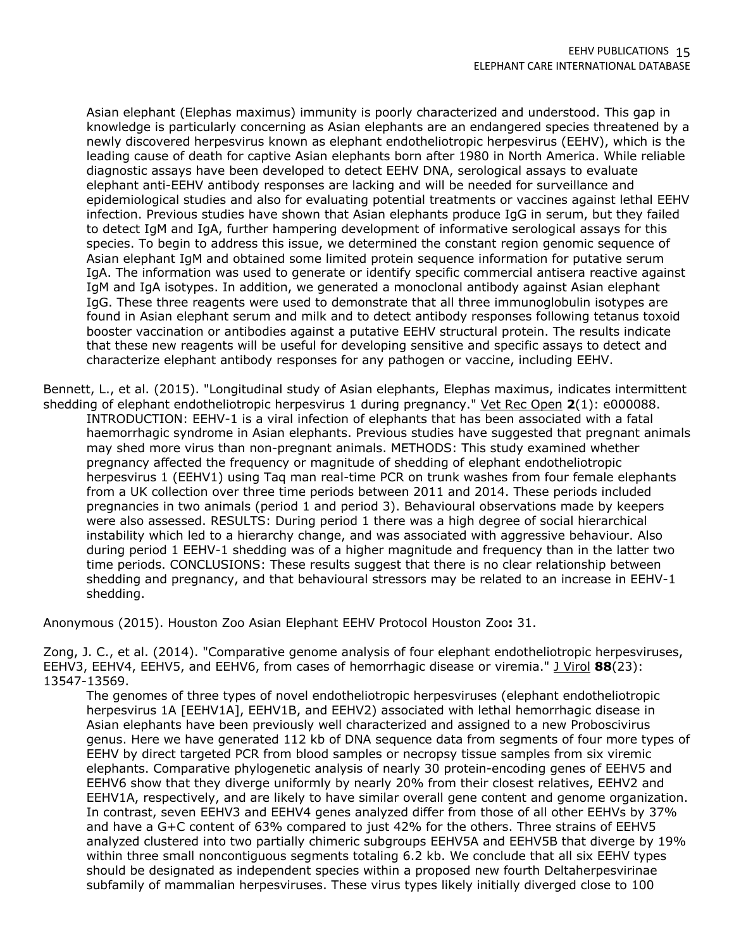Asian elephant (Elephas maximus) immunity is poorly characterized and understood. This gap in knowledge is particularly concerning as Asian elephants are an endangered species threatened by a newly discovered herpesvirus known as elephant endotheliotropic herpesvirus (EEHV), which is the leading cause of death for captive Asian elephants born after 1980 in North America. While reliable diagnostic assays have been developed to detect EEHV DNA, serological assays to evaluate elephant anti-EEHV antibody responses are lacking and will be needed for surveillance and epidemiological studies and also for evaluating potential treatments or vaccines against lethal EEHV infection. Previous studies have shown that Asian elephants produce IgG in serum, but they failed to detect IgM and IgA, further hampering development of informative serological assays for this species. To begin to address this issue, we determined the constant region genomic sequence of Asian elephant IgM and obtained some limited protein sequence information for putative serum IgA. The information was used to generate or identify specific commercial antisera reactive against IgM and IgA isotypes. In addition, we generated a monoclonal antibody against Asian elephant IgG. These three reagents were used to demonstrate that all three immunoglobulin isotypes are found in Asian elephant serum and milk and to detect antibody responses following tetanus toxoid booster vaccination or antibodies against a putative EEHV structural protein. The results indicate that these new reagents will be useful for developing sensitive and specific assays to detect and characterize elephant antibody responses for any pathogen or vaccine, including EEHV.

Bennett, L., et al. (2015). "Longitudinal study of Asian elephants, Elephas maximus, indicates intermittent shedding of elephant endotheliotropic herpesvirus 1 during pregnancy." Vet Rec Open **2**(1): e000088. INTRODUCTION: EEHV-1 is a viral infection of elephants that has been associated with a fatal haemorrhagic syndrome in Asian elephants. Previous studies have suggested that pregnant animals may shed more virus than non-pregnant animals. METHODS: This study examined whether pregnancy affected the frequency or magnitude of shedding of elephant endotheliotropic herpesvirus 1 (EEHV1) using Taq man real-time PCR on trunk washes from four female elephants from a UK collection over three time periods between 2011 and 2014. These periods included pregnancies in two animals (period 1 and period 3). Behavioural observations made by keepers were also assessed. RESULTS: During period 1 there was a high degree of social hierarchical instability which led to a hierarchy change, and was associated with aggressive behaviour. Also during period 1 EEHV-1 shedding was of a higher magnitude and frequency than in the latter two time periods. CONCLUSIONS: These results suggest that there is no clear relationship between shedding and pregnancy, and that behavioural stressors may be related to an increase in EEHV-1 shedding.

Anonymous (2015). Houston Zoo Asian Elephant EEHV Protocol Houston Zoo**:** 31.

Zong, J. C., et al. (2014). "Comparative genome analysis of four elephant endotheliotropic herpesviruses, EEHV3, EEHV4, EEHV5, and EEHV6, from cases of hemorrhagic disease or viremia." J Virol **88**(23): 13547-13569.

The genomes of three types of novel endotheliotropic herpesviruses (elephant endotheliotropic herpesvirus 1A [EEHV1A], EEHV1B, and EEHV2) associated with lethal hemorrhagic disease in Asian elephants have been previously well characterized and assigned to a new Proboscivirus genus. Here we have generated 112 kb of DNA sequence data from segments of four more types of EEHV by direct targeted PCR from blood samples or necropsy tissue samples from six viremic elephants. Comparative phylogenetic analysis of nearly 30 protein-encoding genes of EEHV5 and EEHV6 show that they diverge uniformly by nearly 20% from their closest relatives, EEHV2 and EEHV1A, respectively, and are likely to have similar overall gene content and genome organization. In contrast, seven EEHV3 and EEHV4 genes analyzed differ from those of all other EEHVs by 37% and have a G+C content of 63% compared to just 42% for the others. Three strains of EEHV5 analyzed clustered into two partially chimeric subgroups EEHV5A and EEHV5B that diverge by 19% within three small noncontiguous segments totaling 6.2 kb. We conclude that all six EEHV types should be designated as independent species within a proposed new fourth Deltaherpesvirinae subfamily of mammalian herpesviruses. These virus types likely initially diverged close to 100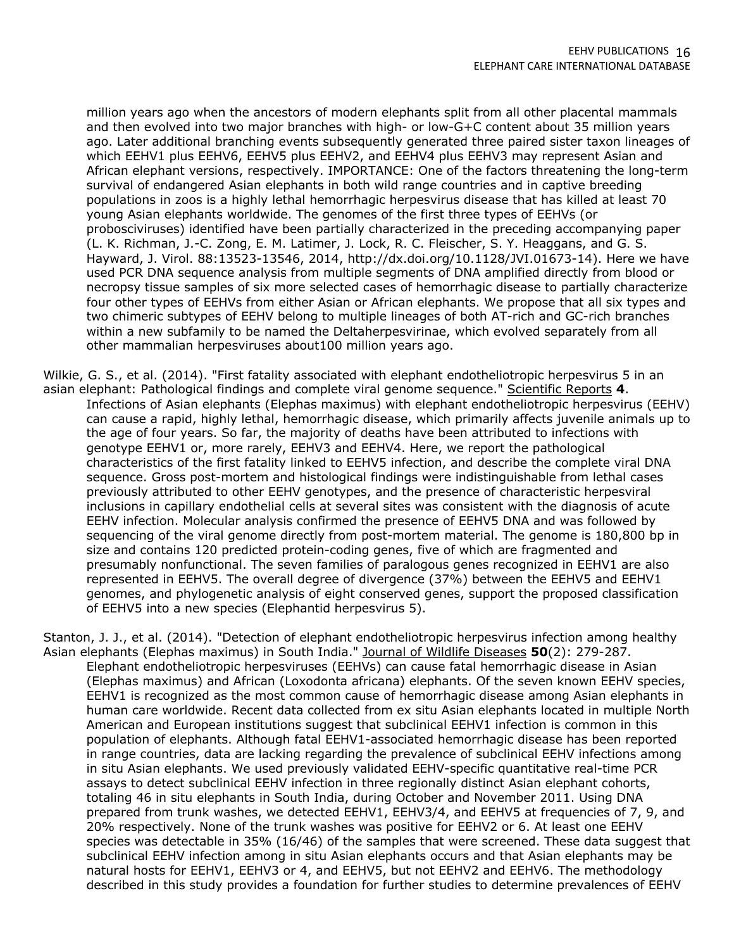million years ago when the ancestors of modern elephants split from all other placental mammals and then evolved into two major branches with high- or low-G+C content about 35 million years ago. Later additional branching events subsequently generated three paired sister taxon lineages of which EEHV1 plus EEHV6, EEHV5 plus EEHV2, and EEHV4 plus EEHV3 may represent Asian and African elephant versions, respectively. IMPORTANCE: One of the factors threatening the long-term survival of endangered Asian elephants in both wild range countries and in captive breeding populations in zoos is a highly lethal hemorrhagic herpesvirus disease that has killed at least 70 young Asian elephants worldwide. The genomes of the first three types of EEHVs (or probosciviruses) identified have been partially characterized in the preceding accompanying paper (L. K. Richman, J.-C. Zong, E. M. Latimer, J. Lock, R. C. Fleischer, S. Y. Heaggans, and G. S. Hayward, J. Virol. 88:13523-13546, 2014, http://dx.doi.org/10.1128/JVI.01673-14). Here we have used PCR DNA sequence analysis from multiple segments of DNA amplified directly from blood or necropsy tissue samples of six more selected cases of hemorrhagic disease to partially characterize four other types of EEHVs from either Asian or African elephants. We propose that all six types and two chimeric subtypes of EEHV belong to multiple lineages of both AT-rich and GC-rich branches within a new subfamily to be named the Deltaherpesvirinae, which evolved separately from all other mammalian herpesviruses about100 million years ago.

Wilkie, G. S., et al. (2014). "First fatality associated with elephant endotheliotropic herpesvirus 5 in an asian elephant: Pathological findings and complete viral genome sequence." Scientific Reports **4**. Infections of Asian elephants (Elephas maximus) with elephant endotheliotropic herpesvirus (EEHV) can cause a rapid, highly lethal, hemorrhagic disease, which primarily affects juvenile animals up to the age of four years. So far, the majority of deaths have been attributed to infections with genotype EEHV1 or, more rarely, EEHV3 and EEHV4. Here, we report the pathological characteristics of the first fatality linked to EEHV5 infection, and describe the complete viral DNA sequence. Gross post-mortem and histological findings were indistinguishable from lethal cases previously attributed to other EEHV genotypes, and the presence of characteristic herpesviral inclusions in capillary endothelial cells at several sites was consistent with the diagnosis of acute EEHV infection. Molecular analysis confirmed the presence of EEHV5 DNA and was followed by sequencing of the viral genome directly from post-mortem material. The genome is 180,800 bp in size and contains 120 predicted protein-coding genes, five of which are fragmented and presumably nonfunctional. The seven families of paralogous genes recognized in EEHV1 are also represented in EEHV5. The overall degree of divergence (37%) between the EEHV5 and EEHV1 genomes, and phylogenetic analysis of eight conserved genes, support the proposed classification of EEHV5 into a new species (Elephantid herpesvirus 5).

Stanton, J. J., et al. (2014). "Detection of elephant endotheliotropic herpesvirus infection among healthy Asian elephants (Elephas maximus) in South India." Journal of Wildlife Diseases **50**(2): 279-287. Elephant endotheliotropic herpesviruses (EEHVs) can cause fatal hemorrhagic disease in Asian (Elephas maximus) and African (Loxodonta africana) elephants. Of the seven known EEHV species, EEHV1 is recognized as the most common cause of hemorrhagic disease among Asian elephants in human care worldwide. Recent data collected from ex situ Asian elephants located in multiple North American and European institutions suggest that subclinical EEHV1 infection is common in this population of elephants. Although fatal EEHV1-associated hemorrhagic disease has been reported in range countries, data are lacking regarding the prevalence of subclinical EEHV infections among in situ Asian elephants. We used previously validated EEHV-specific quantitative real-time PCR assays to detect subclinical EEHV infection in three regionally distinct Asian elephant cohorts, totaling 46 in situ elephants in South India, during October and November 2011. Using DNA prepared from trunk washes, we detected EEHV1, EEHV3/4, and EEHV5 at frequencies of 7, 9, and 20% respectively. None of the trunk washes was positive for EEHV2 or 6. At least one EEHV species was detectable in 35% (16/46) of the samples that were screened. These data suggest that subclinical EEHV infection among in situ Asian elephants occurs and that Asian elephants may be natural hosts for EEHV1, EEHV3 or 4, and EEHV5, but not EEHV2 and EEHV6. The methodology described in this study provides a foundation for further studies to determine prevalences of EEHV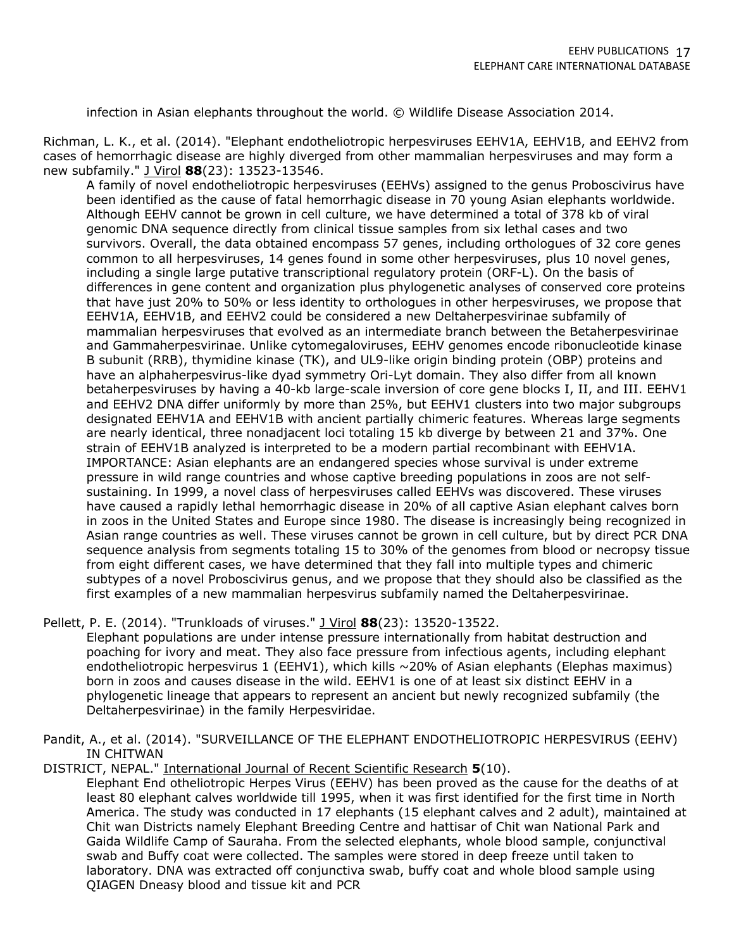infection in Asian elephants throughout the world. © Wildlife Disease Association 2014.

Richman, L. K., et al. (2014). "Elephant endotheliotropic herpesviruses EEHV1A, EEHV1B, and EEHV2 from cases of hemorrhagic disease are highly diverged from other mammalian herpesviruses and may form a new subfamily." J Virol **88**(23): 13523-13546.

A family of novel endotheliotropic herpesviruses (EEHVs) assigned to the genus Proboscivirus have been identified as the cause of fatal hemorrhagic disease in 70 young Asian elephants worldwide. Although EEHV cannot be grown in cell culture, we have determined a total of 378 kb of viral genomic DNA sequence directly from clinical tissue samples from six lethal cases and two survivors. Overall, the data obtained encompass 57 genes, including orthologues of 32 core genes common to all herpesviruses, 14 genes found in some other herpesviruses, plus 10 novel genes, including a single large putative transcriptional regulatory protein (ORF-L). On the basis of differences in gene content and organization plus phylogenetic analyses of conserved core proteins that have just 20% to 50% or less identity to orthologues in other herpesviruses, we propose that EEHV1A, EEHV1B, and EEHV2 could be considered a new Deltaherpesvirinae subfamily of mammalian herpesviruses that evolved as an intermediate branch between the Betaherpesvirinae and Gammaherpesvirinae. Unlike cytomegaloviruses, EEHV genomes encode ribonucleotide kinase B subunit (RRB), thymidine kinase (TK), and UL9-like origin binding protein (OBP) proteins and have an alphaherpesvirus-like dyad symmetry Ori-Lyt domain. They also differ from all known betaherpesviruses by having a 40-kb large-scale inversion of core gene blocks I, II, and III. EEHV1 and EEHV2 DNA differ uniformly by more than 25%, but EEHV1 clusters into two major subgroups designated EEHV1A and EEHV1B with ancient partially chimeric features. Whereas large segments are nearly identical, three nonadjacent loci totaling 15 kb diverge by between 21 and 37%. One strain of EEHV1B analyzed is interpreted to be a modern partial recombinant with EEHV1A. IMPORTANCE: Asian elephants are an endangered species whose survival is under extreme pressure in wild range countries and whose captive breeding populations in zoos are not selfsustaining. In 1999, a novel class of herpesviruses called EEHVs was discovered. These viruses have caused a rapidly lethal hemorrhagic disease in 20% of all captive Asian elephant calves born in zoos in the United States and Europe since 1980. The disease is increasingly being recognized in Asian range countries as well. These viruses cannot be grown in cell culture, but by direct PCR DNA sequence analysis from segments totaling 15 to 30% of the genomes from blood or necropsy tissue from eight different cases, we have determined that they fall into multiple types and chimeric subtypes of a novel Proboscivirus genus, and we propose that they should also be classified as the first examples of a new mammalian herpesvirus subfamily named the Deltaherpesvirinae.

Pellett, P. E. (2014). "Trunkloads of viruses." J Virol **88**(23): 13520-13522.

Elephant populations are under intense pressure internationally from habitat destruction and poaching for ivory and meat. They also face pressure from infectious agents, including elephant endotheliotropic herpesvirus 1 (EEHV1), which kills ~20% of Asian elephants (Elephas maximus) born in zoos and causes disease in the wild. EEHV1 is one of at least six distinct EEHV in a phylogenetic lineage that appears to represent an ancient but newly recognized subfamily (the Deltaherpesvirinae) in the family Herpesviridae.

Pandit, A., et al. (2014). "SURVEILLANCE OF THE ELEPHANT ENDOTHELIOTROPIC HERPESVIRUS (EEHV) IN CHITWAN

DISTRICT, NEPAL." International Journal of Recent Scientific Research **5**(10).

Elephant End otheliotropic Herpes Virus (EEHV) has been proved as the cause for the deaths of at least 80 elephant calves worldwide till 1995, when it was first identified for the first time in North America. The study was conducted in 17 elephants (15 elephant calves and 2 adult), maintained at Chit wan Districts namely Elephant Breeding Centre and hattisar of Chit wan National Park and Gaida Wildlife Camp of Sauraha. From the selected elephants, whole blood sample, conjunctival swab and Buffy coat were collected. The samples were stored in deep freeze until taken to laboratory. DNA was extracted off conjunctiva swab, buffy coat and whole blood sample using QIAGEN Dneasy blood and tissue kit and PCR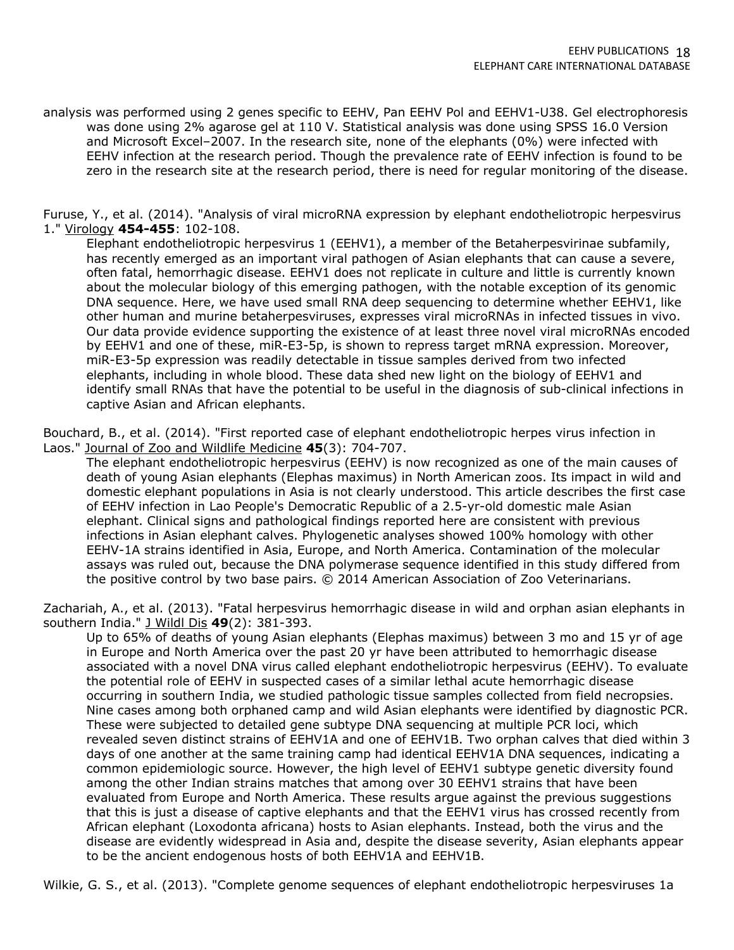analysis was performed using 2 genes specific to EEHV, Pan EEHV Pol and EEHV1-U38. Gel electrophoresis was done using 2% agarose gel at 110 V. Statistical analysis was done using SPSS 16.0 Version and Microsoft Excel–2007. In the research site, none of the elephants (0%) were infected with EEHV infection at the research period. Though the prevalence rate of EEHV infection is found to be zero in the research site at the research period, there is need for regular monitoring of the disease.

Furuse, Y., et al. (2014). "Analysis of viral microRNA expression by elephant endotheliotropic herpesvirus 1." Virology **454-455**: 102-108.

Elephant endotheliotropic herpesvirus 1 (EEHV1), a member of the Betaherpesvirinae subfamily, has recently emerged as an important viral pathogen of Asian elephants that can cause a severe, often fatal, hemorrhagic disease. EEHV1 does not replicate in culture and little is currently known about the molecular biology of this emerging pathogen, with the notable exception of its genomic DNA sequence. Here, we have used small RNA deep sequencing to determine whether EEHV1, like other human and murine betaherpesviruses, expresses viral microRNAs in infected tissues in vivo. Our data provide evidence supporting the existence of at least three novel viral microRNAs encoded by EEHV1 and one of these, miR-E3-5p, is shown to repress target mRNA expression. Moreover, miR-E3-5p expression was readily detectable in tissue samples derived from two infected elephants, including in whole blood. These data shed new light on the biology of EEHV1 and identify small RNAs that have the potential to be useful in the diagnosis of sub-clinical infections in captive Asian and African elephants.

Bouchard, B., et al. (2014). "First reported case of elephant endotheliotropic herpes virus infection in Laos." Journal of Zoo and Wildlife Medicine **45**(3): 704-707.

The elephant endotheliotropic herpesvirus (EEHV) is now recognized as one of the main causes of death of young Asian elephants (Elephas maximus) in North American zoos. Its impact in wild and domestic elephant populations in Asia is not clearly understood. This article describes the first case of EEHV infection in Lao People's Democratic Republic of a 2.5-yr-old domestic male Asian elephant. Clinical signs and pathological findings reported here are consistent with previous infections in Asian elephant calves. Phylogenetic analyses showed 100% homology with other EEHV-1A strains identified in Asia, Europe, and North America. Contamination of the molecular assays was ruled out, because the DNA polymerase sequence identified in this study differed from the positive control by two base pairs. © 2014 American Association of Zoo Veterinarians.

Zachariah, A., et al. (2013). "Fatal herpesvirus hemorrhagic disease in wild and orphan asian elephants in southern India." J Wildl Dis **49**(2): 381-393.

Up to 65% of deaths of young Asian elephants (Elephas maximus) between 3 mo and 15 yr of age in Europe and North America over the past 20 yr have been attributed to hemorrhagic disease associated with a novel DNA virus called elephant endotheliotropic herpesvirus (EEHV). To evaluate the potential role of EEHV in suspected cases of a similar lethal acute hemorrhagic disease occurring in southern India, we studied pathologic tissue samples collected from field necropsies. Nine cases among both orphaned camp and wild Asian elephants were identified by diagnostic PCR. These were subjected to detailed gene subtype DNA sequencing at multiple PCR loci, which revealed seven distinct strains of EEHV1A and one of EEHV1B. Two orphan calves that died within 3 days of one another at the same training camp had identical EEHV1A DNA sequences, indicating a common epidemiologic source. However, the high level of EEHV1 subtype genetic diversity found among the other Indian strains matches that among over 30 EEHV1 strains that have been evaluated from Europe and North America. These results argue against the previous suggestions that this is just a disease of captive elephants and that the EEHV1 virus has crossed recently from African elephant (Loxodonta africana) hosts to Asian elephants. Instead, both the virus and the disease are evidently widespread in Asia and, despite the disease severity, Asian elephants appear to be the ancient endogenous hosts of both EEHV1A and EEHV1B.

Wilkie, G. S., et al. (2013). "Complete genome sequences of elephant endotheliotropic herpesviruses 1a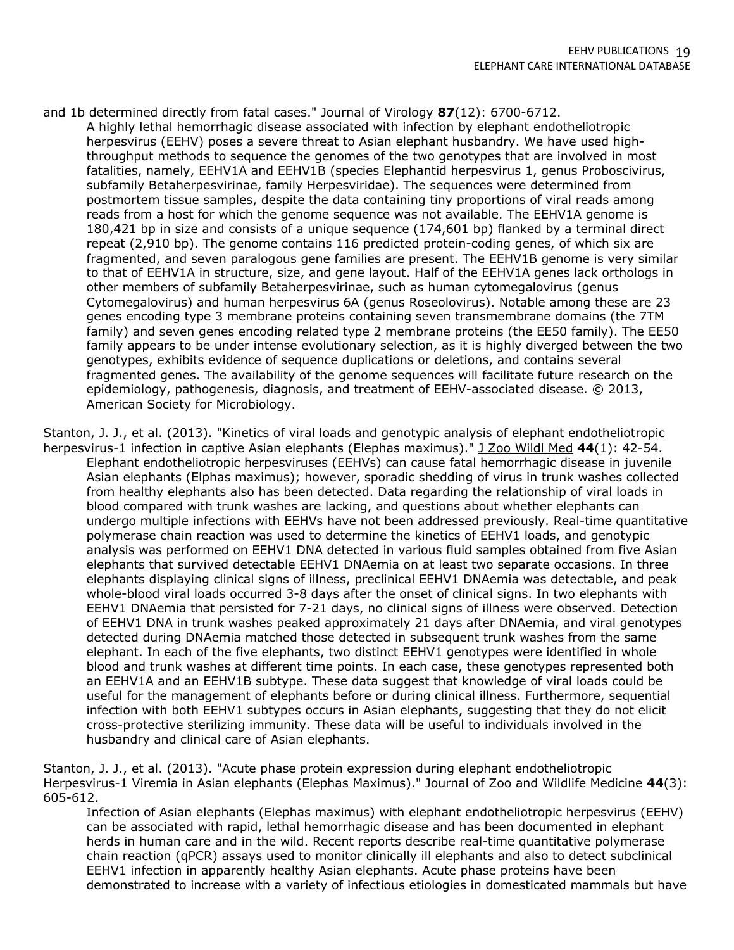and 1b determined directly from fatal cases." Journal of Virology **87**(12): 6700-6712. A highly lethal hemorrhagic disease associated with infection by elephant endotheliotropic herpesvirus (EEHV) poses a severe threat to Asian elephant husbandry. We have used highthroughput methods to sequence the genomes of the two genotypes that are involved in most fatalities, namely, EEHV1A and EEHV1B (species Elephantid herpesvirus 1, genus Proboscivirus, subfamily Betaherpesvirinae, family Herpesviridae). The sequences were determined from postmortem tissue samples, despite the data containing tiny proportions of viral reads among reads from a host for which the genome sequence was not available. The EEHV1A genome is 180,421 bp in size and consists of a unique sequence (174,601 bp) flanked by a terminal direct repeat (2,910 bp). The genome contains 116 predicted protein-coding genes, of which six are fragmented, and seven paralogous gene families are present. The EEHV1B genome is very similar to that of EEHV1A in structure, size, and gene layout. Half of the EEHV1A genes lack orthologs in other members of subfamily Betaherpesvirinae, such as human cytomegalovirus (genus Cytomegalovirus) and human herpesvirus 6A (genus Roseolovirus). Notable among these are 23 genes encoding type 3 membrane proteins containing seven transmembrane domains (the 7TM family) and seven genes encoding related type 2 membrane proteins (the EE50 family). The EE50 family appears to be under intense evolutionary selection, as it is highly diverged between the two genotypes, exhibits evidence of sequence duplications or deletions, and contains several fragmented genes. The availability of the genome sequences will facilitate future research on the epidemiology, pathogenesis, diagnosis, and treatment of EEHV-associated disease. © 2013, American Society for Microbiology.

Stanton, J. J., et al. (2013). "Kinetics of viral loads and genotypic analysis of elephant endotheliotropic herpesvirus-1 infection in captive Asian elephants (Elephas maximus)." J Zoo Wildl Med **44**(1): 42-54. Elephant endotheliotropic herpesviruses (EEHVs) can cause fatal hemorrhagic disease in juvenile Asian elephants (Elphas maximus); however, sporadic shedding of virus in trunk washes collected from healthy elephants also has been detected. Data regarding the relationship of viral loads in blood compared with trunk washes are lacking, and questions about whether elephants can undergo multiple infections with EEHVs have not been addressed previously. Real-time quantitative polymerase chain reaction was used to determine the kinetics of EEHV1 loads, and genotypic analysis was performed on EEHV1 DNA detected in various fluid samples obtained from five Asian elephants that survived detectable EEHV1 DNAemia on at least two separate occasions. In three elephants displaying clinical signs of illness, preclinical EEHV1 DNAemia was detectable, and peak whole-blood viral loads occurred 3-8 days after the onset of clinical signs. In two elephants with EEHV1 DNAemia that persisted for 7-21 days, no clinical signs of illness were observed. Detection of EEHV1 DNA in trunk washes peaked approximately 21 days after DNAemia, and viral genotypes detected during DNAemia matched those detected in subsequent trunk washes from the same elephant. In each of the five elephants, two distinct EEHV1 genotypes were identified in whole blood and trunk washes at different time points. In each case, these genotypes represented both an EEHV1A and an EEHV1B subtype. These data suggest that knowledge of viral loads could be useful for the management of elephants before or during clinical illness. Furthermore, sequential infection with both EEHV1 subtypes occurs in Asian elephants, suggesting that they do not elicit cross-protective sterilizing immunity. These data will be useful to individuals involved in the husbandry and clinical care of Asian elephants.

Stanton, J. J., et al. (2013). "Acute phase protein expression during elephant endotheliotropic Herpesvirus-1 Viremia in Asian elephants (Elephas Maximus)." Journal of Zoo and Wildlife Medicine **44**(3): 605-612.

Infection of Asian elephants (Elephas maximus) with elephant endotheliotropic herpesvirus (EEHV) can be associated with rapid, lethal hemorrhagic disease and has been documented in elephant herds in human care and in the wild. Recent reports describe real-time quantitative polymerase chain reaction (qPCR) assays used to monitor clinically ill elephants and also to detect subclinical EEHV1 infection in apparently healthy Asian elephants. Acute phase proteins have been demonstrated to increase with a variety of infectious etiologies in domesticated mammals but have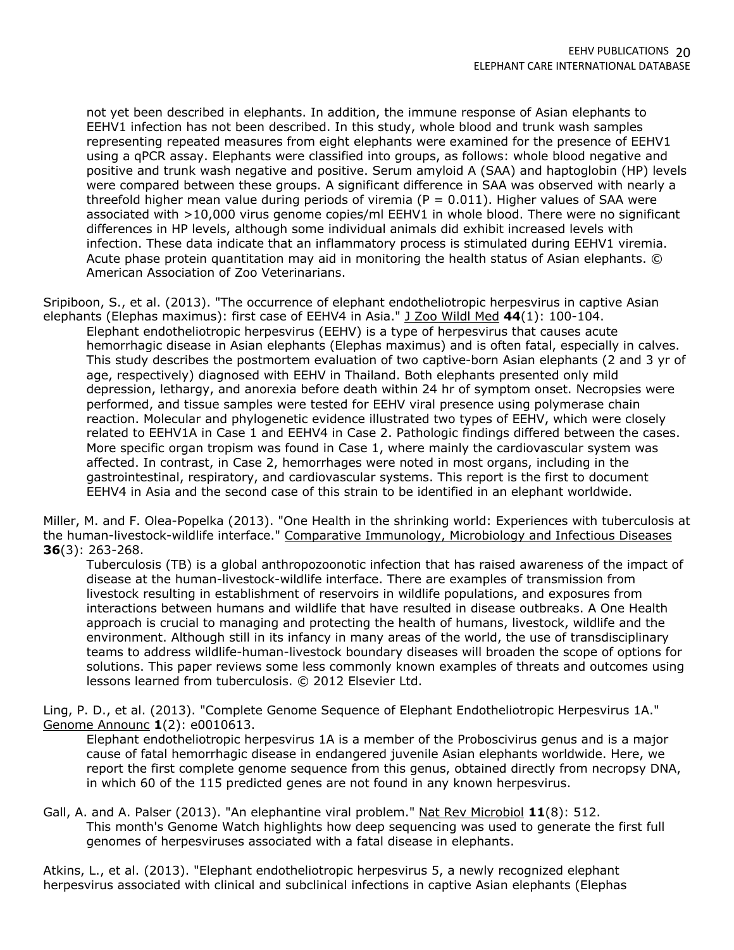not yet been described in elephants. In addition, the immune response of Asian elephants to EEHV1 infection has not been described. In this study, whole blood and trunk wash samples representing repeated measures from eight elephants were examined for the presence of EEHV1 using a qPCR assay. Elephants were classified into groups, as follows: whole blood negative and positive and trunk wash negative and positive. Serum amyloid A (SAA) and haptoglobin (HP) levels were compared between these groups. A significant difference in SAA was observed with nearly a threefold higher mean value during periods of viremia ( $P = 0.011$ ). Higher values of SAA were associated with >10,000 virus genome copies/ml EEHV1 in whole blood. There were no significant differences in HP levels, although some individual animals did exhibit increased levels with infection. These data indicate that an inflammatory process is stimulated during EEHV1 viremia. Acute phase protein quantitation may aid in monitoring the health status of Asian elephants. © American Association of Zoo Veterinarians.

Sripiboon, S., et al. (2013). "The occurrence of elephant endotheliotropic herpesvirus in captive Asian elephants (Elephas maximus): first case of EEHV4 in Asia." J Zoo Wildl Med **44**(1): 100-104.

Elephant endotheliotropic herpesvirus (EEHV) is a type of herpesvirus that causes acute hemorrhagic disease in Asian elephants (Elephas maximus) and is often fatal, especially in calves. This study describes the postmortem evaluation of two captive-born Asian elephants (2 and 3 yr of age, respectively) diagnosed with EEHV in Thailand. Both elephants presented only mild depression, lethargy, and anorexia before death within 24 hr of symptom onset. Necropsies were performed, and tissue samples were tested for EEHV viral presence using polymerase chain reaction. Molecular and phylogenetic evidence illustrated two types of EEHV, which were closely related to EEHV1A in Case 1 and EEHV4 in Case 2. Pathologic findings differed between the cases. More specific organ tropism was found in Case 1, where mainly the cardiovascular system was affected. In contrast, in Case 2, hemorrhages were noted in most organs, including in the gastrointestinal, respiratory, and cardiovascular systems. This report is the first to document EEHV4 in Asia and the second case of this strain to be identified in an elephant worldwide.

Miller, M. and F. Olea-Popelka (2013). "One Health in the shrinking world: Experiences with tuberculosis at the human-livestock-wildlife interface." Comparative Immunology, Microbiology and Infectious Diseases **36**(3): 263-268.

Tuberculosis (TB) is a global anthropozoonotic infection that has raised awareness of the impact of disease at the human-livestock-wildlife interface. There are examples of transmission from livestock resulting in establishment of reservoirs in wildlife populations, and exposures from interactions between humans and wildlife that have resulted in disease outbreaks. A One Health approach is crucial to managing and protecting the health of humans, livestock, wildlife and the environment. Although still in its infancy in many areas of the world, the use of transdisciplinary teams to address wildlife-human-livestock boundary diseases will broaden the scope of options for solutions. This paper reviews some less commonly known examples of threats and outcomes using lessons learned from tuberculosis. © 2012 Elsevier Ltd.

Ling, P. D., et al. (2013). "Complete Genome Sequence of Elephant Endotheliotropic Herpesvirus 1A." Genome Announc **1**(2): e0010613.

Elephant endotheliotropic herpesvirus 1A is a member of the Proboscivirus genus and is a major cause of fatal hemorrhagic disease in endangered juvenile Asian elephants worldwide. Here, we report the first complete genome sequence from this genus, obtained directly from necropsy DNA, in which 60 of the 115 predicted genes are not found in any known herpesvirus.

Gall, A. and A. Palser (2013). "An elephantine viral problem." Nat Rev Microbiol **11**(8): 512. This month's Genome Watch highlights how deep sequencing was used to generate the first full genomes of herpesviruses associated with a fatal disease in elephants.

Atkins, L., et al. (2013). "Elephant endotheliotropic herpesvirus 5, a newly recognized elephant herpesvirus associated with clinical and subclinical infections in captive Asian elephants (Elephas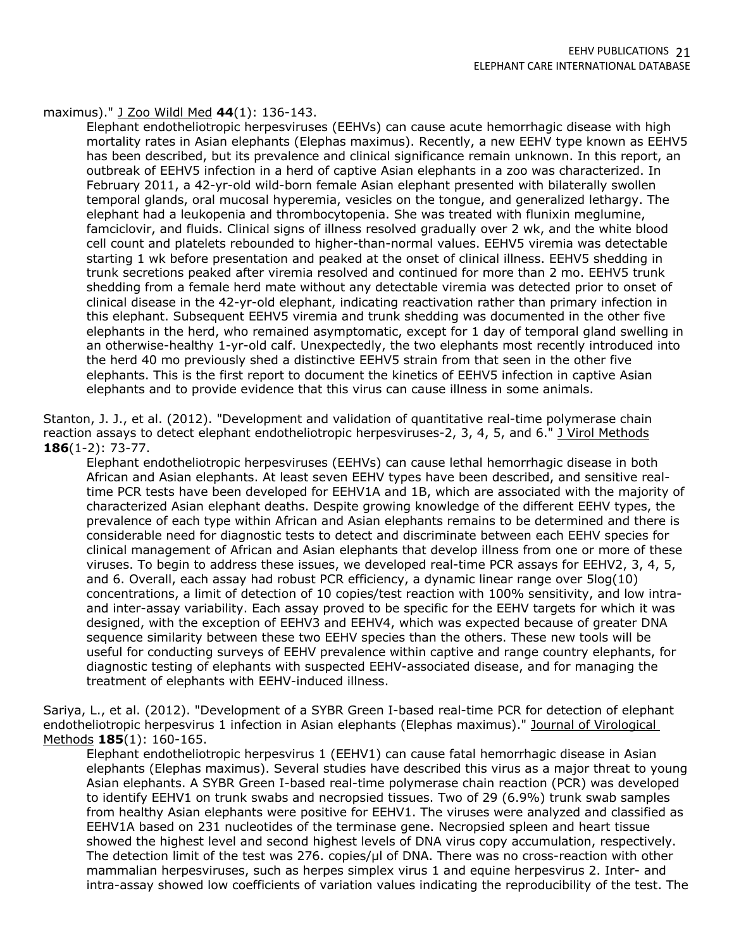#### maximus)." J Zoo Wildl Med **44**(1): 136-143.

Elephant endotheliotropic herpesviruses (EEHVs) can cause acute hemorrhagic disease with high mortality rates in Asian elephants (Elephas maximus). Recently, a new EEHV type known as EEHV5 has been described, but its prevalence and clinical significance remain unknown. In this report, an outbreak of EEHV5 infection in a herd of captive Asian elephants in a zoo was characterized. In February 2011, a 42-yr-old wild-born female Asian elephant presented with bilaterally swollen temporal glands, oral mucosal hyperemia, vesicles on the tongue, and generalized lethargy. The elephant had a leukopenia and thrombocytopenia. She was treated with flunixin meglumine, famciclovir, and fluids. Clinical signs of illness resolved gradually over 2 wk, and the white blood cell count and platelets rebounded to higher-than-normal values. EEHV5 viremia was detectable starting 1 wk before presentation and peaked at the onset of clinical illness. EEHV5 shedding in trunk secretions peaked after viremia resolved and continued for more than 2 mo. EEHV5 trunk shedding from a female herd mate without any detectable viremia was detected prior to onset of clinical disease in the 42-yr-old elephant, indicating reactivation rather than primary infection in this elephant. Subsequent EEHV5 viremia and trunk shedding was documented in the other five elephants in the herd, who remained asymptomatic, except for 1 day of temporal gland swelling in an otherwise-healthy 1-yr-old calf. Unexpectedly, the two elephants most recently introduced into the herd 40 mo previously shed a distinctive EEHV5 strain from that seen in the other five elephants. This is the first report to document the kinetics of EEHV5 infection in captive Asian elephants and to provide evidence that this virus can cause illness in some animals.

Stanton, J. J., et al. (2012). "Development and validation of quantitative real-time polymerase chain reaction assays to detect elephant endotheliotropic herpesviruses-2, 3, 4, 5, and 6." J Virol Methods **186**(1-2): 73-77.

Elephant endotheliotropic herpesviruses (EEHVs) can cause lethal hemorrhagic disease in both African and Asian elephants. At least seven EEHV types have been described, and sensitive realtime PCR tests have been developed for EEHV1A and 1B, which are associated with the majority of characterized Asian elephant deaths. Despite growing knowledge of the different EEHV types, the prevalence of each type within African and Asian elephants remains to be determined and there is considerable need for diagnostic tests to detect and discriminate between each EEHV species for clinical management of African and Asian elephants that develop illness from one or more of these viruses. To begin to address these issues, we developed real-time PCR assays for EEHV2, 3, 4, 5, and 6. Overall, each assay had robust PCR efficiency, a dynamic linear range over 5log(10) concentrations, a limit of detection of 10 copies/test reaction with 100% sensitivity, and low intraand inter-assay variability. Each assay proved to be specific for the EEHV targets for which it was designed, with the exception of EEHV3 and EEHV4, which was expected because of greater DNA sequence similarity between these two EEHV species than the others. These new tools will be useful for conducting surveys of EEHV prevalence within captive and range country elephants, for diagnostic testing of elephants with suspected EEHV-associated disease, and for managing the treatment of elephants with EEHV-induced illness.

Sariya, L., et al. (2012). "Development of a SYBR Green I-based real-time PCR for detection of elephant endotheliotropic herpesvirus 1 infection in Asian elephants (Elephas maximus)." Journal of Virological Methods **185**(1): 160-165.

Elephant endotheliotropic herpesvirus 1 (EEHV1) can cause fatal hemorrhagic disease in Asian elephants (Elephas maximus). Several studies have described this virus as a major threat to young Asian elephants. A SYBR Green I-based real-time polymerase chain reaction (PCR) was developed to identify EEHV1 on trunk swabs and necropsied tissues. Two of 29 (6.9%) trunk swab samples from healthy Asian elephants were positive for EEHV1. The viruses were analyzed and classified as EEHV1A based on 231 nucleotides of the terminase gene. Necropsied spleen and heart tissue showed the highest level and second highest levels of DNA virus copy accumulation, respectively. The detection limit of the test was 276. copies/ul of DNA. There was no cross-reaction with other mammalian herpesviruses, such as herpes simplex virus 1 and equine herpesvirus 2. Inter- and intra-assay showed low coefficients of variation values indicating the reproducibility of the test. The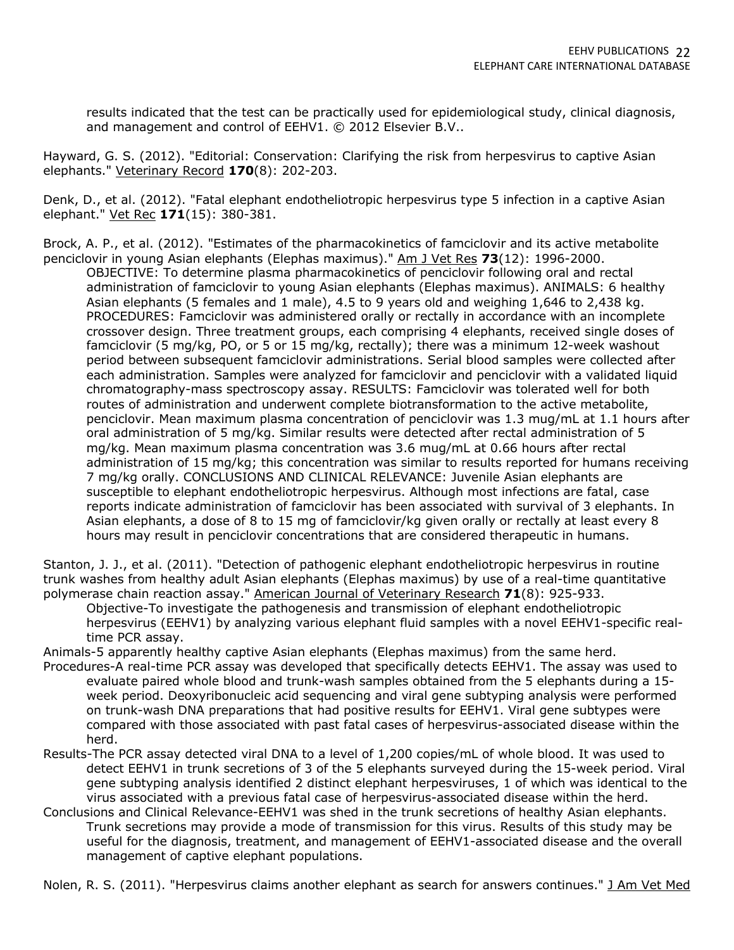results indicated that the test can be practically used for epidemiological study, clinical diagnosis, and management and control of EEHV1. © 2012 Elsevier B.V..

Hayward, G. S. (2012). "Editorial: Conservation: Clarifying the risk from herpesvirus to captive Asian elephants." Veterinary Record **170**(8): 202-203.

Denk, D., et al. (2012). "Fatal elephant endotheliotropic herpesvirus type 5 infection in a captive Asian elephant." Vet Rec **171**(15): 380-381.

Brock, A. P., et al. (2012). "Estimates of the pharmacokinetics of famciclovir and its active metabolite penciclovir in young Asian elephants (Elephas maximus)." Am J Vet Res **73**(12): 1996-2000.

OBJECTIVE: To determine plasma pharmacokinetics of penciclovir following oral and rectal administration of famciclovir to young Asian elephants (Elephas maximus). ANIMALS: 6 healthy Asian elephants (5 females and 1 male), 4.5 to 9 years old and weighing 1,646 to 2,438 kg. PROCEDURES: Famciclovir was administered orally or rectally in accordance with an incomplete crossover design. Three treatment groups, each comprising 4 elephants, received single doses of famciclovir (5 mg/kg, PO, or 5 or 15 mg/kg, rectally); there was a minimum 12-week washout period between subsequent famciclovir administrations. Serial blood samples were collected after each administration. Samples were analyzed for famciclovir and penciclovir with a validated liquid chromatography-mass spectroscopy assay. RESULTS: Famciclovir was tolerated well for both routes of administration and underwent complete biotransformation to the active metabolite, penciclovir. Mean maximum plasma concentration of penciclovir was 1.3 mug/mL at 1.1 hours after oral administration of 5 mg/kg. Similar results were detected after rectal administration of 5 mg/kg. Mean maximum plasma concentration was 3.6 mug/mL at 0.66 hours after rectal administration of 15 mg/kg; this concentration was similar to results reported for humans receiving 7 mg/kg orally. CONCLUSIONS AND CLINICAL RELEVANCE: Juvenile Asian elephants are susceptible to elephant endotheliotropic herpesvirus. Although most infections are fatal, case reports indicate administration of famciclovir has been associated with survival of 3 elephants. In Asian elephants, a dose of 8 to 15 mg of famciclovir/kg given orally or rectally at least every 8 hours may result in penciclovir concentrations that are considered therapeutic in humans.

Stanton, J. J., et al. (2011). "Detection of pathogenic elephant endotheliotropic herpesvirus in routine trunk washes from healthy adult Asian elephants (Elephas maximus) by use of a real-time quantitative polymerase chain reaction assay." American Journal of Veterinary Research 71(8): 925-933.

Objective-To investigate the pathogenesis and transmission of elephant endotheliotropic herpesvirus (EEHV1) by analyzing various elephant fluid samples with a novel EEHV1-specific realtime PCR assay.

Animals-5 apparently healthy captive Asian elephants (Elephas maximus) from the same herd.

- Procedures-A real-time PCR assay was developed that specifically detects EEHV1. The assay was used to evaluate paired whole blood and trunk-wash samples obtained from the 5 elephants during a 15 week period. Deoxyribonucleic acid sequencing and viral gene subtyping analysis were performed on trunk-wash DNA preparations that had positive results for EEHV1. Viral gene subtypes were compared with those associated with past fatal cases of herpesvirus-associated disease within the herd.
- Results-The PCR assay detected viral DNA to a level of 1,200 copies/mL of whole blood. It was used to detect EEHV1 in trunk secretions of 3 of the 5 elephants surveyed during the 15-week period. Viral gene subtyping analysis identified 2 distinct elephant herpesviruses, 1 of which was identical to the virus associated with a previous fatal case of herpesvirus-associated disease within the herd.
- Conclusions and Clinical Relevance-EEHV1 was shed in the trunk secretions of healthy Asian elephants. Trunk secretions may provide a mode of transmission for this virus. Results of this study may be useful for the diagnosis, treatment, and management of EEHV1-associated disease and the overall management of captive elephant populations.

Nolen, R. S. (2011). "Herpesvirus claims another elephant as search for answers continues." J Am Vet Med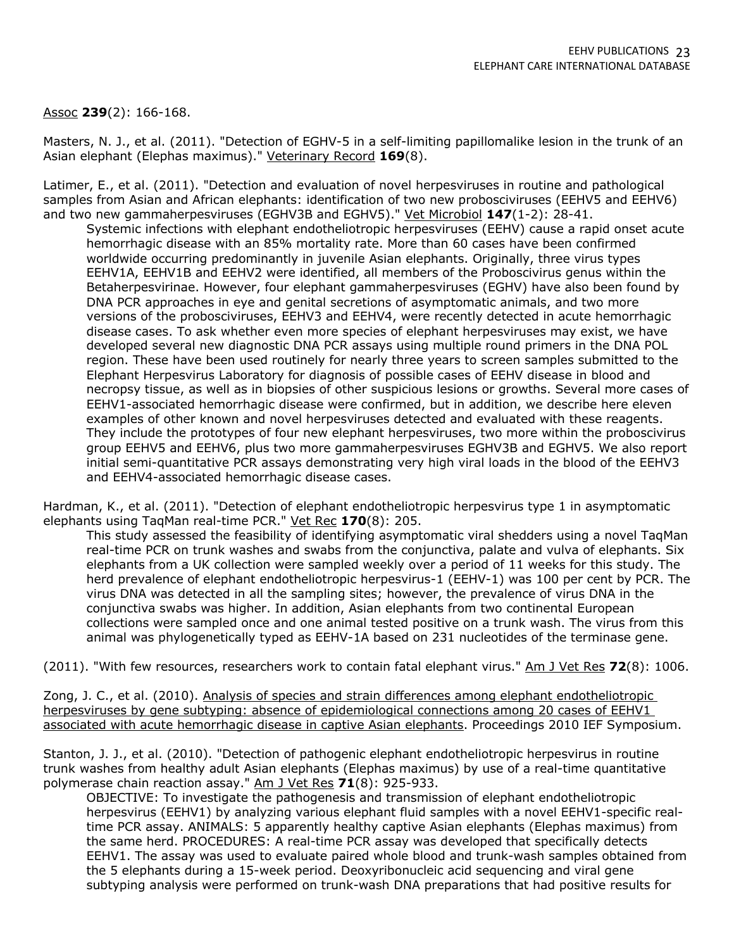## Assoc **239**(2): 166-168.

Masters, N. J., et al. (2011). "Detection of EGHV-5 in a self-limiting papillomalike lesion in the trunk of an Asian elephant (Elephas maximus)." Veterinary Record **169**(8).

Latimer, E., et al. (2011). "Detection and evaluation of novel herpesviruses in routine and pathological samples from Asian and African elephants: identification of two new probosciviruses (EEHV5 and EEHV6) and two new gammaherpesviruses (EGHV3B and EGHV5)." Vet Microbiol **147**(1-2): 28-41.

Systemic infections with elephant endotheliotropic herpesviruses (EEHV) cause a rapid onset acute hemorrhagic disease with an 85% mortality rate. More than 60 cases have been confirmed worldwide occurring predominantly in juvenile Asian elephants. Originally, three virus types EEHV1A, EEHV1B and EEHV2 were identified, all members of the Proboscivirus genus within the Betaherpesvirinae. However, four elephant gammaherpesviruses (EGHV) have also been found by DNA PCR approaches in eye and genital secretions of asymptomatic animals, and two more versions of the probosciviruses, EEHV3 and EEHV4, were recently detected in acute hemorrhagic disease cases. To ask whether even more species of elephant herpesviruses may exist, we have developed several new diagnostic DNA PCR assays using multiple round primers in the DNA POL region. These have been used routinely for nearly three years to screen samples submitted to the Elephant Herpesvirus Laboratory for diagnosis of possible cases of EEHV disease in blood and necropsy tissue, as well as in biopsies of other suspicious lesions or growths. Several more cases of EEHV1-associated hemorrhagic disease were confirmed, but in addition, we describe here eleven examples of other known and novel herpesviruses detected and evaluated with these reagents. They include the prototypes of four new elephant herpesviruses, two more within the proboscivirus group EEHV5 and EEHV6, plus two more gammaherpesviruses EGHV3B and EGHV5. We also report initial semi-quantitative PCR assays demonstrating very high viral loads in the blood of the EEHV3 and EEHV4-associated hemorrhagic disease cases.

Hardman, K., et al. (2011). "Detection of elephant endotheliotropic herpesvirus type 1 in asymptomatic elephants using TaqMan real-time PCR." Vet Rec **170**(8): 205.

This study assessed the feasibility of identifying asymptomatic viral shedders using a novel TaqMan real-time PCR on trunk washes and swabs from the conjunctiva, palate and vulva of elephants. Six elephants from a UK collection were sampled weekly over a period of 11 weeks for this study. The herd prevalence of elephant endotheliotropic herpesvirus-1 (EEHV-1) was 100 per cent by PCR. The virus DNA was detected in all the sampling sites; however, the prevalence of virus DNA in the conjunctiva swabs was higher. In addition, Asian elephants from two continental European collections were sampled once and one animal tested positive on a trunk wash. The virus from this animal was phylogenetically typed as EEHV-1A based on 231 nucleotides of the terminase gene.

(2011). "With few resources, researchers work to contain fatal elephant virus." Am J Vet Res **72**(8): 1006.

Zong, J. C., et al. (2010). Analysis of species and strain differences among elephant endotheliotropic herpesviruses by gene subtyping: absence of epidemiological connections among 20 cases of EEHV1 associated with acute hemorrhagic disease in captive Asian elephants. Proceedings 2010 IEF Symposium.

Stanton, J. J., et al. (2010). "Detection of pathogenic elephant endotheliotropic herpesvirus in routine trunk washes from healthy adult Asian elephants (Elephas maximus) by use of a real-time quantitative polymerase chain reaction assay." Am J Vet Res **71**(8): 925-933.

OBJECTIVE: To investigate the pathogenesis and transmission of elephant endotheliotropic herpesvirus (EEHV1) by analyzing various elephant fluid samples with a novel EEHV1-specific realtime PCR assay. ANIMALS: 5 apparently healthy captive Asian elephants (Elephas maximus) from the same herd. PROCEDURES: A real-time PCR assay was developed that specifically detects EEHV1. The assay was used to evaluate paired whole blood and trunk-wash samples obtained from the 5 elephants during a 15-week period. Deoxyribonucleic acid sequencing and viral gene subtyping analysis were performed on trunk-wash DNA preparations that had positive results for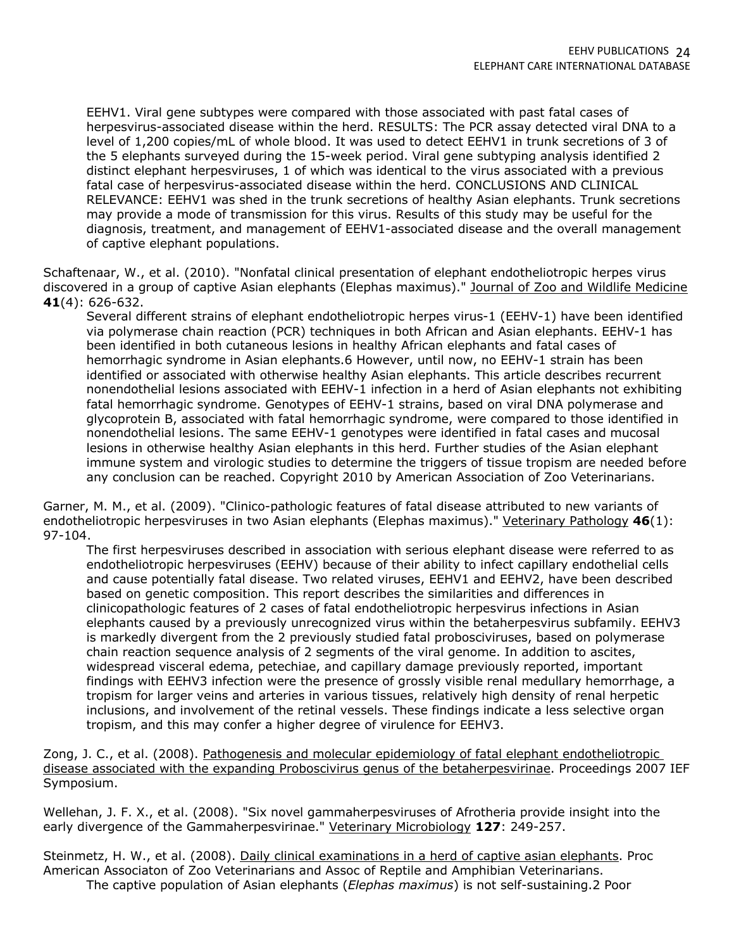EEHV1. Viral gene subtypes were compared with those associated with past fatal cases of herpesvirus-associated disease within the herd. RESULTS: The PCR assay detected viral DNA to a level of 1,200 copies/mL of whole blood. It was used to detect EEHV1 in trunk secretions of 3 of the 5 elephants surveyed during the 15-week period. Viral gene subtyping analysis identified 2 distinct elephant herpesviruses, 1 of which was identical to the virus associated with a previous fatal case of herpesvirus-associated disease within the herd. CONCLUSIONS AND CLINICAL RELEVANCE: EEHV1 was shed in the trunk secretions of healthy Asian elephants. Trunk secretions may provide a mode of transmission for this virus. Results of this study may be useful for the diagnosis, treatment, and management of EEHV1-associated disease and the overall management of captive elephant populations.

Schaftenaar, W., et al. (2010). "Nonfatal clinical presentation of elephant endotheliotropic herpes virus discovered in a group of captive Asian elephants (Elephas maximus)." Journal of Zoo and Wildlife Medicine **41**(4): 626-632.

Several different strains of elephant endotheliotropic herpes virus-1 (EEHV-1) have been identified via polymerase chain reaction (PCR) techniques in both African and Asian elephants. EEHV-1 has been identified in both cutaneous lesions in healthy African elephants and fatal cases of hemorrhagic syndrome in Asian elephants.6 However, until now, no EEHV-1 strain has been identified or associated with otherwise healthy Asian elephants. This article describes recurrent nonendothelial lesions associated with EEHV-1 infection in a herd of Asian elephants not exhibiting fatal hemorrhagic syndrome. Genotypes of EEHV-1 strains, based on viral DNA polymerase and glycoprotein B, associated with fatal hemorrhagic syndrome, were compared to those identified in nonendothelial lesions. The same EEHV-1 genotypes were identified in fatal cases and mucosal lesions in otherwise healthy Asian elephants in this herd. Further studies of the Asian elephant immune system and virologic studies to determine the triggers of tissue tropism are needed before any conclusion can be reached. Copyright 2010 by American Association of Zoo Veterinarians.

Garner, M. M., et al. (2009). "Clinico-pathologic features of fatal disease attributed to new variants of endotheliotropic herpesviruses in two Asian elephants (Elephas maximus)." Veterinary Pathology **46**(1): 97-104.

The first herpesviruses described in association with serious elephant disease were referred to as endotheliotropic herpesviruses (EEHV) because of their ability to infect capillary endothelial cells and cause potentially fatal disease. Two related viruses, EEHV1 and EEHV2, have been described based on genetic composition. This report describes the similarities and differences in clinicopathologic features of 2 cases of fatal endotheliotropic herpesvirus infections in Asian elephants caused by a previously unrecognized virus within the betaherpesvirus subfamily. EEHV3 is markedly divergent from the 2 previously studied fatal probosciviruses, based on polymerase chain reaction sequence analysis of 2 segments of the viral genome. In addition to ascites, widespread visceral edema, petechiae, and capillary damage previously reported, important findings with EEHV3 infection were the presence of grossly visible renal medullary hemorrhage, a tropism for larger veins and arteries in various tissues, relatively high density of renal herpetic inclusions, and involvement of the retinal vessels. These findings indicate a less selective organ tropism, and this may confer a higher degree of virulence for EEHV3.

Zong, J. C., et al. (2008). Pathogenesis and molecular epidemiology of fatal elephant endotheliotropic disease associated with the expanding Proboscivirus genus of the betaherpesvirinae. Proceedings 2007 IEF Symposium.

Wellehan, J. F. X., et al. (2008). "Six novel gammaherpesviruses of Afrotheria provide insight into the early divergence of the Gammaherpesvirinae." Veterinary Microbiology **127**: 249-257.

Steinmetz, H. W., et al. (2008). Daily clinical examinations in a herd of captive asian elephants. Proc American Associaton of Zoo Veterinarians and Assoc of Reptile and Amphibian Veterinarians. The captive population of Asian elephants (*Elephas maximus*) is not self-sustaining.2 Poor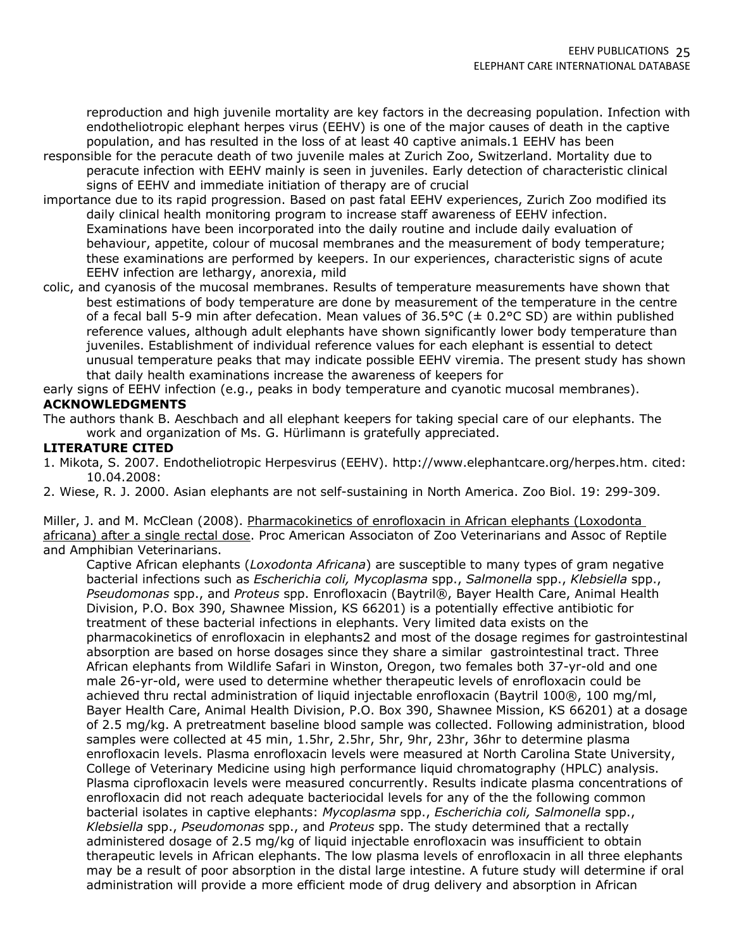reproduction and high juvenile mortality are key factors in the decreasing population. Infection with endotheliotropic elephant herpes virus (EEHV) is one of the major causes of death in the captive population, and has resulted in the loss of at least 40 captive animals.1 EEHV has been

- responsible for the peracute death of two juvenile males at Zurich Zoo, Switzerland. Mortality due to peracute infection with EEHV mainly is seen in juveniles. Early detection of characteristic clinical signs of EEHV and immediate initiation of therapy are of crucial
- importance due to its rapid progression. Based on past fatal EEHV experiences, Zurich Zoo modified its daily clinical health monitoring program to increase staff awareness of EEHV infection. Examinations have been incorporated into the daily routine and include daily evaluation of behaviour, appetite, colour of mucosal membranes and the measurement of body temperature; these examinations are performed by keepers. In our experiences, characteristic signs of acute EEHV infection are lethargy, anorexia, mild
- colic, and cyanosis of the mucosal membranes. Results of temperature measurements have shown that best estimations of body temperature are done by measurement of the temperature in the centre of a fecal ball 5-9 min after defecation. Mean values of  $36.5^{\circ}$ C ( $\pm$  0.2°C SD) are within published reference values, although adult elephants have shown significantly lower body temperature than juveniles. Establishment of individual reference values for each elephant is essential to detect unusual temperature peaks that may indicate possible EEHV viremia. The present study has shown that daily health examinations increase the awareness of keepers for

#### early signs of EEHV infection (e.g., peaks in body temperature and cyanotic mucosal membranes). **ACKNOWLEDGMENTS**

The authors thank B. Aeschbach and all elephant keepers for taking special care of our elephants. The work and organization of Ms. G. Hürlimann is gratefully appreciated.

## **LITERATURE CITED**

- 1. Mikota, S. 2007. Endotheliotropic Herpesvirus (EEHV). http://www.elephantcare.org/herpes.htm. cited: 10.04.2008:
- 2. Wiese, R. J. 2000. Asian elephants are not self-sustaining in North America. Zoo Biol. 19: 299-309.

Miller, J. and M. McClean (2008). Pharmacokinetics of enrofloxacin in African elephants (Loxodonta africana) after a single rectal dose. Proc American Associaton of Zoo Veterinarians and Assoc of Reptile and Amphibian Veterinarians.

Captive African elephants (*Loxodonta Africana*) are susceptible to many types of gram negative bacterial infections such as *Escherichia coli, Mycoplasma* spp., *Salmonella* spp., *Klebsiella* spp., *Pseudomonas* spp., and *Proteus* spp. Enrofloxacin (Baytril®, Bayer Health Care, Animal Health Division, P.O. Box 390, Shawnee Mission, KS 66201) is a potentially effective antibiotic for treatment of these bacterial infections in elephants. Very limited data exists on the pharmacokinetics of enrofloxacin in elephants2 and most of the dosage regimes for gastrointestinal absorption are based on horse dosages since they share a similar gastrointestinal tract. Three African elephants from Wildlife Safari in Winston, Oregon, two females both 37-yr-old and one male 26-yr-old, were used to determine whether therapeutic levels of enrofloxacin could be achieved thru rectal administration of liquid injectable enrofloxacin (Baytril 100®, 100 mg/ml, Bayer Health Care, Animal Health Division, P.O. Box 390, Shawnee Mission, KS 66201) at a dosage of 2.5 mg/kg. A pretreatment baseline blood sample was collected. Following administration, blood samples were collected at 45 min, 1.5hr, 2.5hr, 5hr, 9hr, 23hr, 36hr to determine plasma enrofloxacin levels. Plasma enrofloxacin levels were measured at North Carolina State University, College of Veterinary Medicine using high performance liquid chromatography (HPLC) analysis. Plasma ciprofloxacin levels were measured concurrently. Results indicate plasma concentrations of enrofloxacin did not reach adequate bacteriocidal levels for any of the the following common bacterial isolates in captive elephants: *Mycoplasma* spp., *Escherichia coli, Salmonella* spp., *Klebsiella* spp., *Pseudomonas* spp., and *Proteus* spp. The study determined that a rectally administered dosage of 2.5 mg/kg of liquid injectable enrofloxacin was insufficient to obtain therapeutic levels in African elephants. The low plasma levels of enrofloxacin in all three elephants may be a result of poor absorption in the distal large intestine. A future study will determine if oral administration will provide a more efficient mode of drug delivery and absorption in African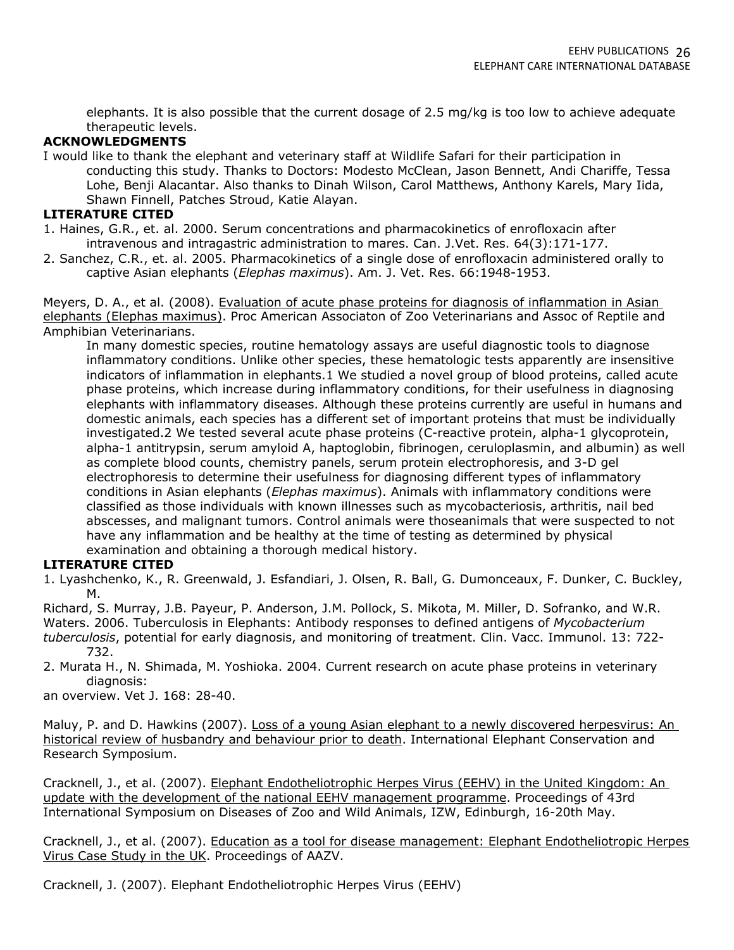elephants. It is also possible that the current dosage of 2.5 mg/kg is too low to achieve adequate therapeutic levels.

#### **ACKNOWLEDGMENTS**

I would like to thank the elephant and veterinary staff at Wildlife Safari for their participation in conducting this study. Thanks to Doctors: Modesto McClean, Jason Bennett, Andi Chariffe, Tessa Lohe, Benji Alacantar. Also thanks to Dinah Wilson, Carol Matthews, Anthony Karels, Mary Iida, Shawn Finnell, Patches Stroud, Katie Alayan.

#### **LITERATURE CITED**

- 1. Haines, G.R., et. al. 2000. Serum concentrations and pharmacokinetics of enrofloxacin after intravenous and intragastric administration to mares. Can. J.Vet. Res. 64(3):171-177.
- 2. Sanchez, C.R., et. al. 2005. Pharmacokinetics of a single dose of enrofloxacin administered orally to captive Asian elephants (*Elephas maximus*). Am. J. Vet. Res. 66:1948-1953.

Meyers, D. A., et al. (2008). Evaluation of acute phase proteins for diagnosis of inflammation in Asian elephants (Elephas maximus). Proc American Associaton of Zoo Veterinarians and Assoc of Reptile and Amphibian Veterinarians.

In many domestic species, routine hematology assays are useful diagnostic tools to diagnose inflammatory conditions. Unlike other species, these hematologic tests apparently are insensitive indicators of inflammation in elephants.1 We studied a novel group of blood proteins, called acute phase proteins, which increase during inflammatory conditions, for their usefulness in diagnosing elephants with inflammatory diseases. Although these proteins currently are useful in humans and domestic animals, each species has a different set of important proteins that must be individually investigated.2 We tested several acute phase proteins (C-reactive protein, alpha-1 glycoprotein, alpha-1 antitrypsin, serum amyloid A, haptoglobin, fibrinogen, ceruloplasmin, and albumin) as well as complete blood counts, chemistry panels, serum protein electrophoresis, and 3-D gel electrophoresis to determine their usefulness for diagnosing different types of inflammatory conditions in Asian elephants (*Elephas maximus*). Animals with inflammatory conditions were classified as those individuals with known illnesses such as mycobacteriosis, arthritis, nail bed abscesses, and malignant tumors. Control animals were thoseanimals that were suspected to not have any inflammation and be healthy at the time of testing as determined by physical examination and obtaining a thorough medical history.

### **LITERATURE CITED**

1. Lyashchenko, K., R. Greenwald, J. Esfandiari, J. Olsen, R. Ball, G. Dumonceaux, F. Dunker, C. Buckley, M.

Richard, S. Murray, J.B. Payeur, P. Anderson, J.M. Pollock, S. Mikota, M. Miller, D. Sofranko, and W.R. Waters. 2006. Tuberculosis in Elephants: Antibody responses to defined antigens of *Mycobacterium tuberculosis*, potential for early diagnosis, and monitoring of treatment. Clin. Vacc. Immunol. 13: 722- 732.

2. Murata H., N. Shimada, M. Yoshioka. 2004. Current research on acute phase proteins in veterinary diagnosis:

an overview. Vet J. 168: 28-40.

Maluy, P. and D. Hawkins (2007). Loss of a young Asian elephant to a newly discovered herpesvirus: An historical review of husbandry and behaviour prior to death. International Elephant Conservation and Research Symposium.

Cracknell, J., et al. (2007). Elephant Endotheliotrophic Herpes Virus (EEHV) in the United Kingdom: An update with the development of the national EEHV management programme. Proceedings of 43rd International Symposium on Diseases of Zoo and Wild Animals, IZW, Edinburgh, 16-20th May.

Cracknell, J., et al. (2007). Education as a tool for disease management: Elephant Endotheliotropic Herpes Virus Case Study in the UK. Proceedings of AAZV.

Cracknell, J. (2007). Elephant Endotheliotrophic Herpes Virus (EEHV)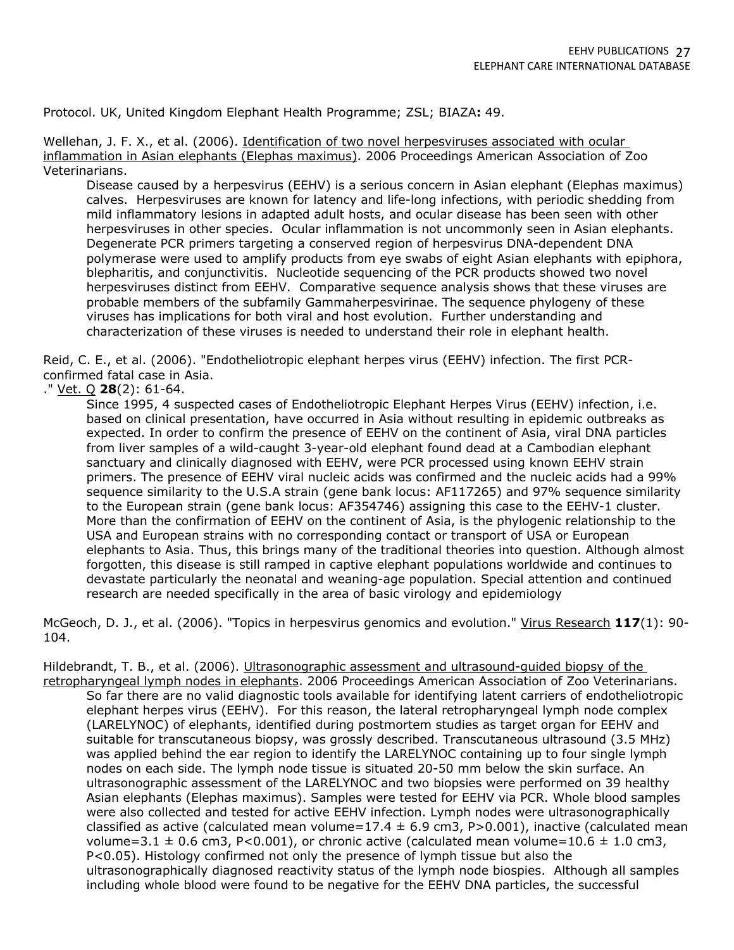Protocol. UK, United Kingdom Elephant Health Programme; ZSL; BIAZA**:** 49.

Wellehan, J. F. X., et al. (2006). Identification of two novel herpesviruses associated with ocular inflammation in Asian elephants (Elephas maximus). 2006 Proceedings American Association of Zoo Veterinarians.

Disease caused by a herpesvirus (EEHV) is a serious concern in Asian elephant (Elephas maximus) calves. Herpesviruses are known for latency and life-long infections, with periodic shedding from mild inflammatory lesions in adapted adult hosts, and ocular disease has been seen with other herpesviruses in other species. Ocular inflammation is not uncommonly seen in Asian elephants. Degenerate PCR primers targeting a conserved region of herpesvirus DNA-dependent DNA polymerase were used to amplify products from eye swabs of eight Asian elephants with epiphora, blepharitis, and conjunctivitis. Nucleotide sequencing of the PCR products showed two novel herpesviruses distinct from EEHV. Comparative sequence analysis shows that these viruses are probable members of the subfamily Gammaherpesvirinae. The sequence phylogeny of these viruses has implications for both viral and host evolution. Further understanding and characterization of these viruses is needed to understand their role in elephant health.

Reid, C. E., et al. (2006). "Endotheliotropic elephant herpes virus (EEHV) infection. The first PCRconfirmed fatal case in Asia.

## ." Vet. Q **28**(2): 61-64.

Since 1995, 4 suspected cases of Endotheliotropic Elephant Herpes Virus (EEHV) infection, i.e. based on clinical presentation, have occurred in Asia without resulting in epidemic outbreaks as expected. In order to confirm the presence of EEHV on the continent of Asia, viral DNA particles from liver samples of a wild-caught 3-year-old elephant found dead at a Cambodian elephant sanctuary and clinically diagnosed with EEHV, were PCR processed using known EEHV strain primers. The presence of EEHV viral nucleic acids was confirmed and the nucleic acids had a 99% sequence similarity to the U.S.A strain (gene bank locus: AF117265) and 97% sequence similarity to the European strain (gene bank locus: AF354746) assigning this case to the EEHV-1 cluster. More than the confirmation of EEHV on the continent of Asia, is the phylogenic relationship to the USA and European strains with no corresponding contact or transport of USA or European elephants to Asia. Thus, this brings many of the traditional theories into question. Although almost forgotten, this disease is still ramped in captive elephant populations worldwide and continues to devastate particularly the neonatal and weaning-age population. Special attention and continued research are needed specifically in the area of basic virology and epidemiology

McGeoch, D. J., et al. (2006). "Topics in herpesvirus genomics and evolution." Virus Research **117**(1): 90- 104.

Hildebrandt, T. B., et al. (2006). Ultrasonographic assessment and ultrasound-quided biopsy of the

retropharyngeal lymph nodes in elephants. 2006 Proceedings American Association of Zoo Veterinarians. So far there are no valid diagnostic tools available for identifying latent carriers of endotheliotropic elephant herpes virus (EEHV). For this reason, the lateral retropharyngeal lymph node complex (LARELYNOC) of elephants, identified during postmortem studies as target organ for EEHV and suitable for transcutaneous biopsy, was grossly described. Transcutaneous ultrasound (3.5 MHz) was applied behind the ear region to identify the LARELYNOC containing up to four single lymph nodes on each side. The lymph node tissue is situated 20-50 mm below the skin surface. An ultrasonographic assessment of the LARELYNOC and two biopsies were performed on 39 healthy Asian elephants (Elephas maximus). Samples were tested for EEHV via PCR. Whole blood samples were also collected and tested for active EEHV infection. Lymph nodes were ultrasonographically classified as active (calculated mean volume=17.4  $\pm$  6.9 cm3, P>0.001), inactive (calculated mean volume=3.1  $\pm$  0.6 cm3, P<0.001), or chronic active (calculated mean volume=10.6  $\pm$  1.0 cm3, P<0.05). Histology confirmed not only the presence of lymph tissue but also the ultrasonographically diagnosed reactivity status of the lymph node biospies. Although all samples including whole blood were found to be negative for the EEHV DNA particles, the successful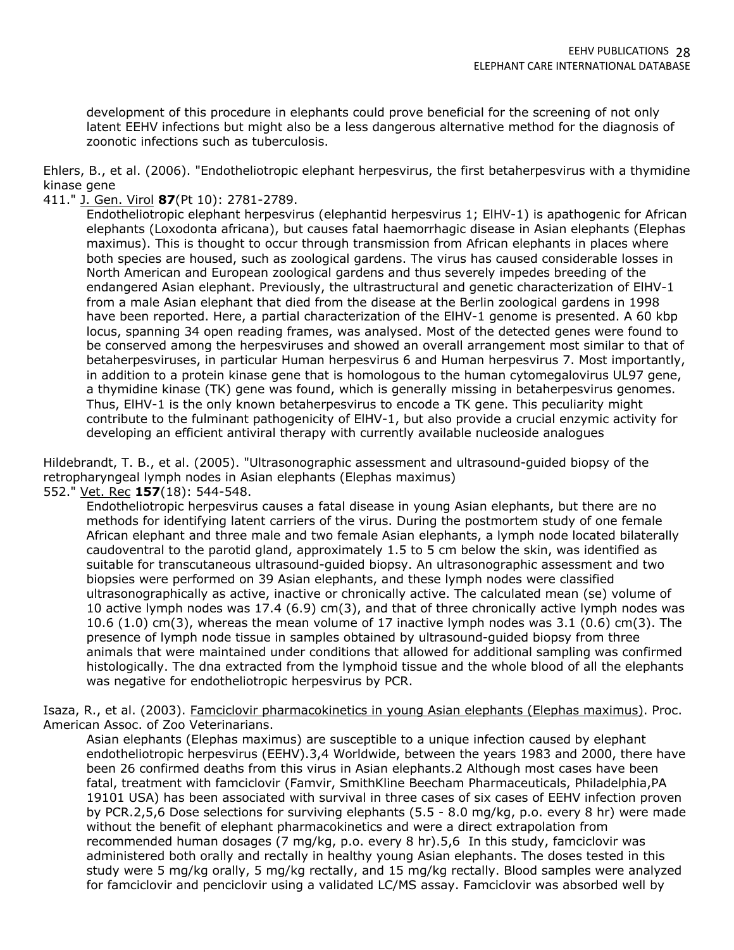development of this procedure in elephants could prove beneficial for the screening of not only latent EEHV infections but might also be a less dangerous alternative method for the diagnosis of zoonotic infections such as tuberculosis.

Ehlers, B., et al. (2006). "Endotheliotropic elephant herpesvirus, the first betaherpesvirus with a thymidine kinase gene

411." J. Gen. Virol **87**(Pt 10): 2781-2789.

Endotheliotropic elephant herpesvirus (elephantid herpesvirus 1; ElHV-1) is apathogenic for African elephants (Loxodonta africana), but causes fatal haemorrhagic disease in Asian elephants (Elephas maximus). This is thought to occur through transmission from African elephants in places where both species are housed, such as zoological gardens. The virus has caused considerable losses in North American and European zoological gardens and thus severely impedes breeding of the endangered Asian elephant. Previously, the ultrastructural and genetic characterization of ElHV-1 from a male Asian elephant that died from the disease at the Berlin zoological gardens in 1998 have been reported. Here, a partial characterization of the ElHV-1 genome is presented. A 60 kbp locus, spanning 34 open reading frames, was analysed. Most of the detected genes were found to be conserved among the herpesviruses and showed an overall arrangement most similar to that of betaherpesviruses, in particular Human herpesvirus 6 and Human herpesvirus 7. Most importantly, in addition to a protein kinase gene that is homologous to the human cytomegalovirus UL97 gene, a thymidine kinase (TK) gene was found, which is generally missing in betaherpesvirus genomes. Thus, ElHV-1 is the only known betaherpesvirus to encode a TK gene. This peculiarity might contribute to the fulminant pathogenicity of ElHV-1, but also provide a crucial enzymic activity for developing an efficient antiviral therapy with currently available nucleoside analogues

Hildebrandt, T. B., et al. (2005). "Ultrasonographic assessment and ultrasound-guided biopsy of the retropharyngeal lymph nodes in Asian elephants (Elephas maximus)

552." Vet. Rec **157**(18): 544-548.

Endotheliotropic herpesvirus causes a fatal disease in young Asian elephants, but there are no methods for identifying latent carriers of the virus. During the postmortem study of one female African elephant and three male and two female Asian elephants, a lymph node located bilaterally caudoventral to the parotid gland, approximately 1.5 to 5 cm below the skin, was identified as suitable for transcutaneous ultrasound-guided biopsy. An ultrasonographic assessment and two biopsies were performed on 39 Asian elephants, and these lymph nodes were classified ultrasonographically as active, inactive or chronically active. The calculated mean (se) volume of 10 active lymph nodes was 17.4 (6.9) cm(3), and that of three chronically active lymph nodes was 10.6 (1.0) cm(3), whereas the mean volume of 17 inactive lymph nodes was 3.1 (0.6) cm(3). The presence of lymph node tissue in samples obtained by ultrasound-guided biopsy from three animals that were maintained under conditions that allowed for additional sampling was confirmed histologically. The dna extracted from the lymphoid tissue and the whole blood of all the elephants was negative for endotheliotropic herpesvirus by PCR.

Isaza, R., et al. (2003). Famciclovir pharmacokinetics in young Asian elephants (Elephas maximus). Proc. American Assoc. of Zoo Veterinarians.

Asian elephants (Elephas maximus) are susceptible to a unique infection caused by elephant endotheliotropic herpesvirus (EEHV).3,4 Worldwide, between the years 1983 and 2000, there have been 26 confirmed deaths from this virus in Asian elephants.2 Although most cases have been fatal, treatment with famciclovir (Famvir, SmithKline Beecham Pharmaceuticals, Philadelphia,PA 19101 USA) has been associated with survival in three cases of six cases of EEHV infection proven by PCR.2,5,6 Dose selections for surviving elephants (5.5 - 8.0 mg/kg, p.o. every 8 hr) were made without the benefit of elephant pharmacokinetics and were a direct extrapolation from recommended human dosages (7 mg/kg, p.o. every 8 hr).5,6 In this study, famciclovir was administered both orally and rectally in healthy young Asian elephants. The doses tested in this study were 5 mg/kg orally, 5 mg/kg rectally, and 15 mg/kg rectally. Blood samples were analyzed for famciclovir and penciclovir using a validated LC/MS assay. Famciclovir was absorbed well by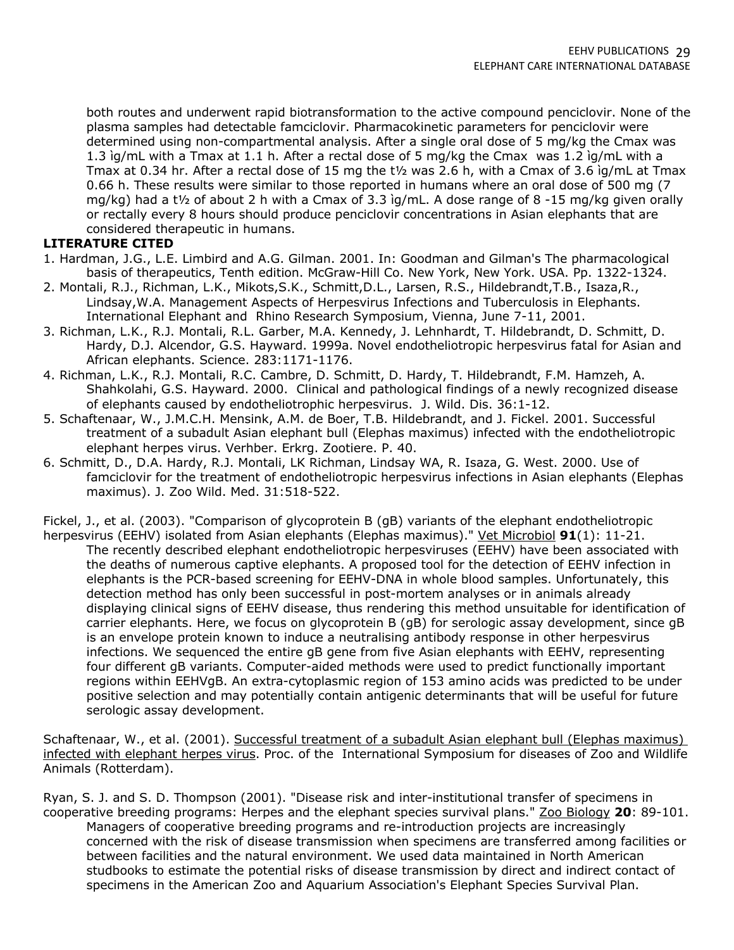both routes and underwent rapid biotransformation to the active compound penciclovir. None of the plasma samples had detectable famciclovir. Pharmacokinetic parameters for penciclovir were determined using non-compartmental analysis. After a single oral dose of 5 mg/kg the Cmax was 1.3 ìg/mL with a Tmax at 1.1 h. After a rectal dose of 5 mg/kg the Cmax was 1.2 ìg/mL with a Tmax at 0.34 hr. After a rectal dose of 15 mg the t½ was 2.6 h, with a Cmax of 3.6 ìg/mL at Tmax 0.66 h. These results were similar to those reported in humans where an oral dose of 500 mg (7 mg/kg) had a t½ of about 2 h with a Cmax of 3.3 ìg/mL. A dose range of 8 -15 mg/kg given orally or rectally every 8 hours should produce penciclovir concentrations in Asian elephants that are considered therapeutic in humans.

## **LITERATURE CITED**

- 1. Hardman, J.G., L.E. Limbird and A.G. Gilman. 2001. In: Goodman and Gilman's The pharmacological basis of therapeutics, Tenth edition. McGraw-Hill Co. New York, New York. USA. Pp. 1322-1324.
- 2. Montali, R.J., Richman, L.K., Mikots,S.K., Schmitt,D.L., Larsen, R.S., Hildebrandt,T.B., Isaza,R., Lindsay,W.A. Management Aspects of Herpesvirus Infections and Tuberculosis in Elephants. International Elephant and Rhino Research Symposium, Vienna, June 7-11, 2001.
- 3. Richman, L.K., R.J. Montali, R.L. Garber, M.A. Kennedy, J. Lehnhardt, T. Hildebrandt, D. Schmitt, D. Hardy, D.J. Alcendor, G.S. Hayward. 1999a. Novel endotheliotropic herpesvirus fatal for Asian and African elephants. Science. 283:1171-1176.
- 4. Richman, L.K., R.J. Montali, R.C. Cambre, D. Schmitt, D. Hardy, T. Hildebrandt, F.M. Hamzeh, A. Shahkolahi, G.S. Hayward. 2000. Clinical and pathological findings of a newly recognized disease of elephants caused by endotheliotrophic herpesvirus. J. Wild. Dis. 36:1-12.
- 5. Schaftenaar, W., J.M.C.H. Mensink, A.M. de Boer, T.B. Hildebrandt, and J. Fickel. 2001. Successful treatment of a subadult Asian elephant bull (Elephas maximus) infected with the endotheliotropic elephant herpes virus. Verhber. Erkrg. Zootiere. P. 40.
- 6. Schmitt, D., D.A. Hardy, R.J. Montali, LK Richman, Lindsay WA, R. Isaza, G. West. 2000. Use of famciclovir for the treatment of endotheliotropic herpesvirus infections in Asian elephants (Elephas maximus). J. Zoo Wild. Med. 31:518-522.

Fickel, J., et al. (2003). "Comparison of glycoprotein B (gB) variants of the elephant endotheliotropic

herpesvirus (EEHV) isolated from Asian elephants (Elephas maximus)." Vet Microbiol **91**(1): 11-21. The recently described elephant endotheliotropic herpesviruses (EEHV) have been associated with the deaths of numerous captive elephants. A proposed tool for the detection of EEHV infection in elephants is the PCR-based screening for EEHV-DNA in whole blood samples. Unfortunately, this detection method has only been successful in post-mortem analyses or in animals already displaying clinical signs of EEHV disease, thus rendering this method unsuitable for identification of carrier elephants. Here, we focus on glycoprotein B (gB) for serologic assay development, since gB is an envelope protein known to induce a neutralising antibody response in other herpesvirus infections. We sequenced the entire gB gene from five Asian elephants with EEHV, representing four different gB variants. Computer-aided methods were used to predict functionally important regions within EEHVgB. An extra-cytoplasmic region of 153 amino acids was predicted to be under positive selection and may potentially contain antigenic determinants that will be useful for future serologic assay development.

Schaftenaar, W., et al. (2001). Successful treatment of a subadult Asian elephant bull (Elephas maximus) infected with elephant herpes virus. Proc. of the International Symposium for diseases of Zoo and Wildlife Animals (Rotterdam).

Ryan, S. J. and S. D. Thompson (2001). "Disease risk and inter-institutional transfer of specimens in cooperative breeding programs: Herpes and the elephant species survival plans." Zoo Biology **20**: 89-101. Managers of cooperative breeding programs and re-introduction projects are increasingly concerned with the risk of disease transmission when specimens are transferred among facilities or between facilities and the natural environment. We used data maintained in North American studbooks to estimate the potential risks of disease transmission by direct and indirect contact of specimens in the American Zoo and Aquarium Association's Elephant Species Survival Plan.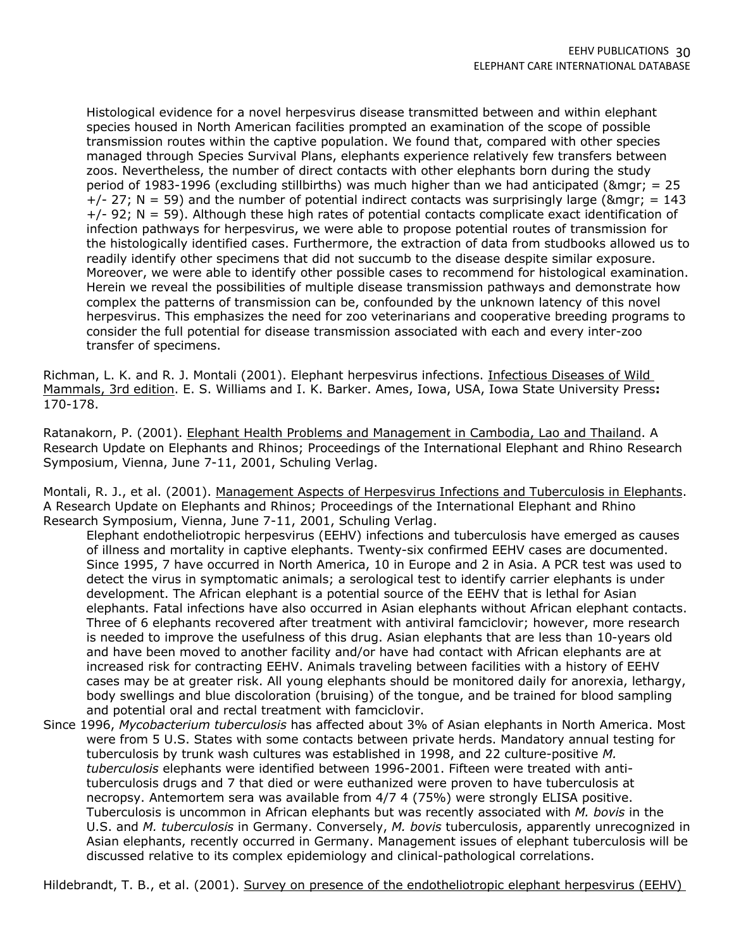Histological evidence for a novel herpesvirus disease transmitted between and within elephant species housed in North American facilities prompted an examination of the scope of possible transmission routes within the captive population. We found that, compared with other species managed through Species Survival Plans, elephants experience relatively few transfers between zoos. Nevertheless, the number of direct contacts with other elephants born during the study period of 1983-1996 (excluding stillbirths) was much higher than we had anticipated (&mgr; = 25  $+/- 27$ ; N = 59) and the number of potential indirect contacts was surprisingly large (&mgr; = 143)  $+/-$  92; N = 59). Although these high rates of potential contacts complicate exact identification of infection pathways for herpesvirus, we were able to propose potential routes of transmission for the histologically identified cases. Furthermore, the extraction of data from studbooks allowed us to readily identify other specimens that did not succumb to the disease despite similar exposure. Moreover, we were able to identify other possible cases to recommend for histological examination. Herein we reveal the possibilities of multiple disease transmission pathways and demonstrate how complex the patterns of transmission can be, confounded by the unknown latency of this novel herpesvirus. This emphasizes the need for zoo veterinarians and cooperative breeding programs to consider the full potential for disease transmission associated with each and every inter-zoo transfer of specimens.

Richman, L. K. and R. J. Montali (2001). Elephant herpesvirus infections. Infectious Diseases of Wild Mammals, 3rd edition. E. S. Williams and I. K. Barker. Ames, Iowa, USA, Iowa State University Press**:**  170-178.

Ratanakorn, P. (2001). Elephant Health Problems and Management in Cambodia, Lao and Thailand. A Research Update on Elephants and Rhinos; Proceedings of the International Elephant and Rhino Research Symposium, Vienna, June 7-11, 2001, Schuling Verlag.

Montali, R. J., et al. (2001). Management Aspects of Herpesvirus Infections and Tuberculosis in Elephants. A Research Update on Elephants and Rhinos; Proceedings of the International Elephant and Rhino Research Symposium, Vienna, June 7-11, 2001, Schuling Verlag.

Elephant endotheliotropic herpesvirus (EEHV) infections and tuberculosis have emerged as causes of illness and mortality in captive elephants. Twenty-six confirmed EEHV cases are documented. Since 1995, 7 have occurred in North America, 10 in Europe and 2 in Asia. A PCR test was used to detect the virus in symptomatic animals; a serological test to identify carrier elephants is under development. The African elephant is a potential source of the EEHV that is lethal for Asian elephants. Fatal infections have also occurred in Asian elephants without African elephant contacts. Three of 6 elephants recovered after treatment with antiviral famciclovir; however, more research is needed to improve the usefulness of this drug. Asian elephants that are less than 10-years old and have been moved to another facility and/or have had contact with African elephants are at increased risk for contracting EEHV. Animals traveling between facilities with a history of EEHV cases may be at greater risk. All young elephants should be monitored daily for anorexia, lethargy, body swellings and blue discoloration (bruising) of the tongue, and be trained for blood sampling and potential oral and rectal treatment with famciclovir.

Since 1996, *Mycobacterium tuberculosis* has affected about 3% of Asian elephants in North America. Most were from 5 U.S. States with some contacts between private herds. Mandatory annual testing for tuberculosis by trunk wash cultures was established in 1998, and 22 culture-positive *M. tuberculosis* elephants were identified between 1996-2001. Fifteen were treated with antituberculosis drugs and 7 that died or were euthanized were proven to have tuberculosis at necropsy. Antemortem sera was available from 4/7 4 (75%) were strongly ELISA positive. Tuberculosis is uncommon in African elephants but was recently associated with *M. bovis* in the U.S. and *M. tuberculosis* in Germany. Conversely, *M. bovis* tuberculosis, apparently unrecognized in Asian elephants, recently occurred in Germany. Management issues of elephant tuberculosis will be discussed relative to its complex epidemiology and clinical-pathological correlations.

Hildebrandt, T. B., et al. (2001). Survey on presence of the endotheliotropic elephant herpesvirus (EEHV)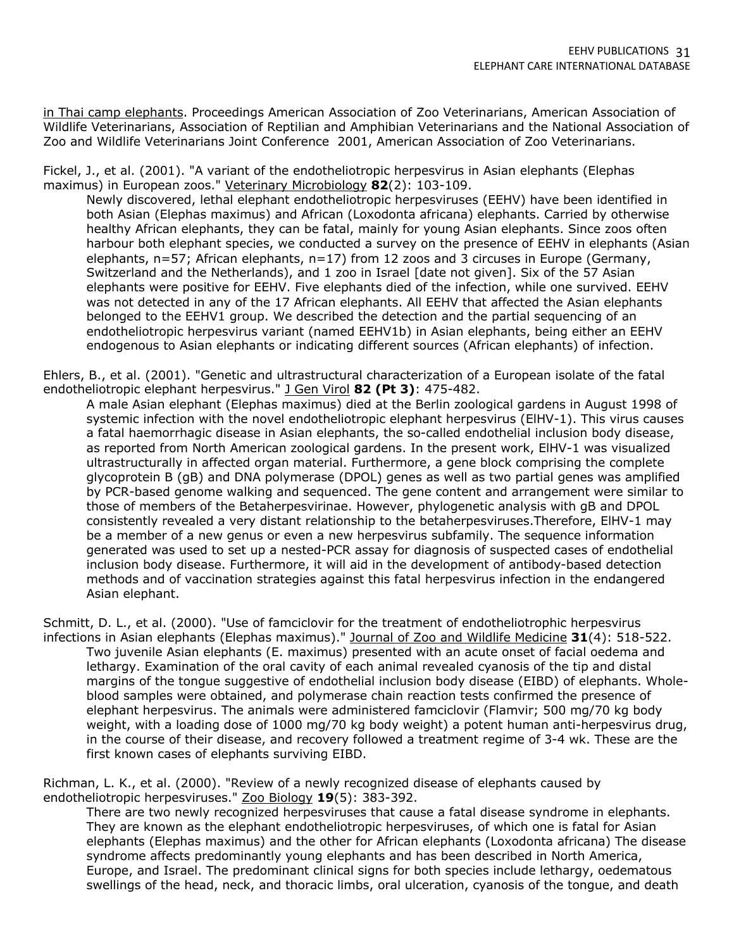in Thai camp elephants. Proceedings American Association of Zoo Veterinarians, American Association of Wildlife Veterinarians, Association of Reptilian and Amphibian Veterinarians and the National Association of Zoo and Wildlife Veterinarians Joint Conference 2001, American Association of Zoo Veterinarians.

Fickel, J., et al. (2001). "A variant of the endotheliotropic herpesvirus in Asian elephants (Elephas maximus) in European zoos." Veterinary Microbiology **82**(2): 103-109.

Newly discovered, lethal elephant endotheliotropic herpesviruses (EEHV) have been identified in both Asian (Elephas maximus) and African (Loxodonta africana) elephants. Carried by otherwise healthy African elephants, they can be fatal, mainly for young Asian elephants. Since zoos often harbour both elephant species, we conducted a survey on the presence of EEHV in elephants (Asian elephants, n=57; African elephants, n=17) from 12 zoos and 3 circuses in Europe (Germany, Switzerland and the Netherlands), and 1 zoo in Israel [date not given]. Six of the 57 Asian elephants were positive for EEHV. Five elephants died of the infection, while one survived. EEHV was not detected in any of the 17 African elephants. All EEHV that affected the Asian elephants belonged to the EEHV1 group. We described the detection and the partial sequencing of an endotheliotropic herpesvirus variant (named EEHV1b) in Asian elephants, being either an EEHV endogenous to Asian elephants or indicating different sources (African elephants) of infection.

Ehlers, B., et al. (2001). "Genetic and ultrastructural characterization of a European isolate of the fatal endotheliotropic elephant herpesvirus." J Gen Virol **82 (Pt 3)**: 475-482.

A male Asian elephant (Elephas maximus) died at the Berlin zoological gardens in August 1998 of systemic infection with the novel endotheliotropic elephant herpesvirus (ElHV-1). This virus causes a fatal haemorrhagic disease in Asian elephants, the so-called endothelial inclusion body disease, as reported from North American zoological gardens. In the present work, ElHV-1 was visualized ultrastructurally in affected organ material. Furthermore, a gene block comprising the complete glycoprotein B (gB) and DNA polymerase (DPOL) genes as well as two partial genes was amplified by PCR-based genome walking and sequenced. The gene content and arrangement were similar to those of members of the Betaherpesvirinae. However, phylogenetic analysis with gB and DPOL consistently revealed a very distant relationship to the betaherpesviruses.Therefore, ElHV-1 may be a member of a new genus or even a new herpesvirus subfamily. The sequence information generated was used to set up a nested-PCR assay for diagnosis of suspected cases of endothelial inclusion body disease. Furthermore, it will aid in the development of antibody-based detection methods and of vaccination strategies against this fatal herpesvirus infection in the endangered Asian elephant.

Schmitt, D. L., et al. (2000). "Use of famciclovir for the treatment of endotheliotrophic herpesvirus infections in Asian elephants (Elephas maximus)." Journal of Zoo and Wildlife Medicine **31**(4): 518-522. Two juvenile Asian elephants (E. maximus) presented with an acute onset of facial oedema and lethargy. Examination of the oral cavity of each animal revealed cyanosis of the tip and distal margins of the tongue suggestive of endothelial inclusion body disease (EIBD) of elephants. Wholeblood samples were obtained, and polymerase chain reaction tests confirmed the presence of elephant herpesvirus. The animals were administered famciclovir (Flamvir; 500 mg/70 kg body weight, with a loading dose of 1000 mg/70 kg body weight) a potent human anti-herpesvirus drug, in the course of their disease, and recovery followed a treatment regime of 3-4 wk. These are the first known cases of elephants surviving EIBD.

Richman, L. K., et al. (2000). "Review of a newly recognized disease of elephants caused by endotheliotropic herpesviruses." Zoo Biology **19**(5): 383-392.

There are two newly recognized herpesviruses that cause a fatal disease syndrome in elephants. They are known as the elephant endotheliotropic herpesviruses, of which one is fatal for Asian elephants (Elephas maximus) and the other for African elephants (Loxodonta africana) The disease syndrome affects predominantly young elephants and has been described in North America, Europe, and Israel. The predominant clinical signs for both species include lethargy, oedematous swellings of the head, neck, and thoracic limbs, oral ulceration, cyanosis of the tongue, and death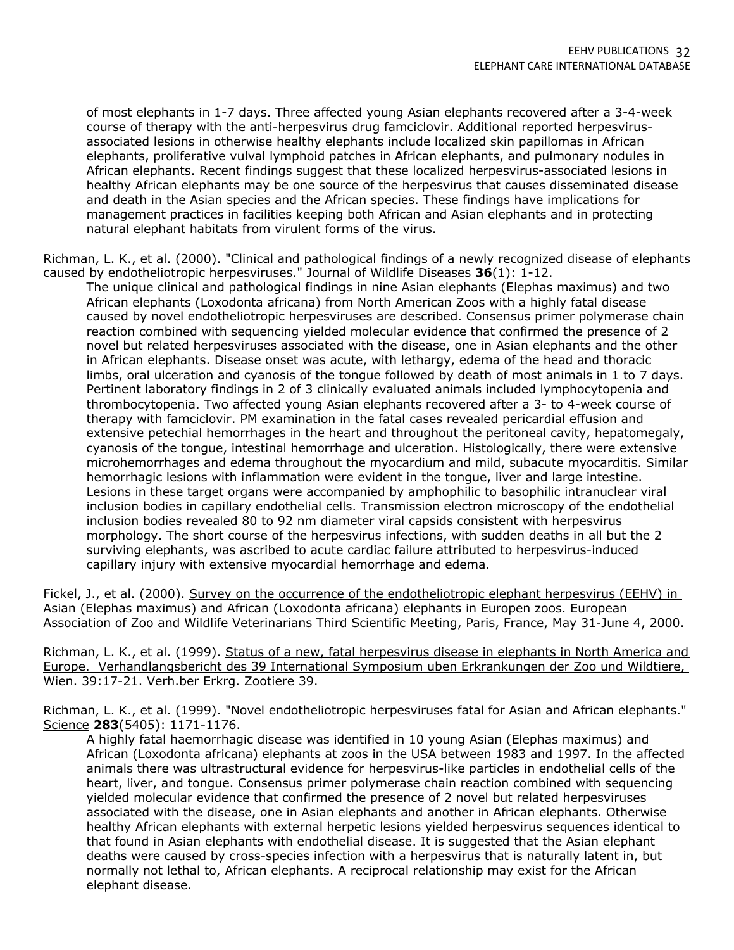of most elephants in 1-7 days. Three affected young Asian elephants recovered after a 3-4-week course of therapy with the anti-herpesvirus drug famciclovir. Additional reported herpesvirusassociated lesions in otherwise healthy elephants include localized skin papillomas in African elephants, proliferative vulval lymphoid patches in African elephants, and pulmonary nodules in African elephants. Recent findings suggest that these localized herpesvirus-associated lesions in healthy African elephants may be one source of the herpesvirus that causes disseminated disease and death in the Asian species and the African species. These findings have implications for management practices in facilities keeping both African and Asian elephants and in protecting natural elephant habitats from virulent forms of the virus.

Richman, L. K., et al. (2000). "Clinical and pathological findings of a newly recognized disease of elephants caused by endotheliotropic herpesviruses." Journal of Wildlife Diseases **36**(1): 1-12.

The unique clinical and pathological findings in nine Asian elephants (Elephas maximus) and two African elephants (Loxodonta africana) from North American Zoos with a highly fatal disease caused by novel endotheliotropic herpesviruses are described. Consensus primer polymerase chain reaction combined with sequencing yielded molecular evidence that confirmed the presence of 2 novel but related herpesviruses associated with the disease, one in Asian elephants and the other in African elephants. Disease onset was acute, with lethargy, edema of the head and thoracic limbs, oral ulceration and cyanosis of the tongue followed by death of most animals in 1 to 7 days. Pertinent laboratory findings in 2 of 3 clinically evaluated animals included lymphocytopenia and thrombocytopenia. Two affected young Asian elephants recovered after a 3- to 4-week course of therapy with famciclovir. PM examination in the fatal cases revealed pericardial effusion and extensive petechial hemorrhages in the heart and throughout the peritoneal cavity, hepatomegaly, cyanosis of the tongue, intestinal hemorrhage and ulceration. Histologically, there were extensive microhemorrhages and edema throughout the myocardium and mild, subacute myocarditis. Similar hemorrhagic lesions with inflammation were evident in the tongue, liver and large intestine. Lesions in these target organs were accompanied by amphophilic to basophilic intranuclear viral inclusion bodies in capillary endothelial cells. Transmission electron microscopy of the endothelial inclusion bodies revealed 80 to 92 nm diameter viral capsids consistent with herpesvirus morphology. The short course of the herpesvirus infections, with sudden deaths in all but the 2 surviving elephants, was ascribed to acute cardiac failure attributed to herpesvirus-induced capillary injury with extensive myocardial hemorrhage and edema.

Fickel, J., et al. (2000). Survey on the occurrence of the endotheliotropic elephant herpesvirus (EEHV) in Asian (Elephas maximus) and African (Loxodonta africana) elephants in Europen zoos. European Association of Zoo and Wildlife Veterinarians Third Scientific Meeting, Paris, France, May 31-June 4, 2000.

Richman, L. K., et al. (1999). Status of a new, fatal herpesvirus disease in elephants in North America and Europe. Verhandlangsbericht des 39 International Symposium uben Erkrankungen der Zoo und Wildtiere, Wien. 39:17-21. Verh.ber Erkrg. Zootiere 39.

Richman, L. K., et al. (1999). "Novel endotheliotropic herpesviruses fatal for Asian and African elephants." Science **283**(5405): 1171-1176.

A highly fatal haemorrhagic disease was identified in 10 young Asian (Elephas maximus) and African (Loxodonta africana) elephants at zoos in the USA between 1983 and 1997. In the affected animals there was ultrastructural evidence for herpesvirus-like particles in endothelial cells of the heart, liver, and tongue. Consensus primer polymerase chain reaction combined with sequencing yielded molecular evidence that confirmed the presence of 2 novel but related herpesviruses associated with the disease, one in Asian elephants and another in African elephants. Otherwise healthy African elephants with external herpetic lesions yielded herpesvirus sequences identical to that found in Asian elephants with endothelial disease. It is suggested that the Asian elephant deaths were caused by cross-species infection with a herpesvirus that is naturally latent in, but normally not lethal to, African elephants. A reciprocal relationship may exist for the African elephant disease.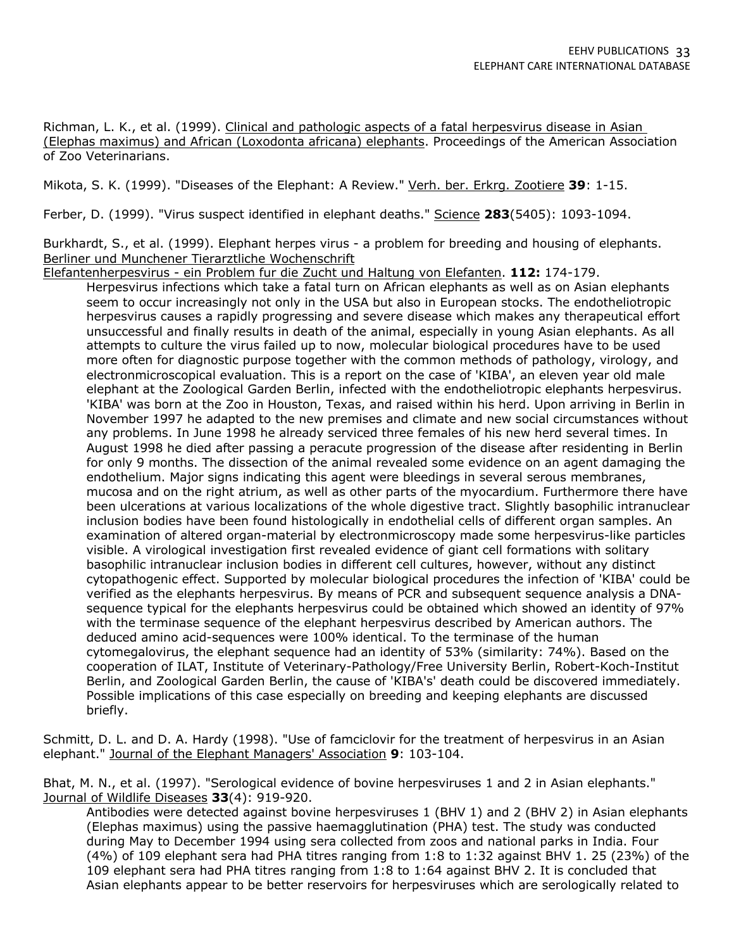Richman, L. K., et al. (1999). Clinical and pathologic aspects of a fatal herpesvirus disease in Asian (Elephas maximus) and African (Loxodonta africana) elephants. Proceedings of the American Association of Zoo Veterinarians.

Mikota, S. K. (1999). "Diseases of the Elephant: A Review." Verh. ber. Erkrg. Zootiere **39**: 1-15.

Ferber, D. (1999). "Virus suspect identified in elephant deaths." Science **283**(5405): 1093-1094.

Burkhardt, S., et al. (1999). Elephant herpes virus - a problem for breeding and housing of elephants. Berliner und Munchener Tierarztliche Wochenschrift

Elefantenherpesvirus - ein Problem fur die Zucht und Haltung von Elefanten. **112:** 174-179.

Herpesvirus infections which take a fatal turn on African elephants as well as on Asian elephants seem to occur increasingly not only in the USA but also in European stocks. The endotheliotropic herpesvirus causes a rapidly progressing and severe disease which makes any therapeutical effort unsuccessful and finally results in death of the animal, especially in young Asian elephants. As all attempts to culture the virus failed up to now, molecular biological procedures have to be used more often for diagnostic purpose together with the common methods of pathology, virology, and electronmicroscopical evaluation. This is a report on the case of 'KIBA', an eleven year old male elephant at the Zoological Garden Berlin, infected with the endotheliotropic elephants herpesvirus. 'KIBA' was born at the Zoo in Houston, Texas, and raised within his herd. Upon arriving in Berlin in November 1997 he adapted to the new premises and climate and new social circumstances without any problems. In June 1998 he already serviced three females of his new herd several times. In August 1998 he died after passing a peracute progression of the disease after residenting in Berlin for only 9 months. The dissection of the animal revealed some evidence on an agent damaging the endothelium. Major signs indicating this agent were bleedings in several serous membranes, mucosa and on the right atrium, as well as other parts of the myocardium. Furthermore there have been ulcerations at various localizations of the whole digestive tract. Slightly basophilic intranuclear inclusion bodies have been found histologically in endothelial cells of different organ samples. An examination of altered organ-material by electronmicroscopy made some herpesvirus-like particles visible. A virological investigation first revealed evidence of giant cell formations with solitary basophilic intranuclear inclusion bodies in different cell cultures, however, without any distinct cytopathogenic effect. Supported by molecular biological procedures the infection of 'KIBA' could be verified as the elephants herpesvirus. By means of PCR and subsequent sequence analysis a DNAsequence typical for the elephants herpesvirus could be obtained which showed an identity of 97% with the terminase sequence of the elephant herpesvirus described by American authors. The deduced amino acid-sequences were 100% identical. To the terminase of the human cytomegalovirus, the elephant sequence had an identity of 53% (similarity: 74%). Based on the cooperation of ILAT, Institute of Veterinary-Pathology/Free University Berlin, Robert-Koch-Institut Berlin, and Zoological Garden Berlin, the cause of 'KIBA's' death could be discovered immediately. Possible implications of this case especially on breeding and keeping elephants are discussed briefly.

Schmitt, D. L. and D. A. Hardy (1998). "Use of famciclovir for the treatment of herpesvirus in an Asian elephant." Journal of the Elephant Managers' Association **9**: 103-104.

Bhat, M. N., et al. (1997). "Serological evidence of bovine herpesviruses 1 and 2 in Asian elephants." Journal of Wildlife Diseases **33**(4): 919-920.

Antibodies were detected against bovine herpesviruses 1 (BHV 1) and 2 (BHV 2) in Asian elephants (Elephas maximus) using the passive haemagglutination (PHA) test. The study was conducted during May to December 1994 using sera collected from zoos and national parks in India. Four (4%) of 109 elephant sera had PHA titres ranging from 1:8 to 1:32 against BHV 1. 25 (23%) of the 109 elephant sera had PHA titres ranging from 1:8 to 1:64 against BHV 2. It is concluded that Asian elephants appear to be better reservoirs for herpesviruses which are serologically related to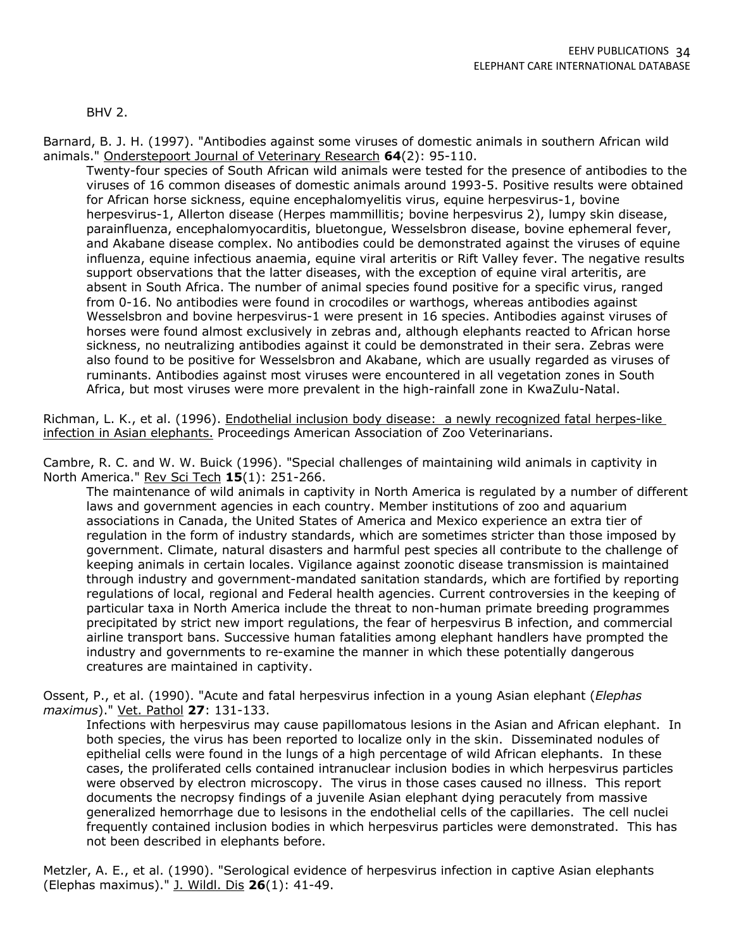BHV 2.

Barnard, B. J. H. (1997). "Antibodies against some viruses of domestic animals in southern African wild animals." Onderstepoort Journal of Veterinary Research **64**(2): 95-110.

Twenty-four species of South African wild animals were tested for the presence of antibodies to the viruses of 16 common diseases of domestic animals around 1993-5. Positive results were obtained for African horse sickness, equine encephalomyelitis virus, equine herpesvirus-1, bovine herpesvirus-1, Allerton disease (Herpes mammillitis; bovine herpesvirus 2), lumpy skin disease, parainfluenza, encephalomyocarditis, bluetongue, Wesselsbron disease, bovine ephemeral fever, and Akabane disease complex. No antibodies could be demonstrated against the viruses of equine influenza, equine infectious anaemia, equine viral arteritis or Rift Valley fever. The negative results support observations that the latter diseases, with the exception of equine viral arteritis, are absent in South Africa. The number of animal species found positive for a specific virus, ranged from 0-16. No antibodies were found in crocodiles or warthogs, whereas antibodies against Wesselsbron and bovine herpesvirus-1 were present in 16 species. Antibodies against viruses of horses were found almost exclusively in zebras and, although elephants reacted to African horse sickness, no neutralizing antibodies against it could be demonstrated in their sera. Zebras were also found to be positive for Wesselsbron and Akabane, which are usually regarded as viruses of ruminants. Antibodies against most viruses were encountered in all vegetation zones in South Africa, but most viruses were more prevalent in the high-rainfall zone in KwaZulu-Natal.

Richman, L. K., et al. (1996). Endothelial inclusion body disease: a newly recognized fatal herpes-like infection in Asian elephants. Proceedings American Association of Zoo Veterinarians.

Cambre, R. C. and W. W. Buick (1996). "Special challenges of maintaining wild animals in captivity in North America." Rev Sci Tech **15**(1): 251-266.

The maintenance of wild animals in captivity in North America is regulated by a number of different laws and government agencies in each country. Member institutions of zoo and aquarium associations in Canada, the United States of America and Mexico experience an extra tier of regulation in the form of industry standards, which are sometimes stricter than those imposed by government. Climate, natural disasters and harmful pest species all contribute to the challenge of keeping animals in certain locales. Vigilance against zoonotic disease transmission is maintained through industry and government-mandated sanitation standards, which are fortified by reporting regulations of local, regional and Federal health agencies. Current controversies in the keeping of particular taxa in North America include the threat to non-human primate breeding programmes precipitated by strict new import regulations, the fear of herpesvirus B infection, and commercial airline transport bans. Successive human fatalities among elephant handlers have prompted the industry and governments to re-examine the manner in which these potentially dangerous creatures are maintained in captivity.

Ossent, P., et al. (1990). "Acute and fatal herpesvirus infection in a young Asian elephant (*Elephas maximus*)." Vet. Pathol **27**: 131-133.

Infections with herpesvirus may cause papillomatous lesions in the Asian and African elephant. In both species, the virus has been reported to localize only in the skin. Disseminated nodules of epithelial cells were found in the lungs of a high percentage of wild African elephants. In these cases, the proliferated cells contained intranuclear inclusion bodies in which herpesvirus particles were observed by electron microscopy. The virus in those cases caused no illness. This report documents the necropsy findings of a juvenile Asian elephant dying peracutely from massive generalized hemorrhage due to lesisons in the endothelial cells of the capillaries. The cell nuclei frequently contained inclusion bodies in which herpesvirus particles were demonstrated. This has not been described in elephants before.

Metzler, A. E., et al. (1990). "Serological evidence of herpesvirus infection in captive Asian elephants (Elephas maximus)." J. Wildl. Dis **26**(1): 41-49.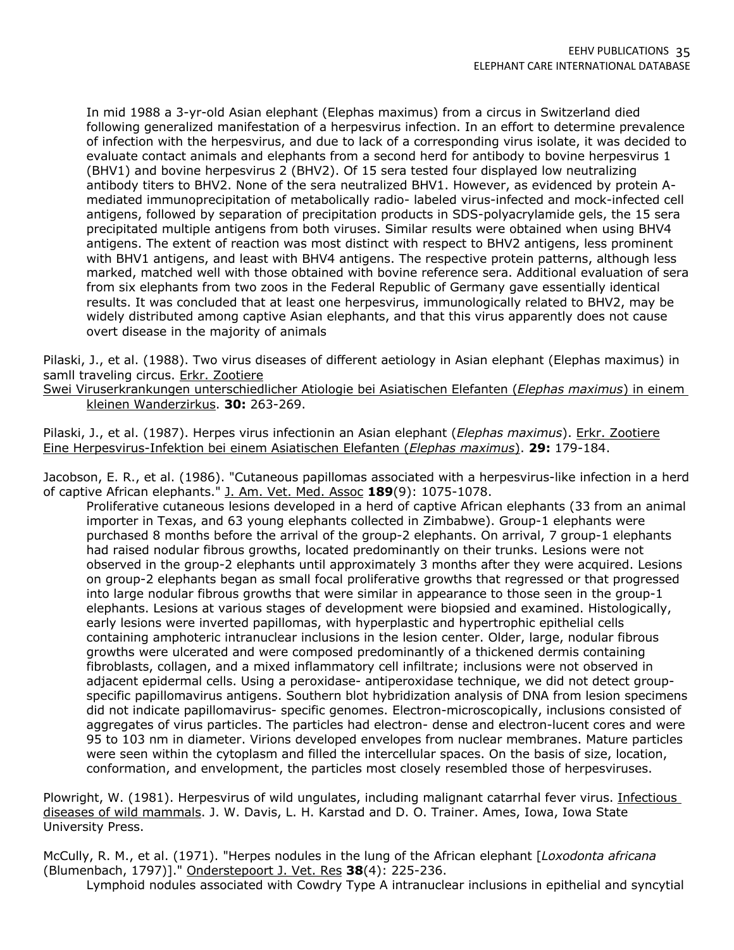In mid 1988 a 3-yr-old Asian elephant (Elephas maximus) from a circus in Switzerland died following generalized manifestation of a herpesvirus infection. In an effort to determine prevalence of infection with the herpesvirus, and due to lack of a corresponding virus isolate, it was decided to evaluate contact animals and elephants from a second herd for antibody to bovine herpesvirus 1 (BHV1) and bovine herpesvirus 2 (BHV2). Of 15 sera tested four displayed low neutralizing antibody titers to BHV2. None of the sera neutralized BHV1. However, as evidenced by protein Amediated immunoprecipitation of metabolically radio- labeled virus-infected and mock-infected cell antigens, followed by separation of precipitation products in SDS-polyacrylamide gels, the 15 sera precipitated multiple antigens from both viruses. Similar results were obtained when using BHV4 antigens. The extent of reaction was most distinct with respect to BHV2 antigens, less prominent with BHV1 antigens, and least with BHV4 antigens. The respective protein patterns, although less marked, matched well with those obtained with bovine reference sera. Additional evaluation of sera from six elephants from two zoos in the Federal Republic of Germany gave essentially identical results. It was concluded that at least one herpesvirus, immunologically related to BHV2, may be widely distributed among captive Asian elephants, and that this virus apparently does not cause overt disease in the majority of animals

Pilaski, J., et al. (1988). Two virus diseases of different aetiology in Asian elephant (Elephas maximus) in samll traveling circus. Erkr. Zootiere

Swei Viruserkrankungen unterschiedlicher Atiologie bei Asiatischen Elefanten (*Elephas maximus*) in einem kleinen Wanderzirkus. **30:** 263-269.

Pilaski, J., et al. (1987). Herpes virus infectionin an Asian elephant (*Elephas maximus*). Erkr. Zootiere Eine Herpesvirus-Infektion bei einem Asiatischen Elefanten (*Elephas maximus*). **29:** 179-184.

Jacobson, E. R., et al. (1986). "Cutaneous papillomas associated with a herpesvirus-like infection in a herd of captive African elephants." J. Am. Vet. Med. Assoc **189**(9): 1075-1078.

Proliferative cutaneous lesions developed in a herd of captive African elephants (33 from an animal importer in Texas, and 63 young elephants collected in Zimbabwe). Group-1 elephants were purchased 8 months before the arrival of the group-2 elephants. On arrival, 7 group-1 elephants had raised nodular fibrous growths, located predominantly on their trunks. Lesions were not observed in the group-2 elephants until approximately 3 months after they were acquired. Lesions on group-2 elephants began as small focal proliferative growths that regressed or that progressed into large nodular fibrous growths that were similar in appearance to those seen in the group-1 elephants. Lesions at various stages of development were biopsied and examined. Histologically, early lesions were inverted papillomas, with hyperplastic and hypertrophic epithelial cells containing amphoteric intranuclear inclusions in the lesion center. Older, large, nodular fibrous growths were ulcerated and were composed predominantly of a thickened dermis containing fibroblasts, collagen, and a mixed inflammatory cell infiltrate; inclusions were not observed in adjacent epidermal cells. Using a peroxidase- antiperoxidase technique, we did not detect groupspecific papillomavirus antigens. Southern blot hybridization analysis of DNA from lesion specimens did not indicate papillomavirus- specific genomes. Electron-microscopically, inclusions consisted of aggregates of virus particles. The particles had electron- dense and electron-lucent cores and were 95 to 103 nm in diameter. Virions developed envelopes from nuclear membranes. Mature particles were seen within the cytoplasm and filled the intercellular spaces. On the basis of size, location, conformation, and envelopment, the particles most closely resembled those of herpesviruses.

Plowright, W. (1981). Herpesvirus of wild ungulates, including malignant catarrhal fever virus. Infectious diseases of wild mammals. J. W. Davis, L. H. Karstad and D. O. Trainer. Ames, Iowa, Iowa State University Press.

McCully, R. M., et al. (1971). "Herpes nodules in the lung of the African elephant [*Loxodonta africana* (Blumenbach, 1797)]." Onderstepoort J. Vet. Res **38**(4): 225-236.

Lymphoid nodules associated with Cowdry Type A intranuclear inclusions in epithelial and syncytial